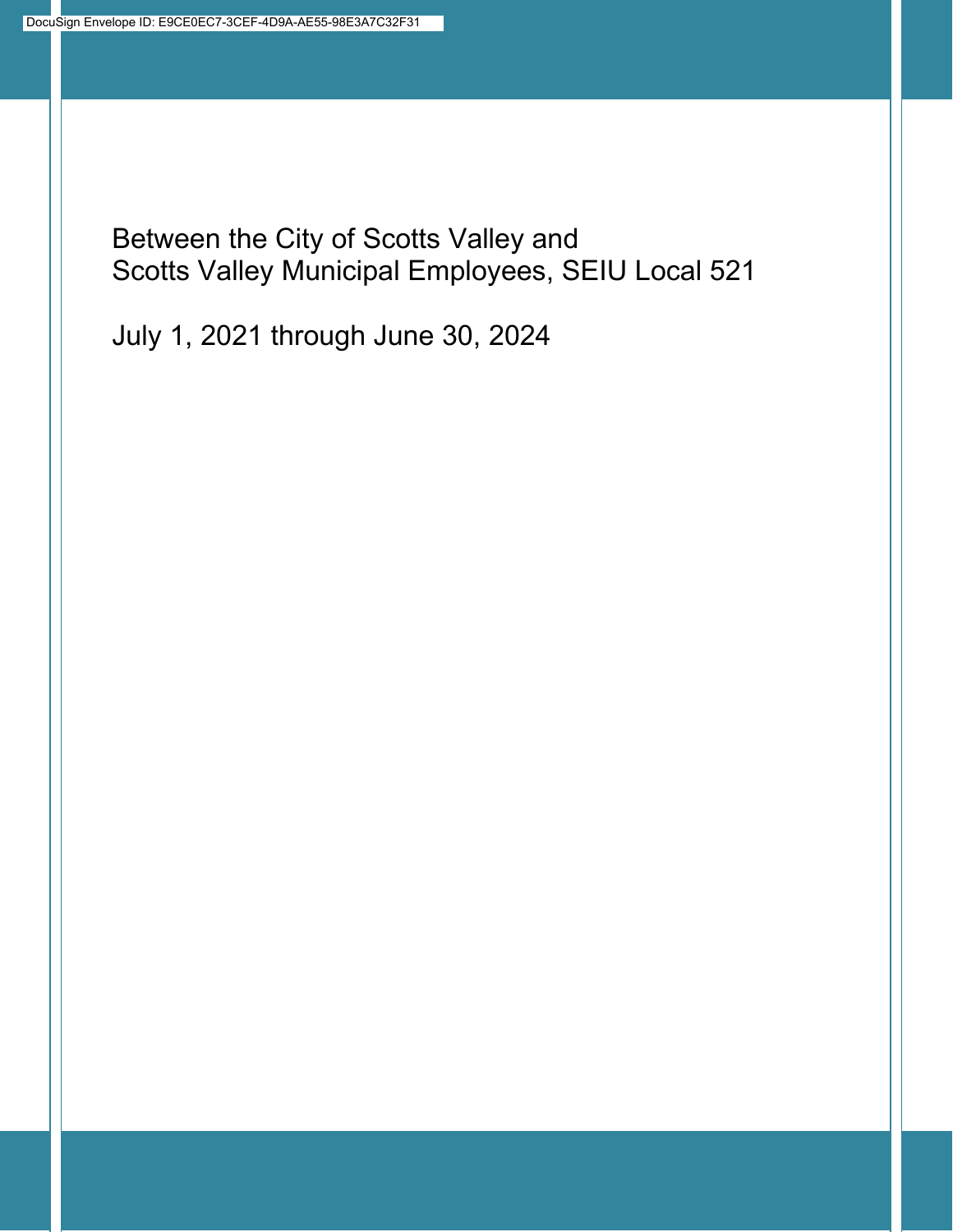Between the City of Scotts Valley and Scotts Valley Municipal Employees, SEIU Local 521

July 1, 2021 through June 30, 2024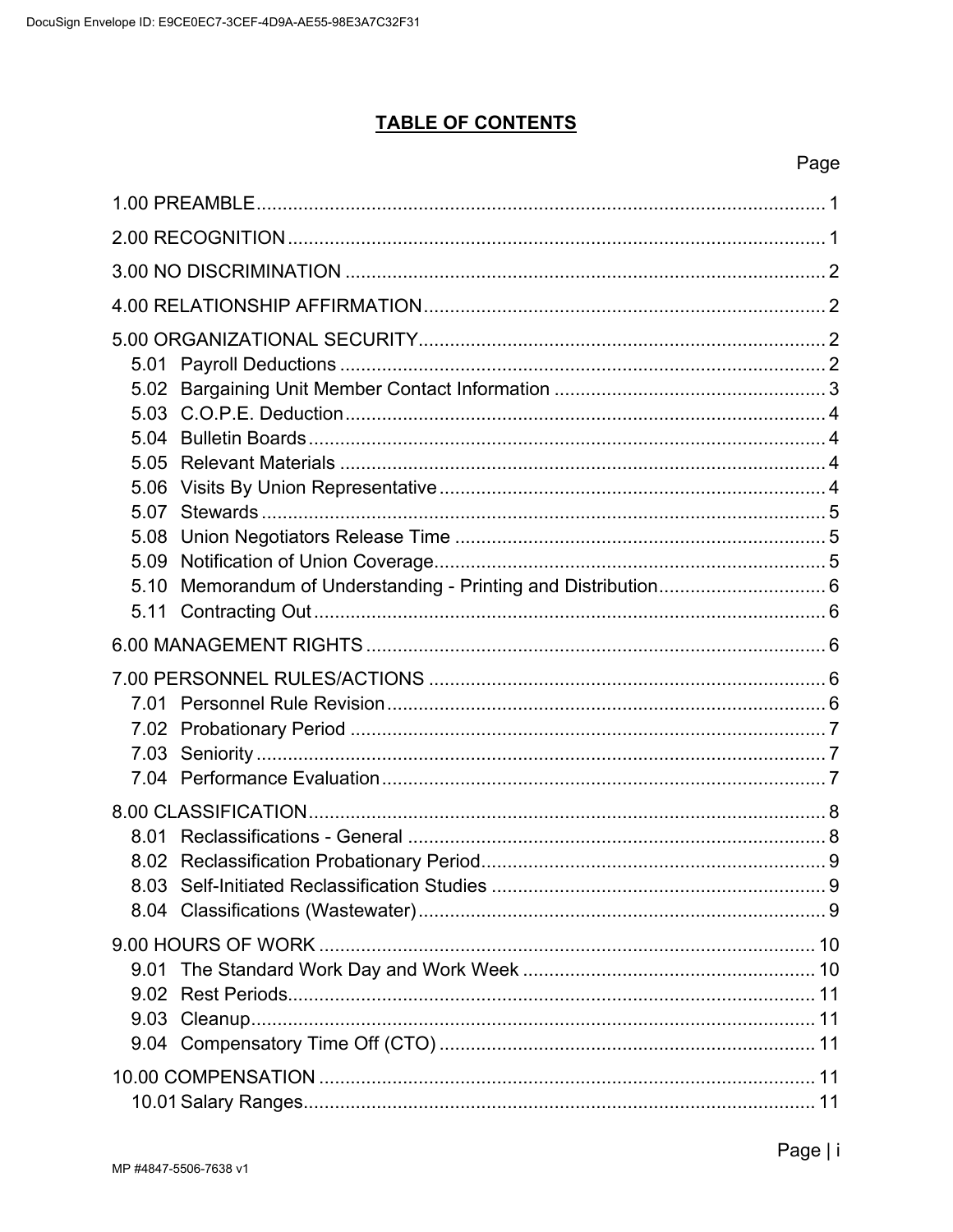# **TABLE OF CONTENTS**

| 5.09 |  |
|------|--|
|      |  |
|      |  |
|      |  |
|      |  |
|      |  |
|      |  |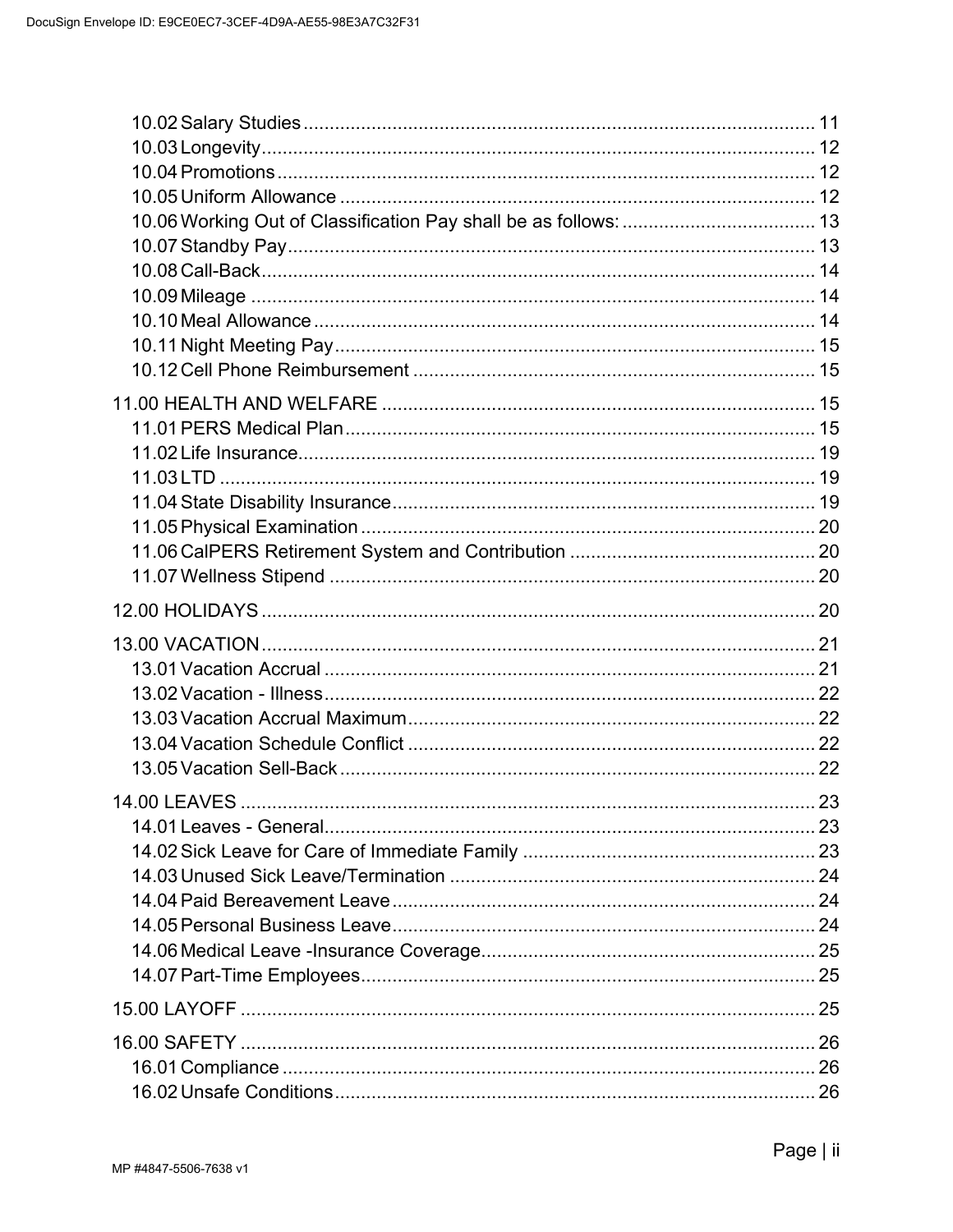| 10.09 Mileage ………………………………………………………………………………………… 14 |  |
|-----------------------------------------------------|--|
|                                                     |  |
|                                                     |  |
|                                                     |  |
|                                                     |  |
|                                                     |  |
|                                                     |  |
|                                                     |  |
|                                                     |  |
|                                                     |  |
|                                                     |  |
|                                                     |  |
|                                                     |  |
|                                                     |  |
|                                                     |  |
|                                                     |  |
|                                                     |  |
|                                                     |  |
|                                                     |  |
|                                                     |  |
|                                                     |  |
|                                                     |  |
|                                                     |  |
|                                                     |  |
|                                                     |  |
|                                                     |  |
|                                                     |  |
|                                                     |  |
|                                                     |  |
|                                                     |  |
|                                                     |  |
|                                                     |  |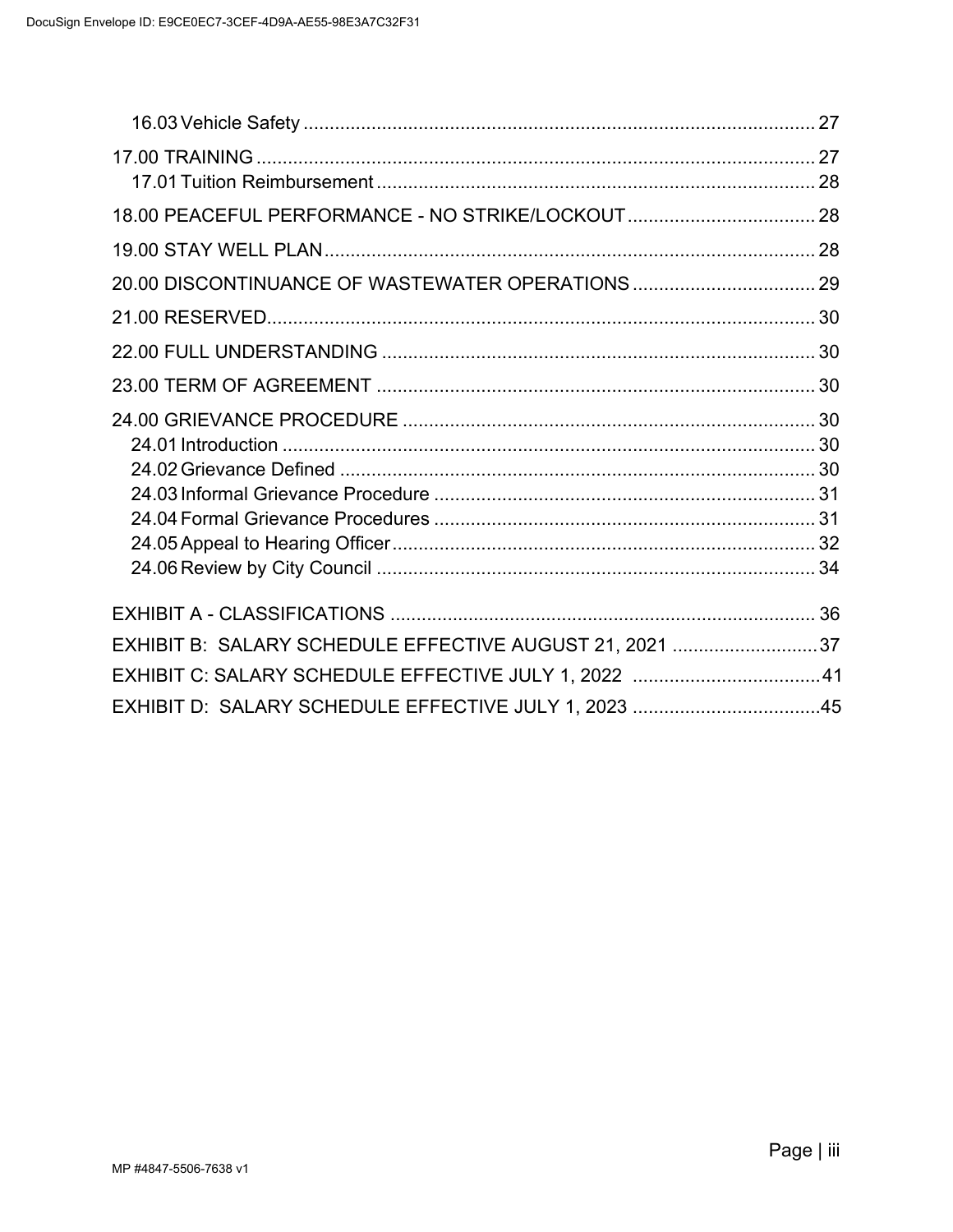| 18.00 PEACEFUL PERFORMANCE - NO STRIKE/LOCKOUT 28       |  |
|---------------------------------------------------------|--|
|                                                         |  |
| 20.00 DISCONTINUANCE OF WASTEWATER OPERATIONS  29       |  |
|                                                         |  |
|                                                         |  |
|                                                         |  |
|                                                         |  |
|                                                         |  |
|                                                         |  |
|                                                         |  |
|                                                         |  |
|                                                         |  |
|                                                         |  |
|                                                         |  |
| EXHIBIT B: SALARY SCHEDULE EFFECTIVE AUGUST 21, 2021 37 |  |
| EXHIBIT C: SALARY SCHEDULE EFFECTIVE JULY 1, 2022 41    |  |
| EXHIBIT D: SALARY SCHEDULE EFFECTIVE JULY 1, 2023 45    |  |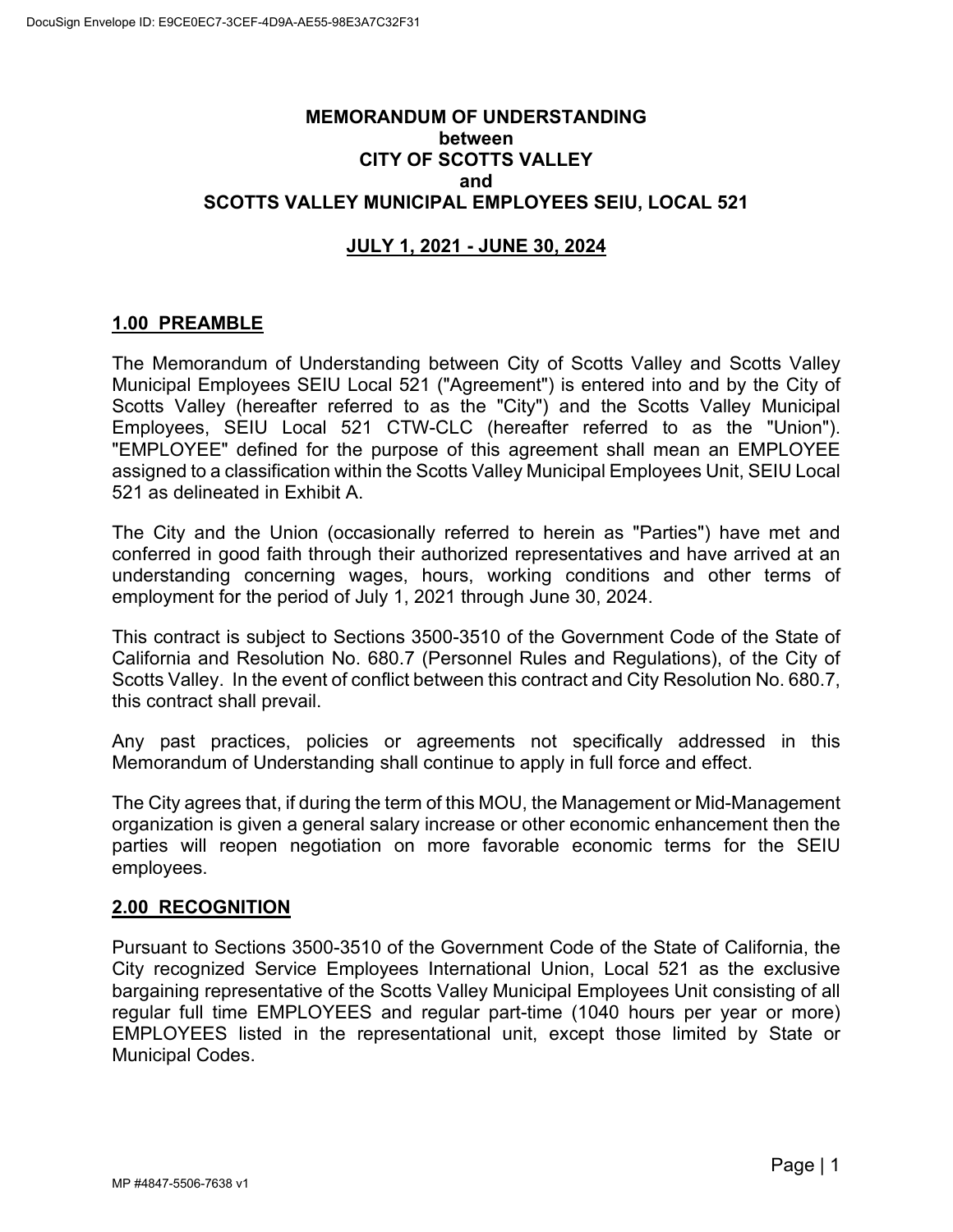# **MEMORANDUM OF UNDERSTANDING between CITY OF SCOTTS VALLEY and SCOTTS VALLEY MUNICIPAL EMPLOYEES SEIU, LOCAL 521**

# **JULY 1, 2021 - JUNE 30, 2024**

# <span id="page-4-0"></span>**1.00 PREAMBLE**

The Memorandum of Understanding between City of Scotts Valley and Scotts Valley Municipal Employees SEIU Local 521 ("Agreement") is entered into and by the City of Scotts Valley (hereafter referred to as the "City") and the Scotts Valley Municipal Employees, SEIU Local 521 CTW-CLC (hereafter referred to as the "Union"). "EMPLOYEE" defined for the purpose of this agreement shall mean an EMPLOYEE assigned to a classification within the Scotts Valley Municipal Employees Unit, SEIU Local 521 as delineated in Exhibit A.

The City and the Union (occasionally referred to herein as "Parties") have met and conferred in good faith through their authorized representatives and have arrived at an understanding concerning wages, hours, working conditions and other terms of employment for the period of July 1, 2021 through June 30, 2024.

This contract is subject to Sections 3500-3510 of the Government Code of the State of California and Resolution No. 680.7 (Personnel Rules and Regulations), of the City of Scotts Valley. In the event of conflict between this contract and City Resolution No. 680.7, this contract shall prevail.

Any past practices, policies or agreements not specifically addressed in this Memorandum of Understanding shall continue to apply in full force and effect.

The City agrees that, if during the term of this MOU, the Management or Mid-Management organization is given a general salary increase or other economic enhancement then the parties will reopen negotiation on more favorable economic terms for the SEIU employees.

## <span id="page-4-1"></span>**2.00 RECOGNITION**

Pursuant to Sections 3500-3510 of the Government Code of the State of California, the City recognized Service Employees International Union, Local 521 as the exclusive bargaining representative of the Scotts Valley Municipal Employees Unit consisting of all regular full time EMPLOYEES and regular part-time (1040 hours per year or more) EMPLOYEES listed in the representational unit, except those limited by State or Municipal Codes.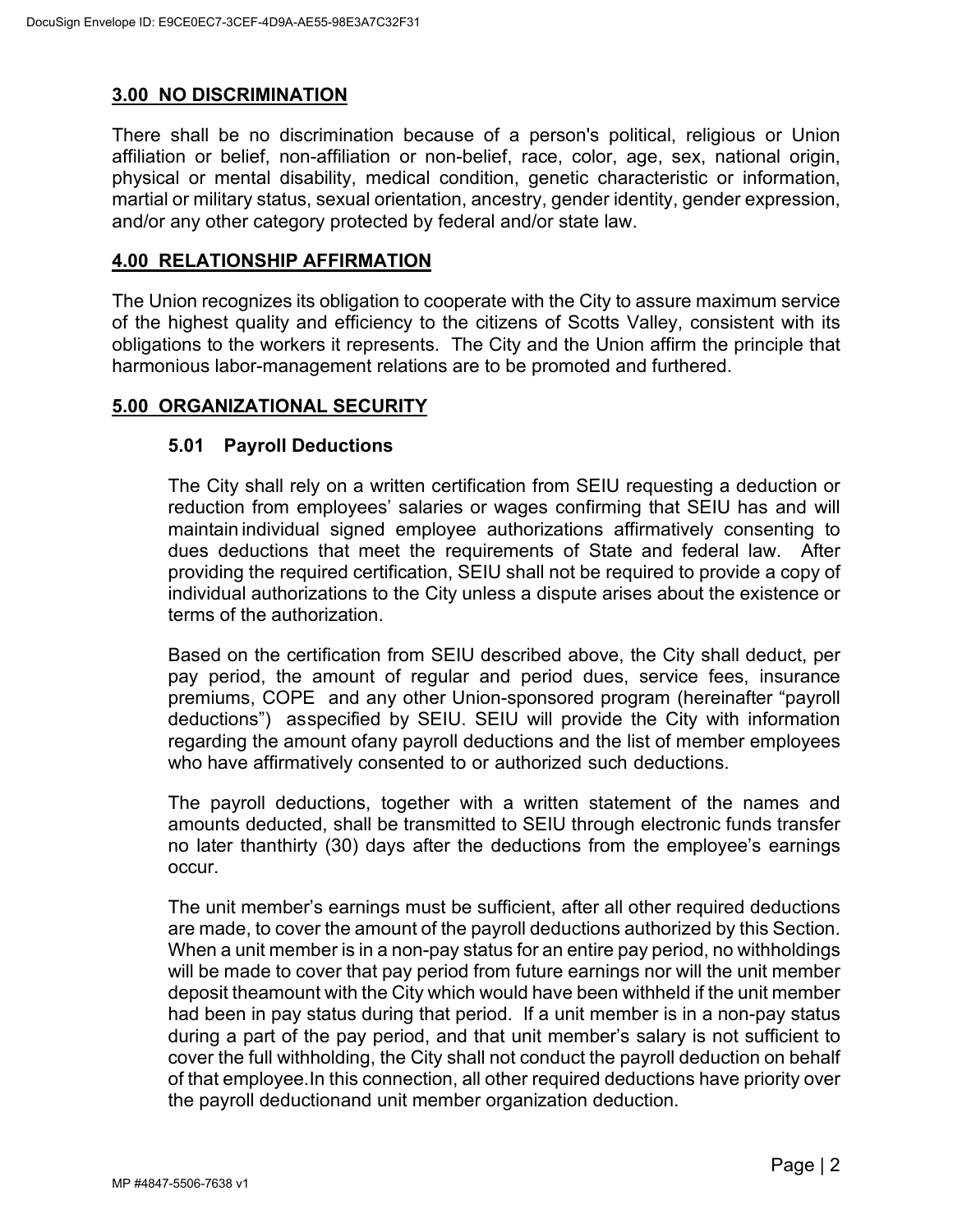# <span id="page-5-0"></span>**3.00 NO DISCRIMINATION**

There shall be no discrimination because of a person's political, religious or Union affiliation or belief, non-affiliation or non-belief, race, color, age, sex, national origin, physical or mental disability, medical condition, genetic characteristic or information, martial or military status, sexual orientation, ancestry, gender identity, gender expression, and/or any other category protected by federal and/or state law.

### <span id="page-5-1"></span>**4.00 RELATIONSHIP AFFIRMATION**

The Union recognizes its obligation to cooperate with the City to assure maximum service of the highest quality and efficiency to the citizens of Scotts Valley, consistent with its obligations to the workers it represents. The City and the Union affirm the principle that harmonious labor-management relations are to be promoted and furthered.

## <span id="page-5-3"></span><span id="page-5-2"></span>**5.00 ORGANIZATIONAL SECURITY**

## **5.01 Payroll Deductions**

The City shall rely on a written certification from SEIU requesting a deduction or reduction from employees' salaries or wages confirming that SEIU has and will maintain individual signed employee authorizations affirmatively consenting to dues deductions that meet the requirements of State and federal law. After providing the required certification, SEIU shall not be required to provide a copy of individual authorizations to the City unless a dispute arises about the existence or terms of the authorization.

Based on the certification from SEIU described above, the City shall deduct, per pay period, the amount of regular and period dues, service fees, insurance premiums, COPE and any other Union-sponsored program (hereinafter "payroll deductions") asspecified by SEIU. SEIU will provide the City with information regarding the amount ofany payroll deductions and the list of member employees who have affirmatively consented to or authorized such deductions.

The payroll deductions, together with a written statement of the names and amounts deducted, shall be transmitted to SEIU through electronic funds transfer no later thanthirty (30) days after the deductions from the employee's earnings occur.

The unit member's earnings must be sufficient, after all other required deductions are made, to cover the amount of the payroll deductions authorized by this Section. When a unit member is in a non-pay status for an entire pay period, no withholdings will be made to cover that pay period from future earnings nor will the unit member deposit theamount with the City which would have been withheld if the unit member had been in pay status during that period. If a unit member is in a non-pay status during a part of the pay period, and that unit member's salary is not sufficient to cover the full withholding, the City shall not conduct the payroll deduction on behalf of that employee.In this connection, all other required deductions have priority over the payroll deductionand unit member organization deduction.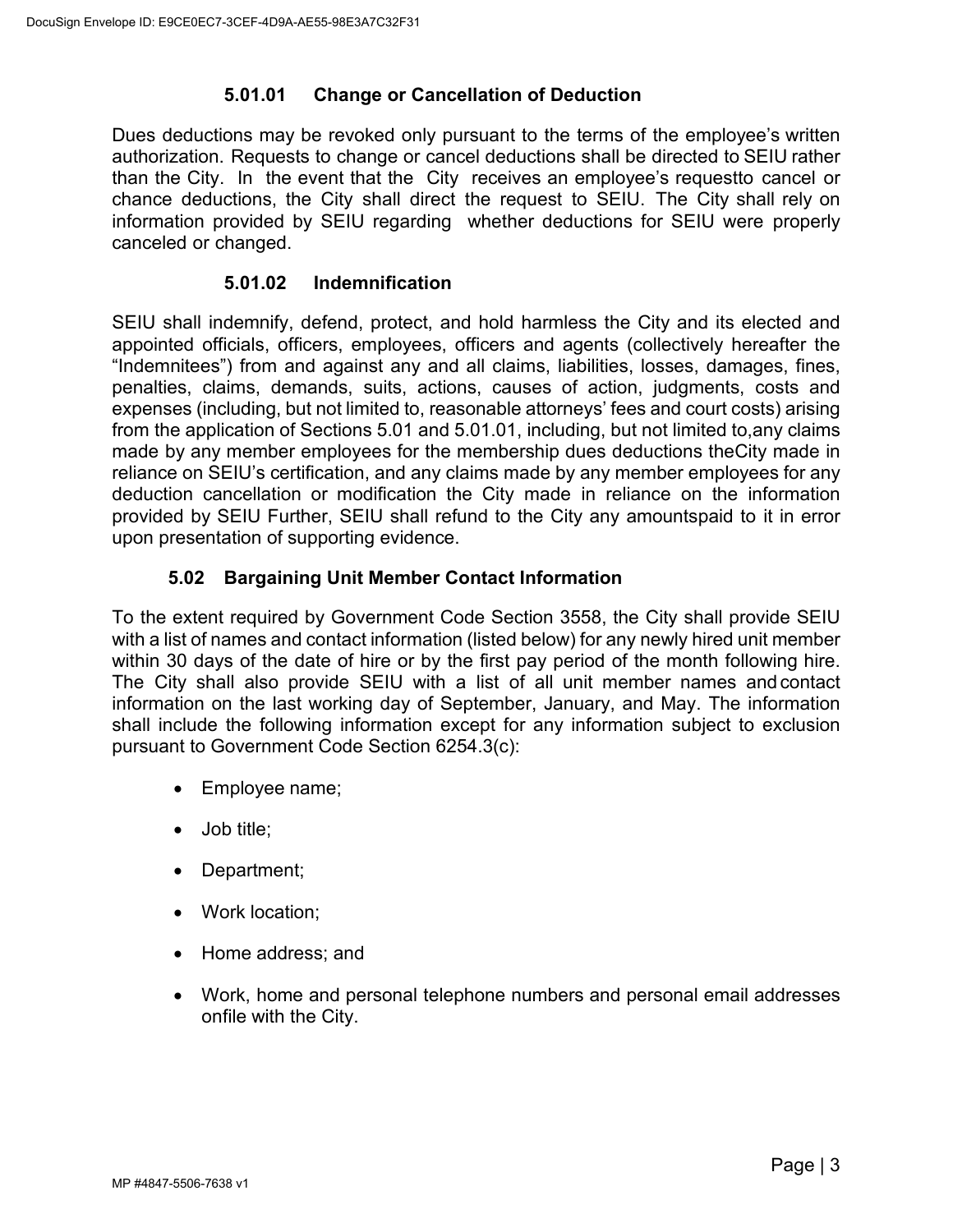# **5.01.01 Change or Cancellation of Deduction**

Dues deductions may be revoked only pursuant to the terms of the employee's written authorization. Requests to change or cancel deductions shall be directed to SEIU rather than the City. In the event that the City receives an employee's requestto cancel or chance deductions, the City shall direct the request to SEIU. The City shall rely on information provided by SEIU regarding whether deductions for SEIU were properly canceled or changed.

## **5.01.02 Indemnification**

SEIU shall indemnify, defend, protect, and hold harmless the City and its elected and appointed officials, officers, employees, officers and agents (collectively hereafter the "Indemnitees") from and against any and all claims, liabilities, losses, damages, fines, penalties, claims, demands, suits, actions, causes of action, judgments, costs and expenses (including, but not limited to, reasonable attorneys' fees and court costs) arising from the application of Sections 5.01 and 5.01.01, including, but not limited to,any claims made by any member employees for the membership dues deductions theCity made in reliance on SEIU's certification, and any claims made by any member employees for any deduction cancellation or modification the City made in reliance on the information provided by SEIU Further, SEIU shall refund to the City any amountspaid to it in error upon presentation of supporting evidence.

# **5.02 Bargaining Unit Member Contact Information**

<span id="page-6-0"></span>To the extent required by Government Code Section 3558, the City shall provide SEIU with a list of names and contact information (listed below) for any newly hired unit member within 30 days of the date of hire or by the first pay period of the month following hire. The City shall also provide SEIU with a list of all unit member names and contact information on the last working day of September, January, and May. The information shall include the following information except for any information subject to exclusion pursuant to Government Code Section 6254.3(c):

- Employee name;
- Job title;
- Department;
- Work location;
- Home address; and
- Work, home and personal telephone numbers and personal email addresses onfile with the City.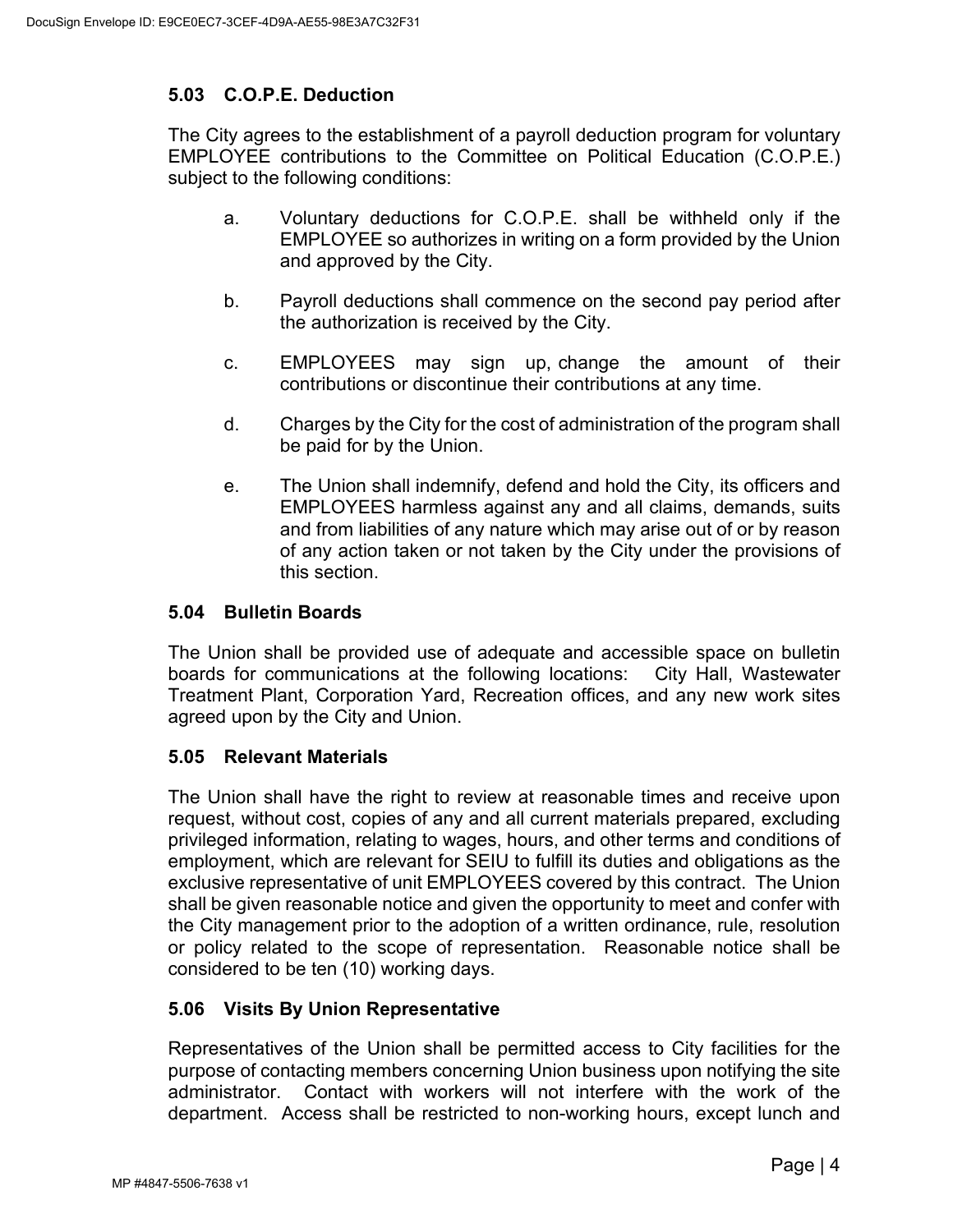# <span id="page-7-0"></span>**5.03 C.O.P.E. Deduction**

The City agrees to the establishment of a payroll deduction program for voluntary EMPLOYEE contributions to the Committee on Political Education (C.O.P.E.) subject to the following conditions:

- a. Voluntary deductions for C.O.P.E. shall be withheld only if the EMPLOYEE so authorizes in writing on a form provided by the Union and approved by the City.
- b. Payroll deductions shall commence on the second pay period after the authorization is received by the City.
- c. EMPLOYEES may sign up, change the amount of their contributions or discontinue their contributions at any time.
- d. Charges by the City for the cost of administration of the program shall be paid for by the Union.
- e. The Union shall indemnify, defend and hold the City, its officers and EMPLOYEES harmless against any and all claims, demands, suits and from liabilities of any nature which may arise out of or by reason of any action taken or not taken by the City under the provisions of this section.

## <span id="page-7-1"></span>**5.04 Bulletin Boards**

The Union shall be provided use of adequate and accessible space on bulletin boards for communications at the following locations: City Hall, Wastewater Treatment Plant, Corporation Yard, Recreation offices, and any new work sites agreed upon by the City and Union.

## <span id="page-7-2"></span>**5.05 Relevant Materials**

The Union shall have the right to review at reasonable times and receive upon request, without cost, copies of any and all current materials prepared, excluding privileged information, relating to wages, hours, and other terms and conditions of employment, which are relevant for SEIU to fulfill its duties and obligations as the exclusive representative of unit EMPLOYEES covered by this contract. The Union shall be given reasonable notice and given the opportunity to meet and confer with the City management prior to the adoption of a written ordinance, rule, resolution or policy related to the scope of representation. Reasonable notice shall be considered to be ten (10) working days.

## <span id="page-7-3"></span>**5.06 Visits By Union Representative**

Representatives of the Union shall be permitted access to City facilities for the purpose of contacting members concerning Union business upon notifying the site administrator. Contact with workers will not interfere with the work of the department. Access shall be restricted to non-working hours, except lunch and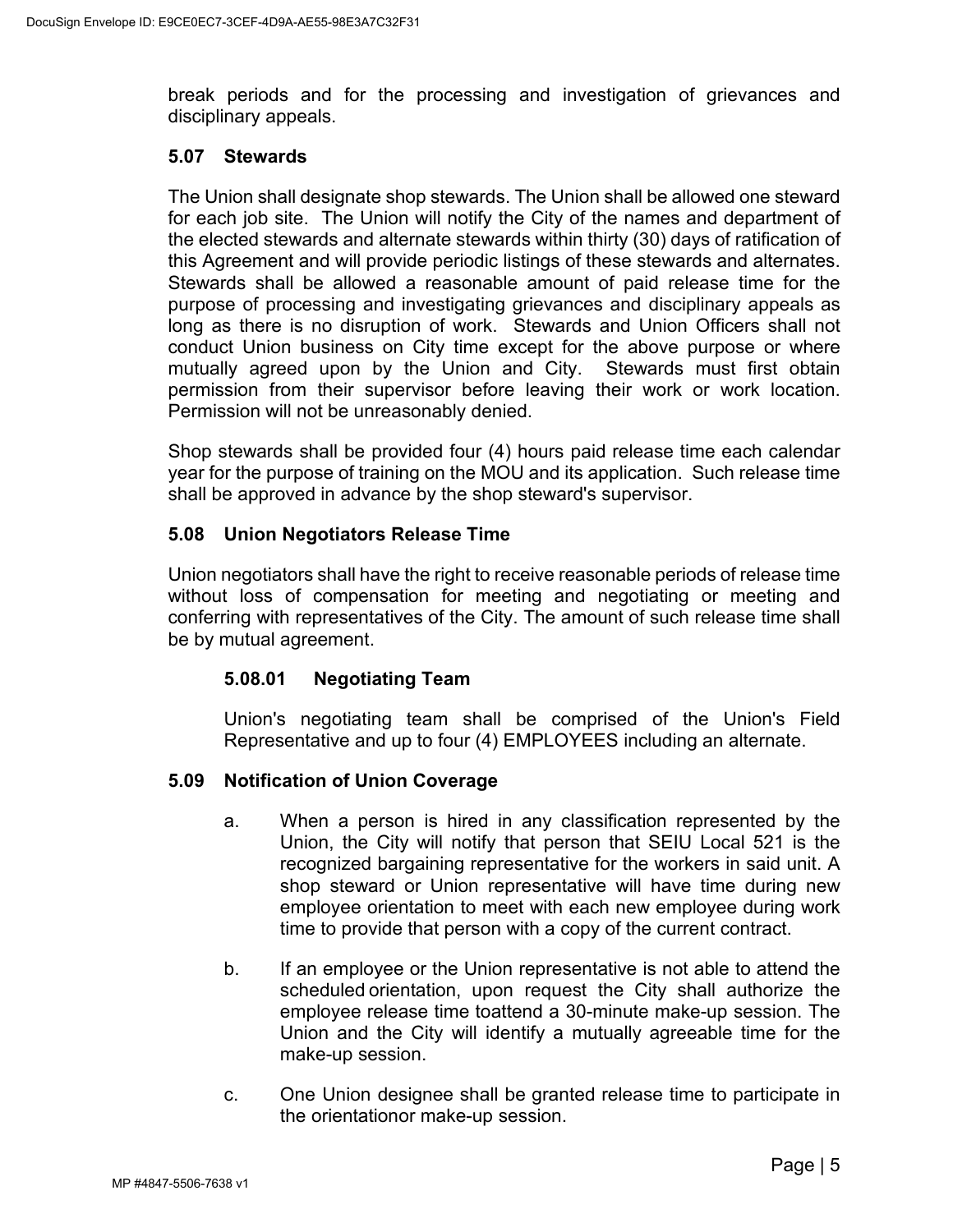break periods and for the processing and investigation of grievances and disciplinary appeals.

#### <span id="page-8-0"></span>**5.07 Stewards**

The Union shall designate shop stewards. The Union shall be allowed one steward for each job site. The Union will notify the City of the names and department of the elected stewards and alternate stewards within thirty (30) days of ratification of this Agreement and will provide periodic listings of these stewards and alternates. Stewards shall be allowed a reasonable amount of paid release time for the purpose of processing and investigating grievances and disciplinary appeals as long as there is no disruption of work. Stewards and Union Officers shall not conduct Union business on City time except for the above purpose or where mutually agreed upon by the Union and City. Stewards must first obtain permission from their supervisor before leaving their work or work location. Permission will not be unreasonably denied.

Shop stewards shall be provided four (4) hours paid release time each calendar year for the purpose of training on the MOU and its application. Such release time shall be approved in advance by the shop steward's supervisor.

## <span id="page-8-1"></span>**5.08 Union Negotiators Release Time**

Union negotiators shall have the right to receive reasonable periods of release time without loss of compensation for meeting and negotiating or meeting and conferring with representatives of the City. The amount of such release time shall be by mutual agreement.

## **5.08.01 Negotiating Team**

Union's negotiating team shall be comprised of the Union's Field Representative and up to four (4) EMPLOYEES including an alternate.

## <span id="page-8-2"></span>**5.09 Notification of Union Coverage**

- a. When a person is hired in any classification represented by the Union, the City will notify that person that SEIU Local 521 is the recognized bargaining representative for the workers in said unit. A shop steward or Union representative will have time during new employee orientation to meet with each new employee during work time to provide that person with a copy of the current contract.
- b. If an employee or the Union representative is not able to attend the scheduled orientation, upon request the City shall authorize the employee release time toattend a 30-minute make-up session. The Union and the City will identify a mutually agreeable time for the make-up session.
- c. One Union designee shall be granted release time to participate in the orientationor make-up session.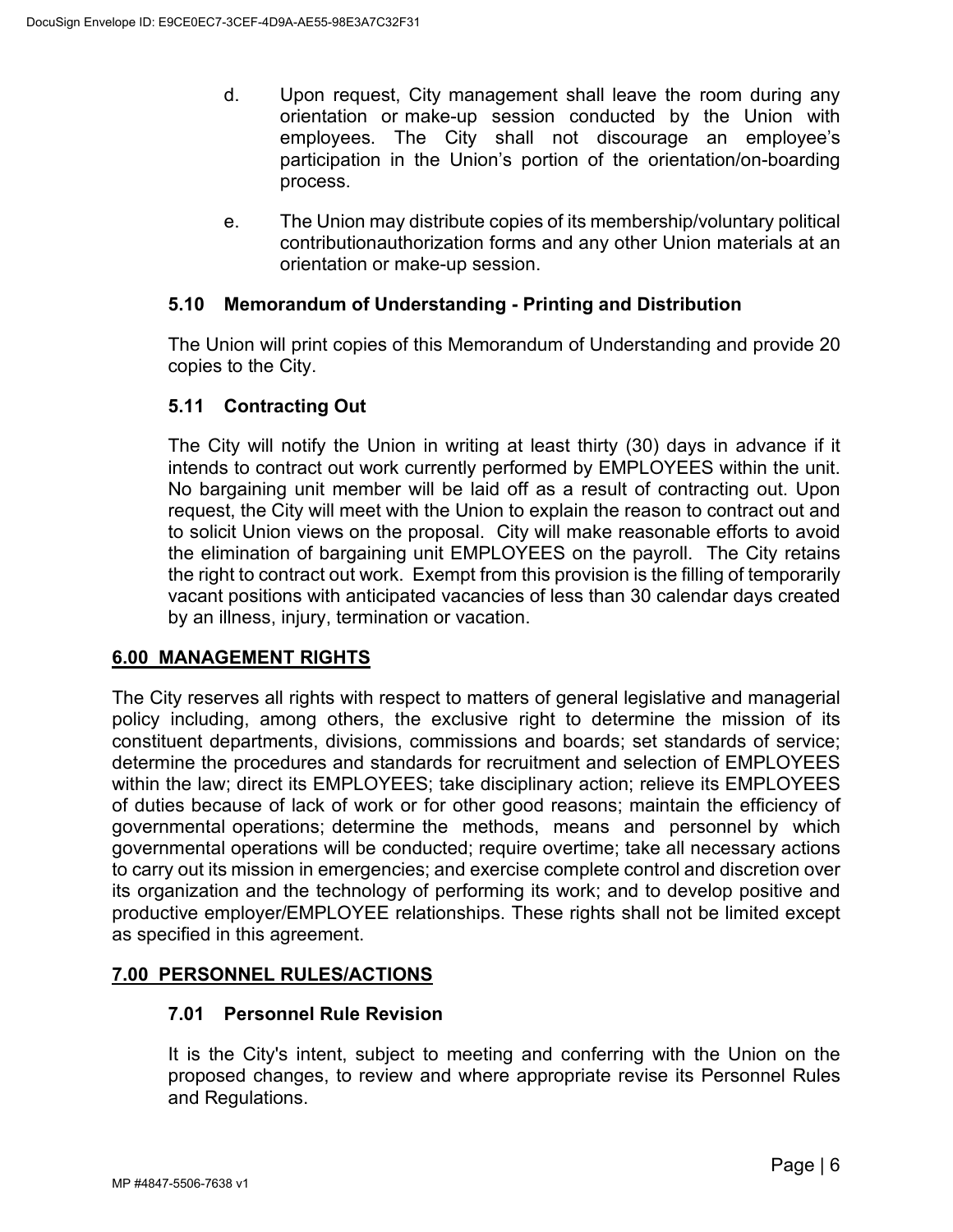- d. Upon request, City management shall leave the room during any orientation or make-up session conducted by the Union with employees. The City shall not discourage an employee's participation in the Union's portion of the orientation/on-boarding process.
- e. The Union may distribute copies of its membership/voluntary political contributionauthorization forms and any other Union materials at an orientation or make-up session.

### <span id="page-9-0"></span>**5.10 Memorandum of Understanding - Printing and Distribution**

The Union will print copies of this Memorandum of Understanding and provide 20 copies to the City.

## <span id="page-9-1"></span>**5.11 Contracting Out**

The City will notify the Union in writing at least thirty (30) days in advance if it intends to contract out work currently performed by EMPLOYEES within the unit. No bargaining unit member will be laid off as a result of contracting out. Upon request, the City will meet with the Union to explain the reason to contract out and to solicit Union views on the proposal. City will make reasonable efforts to avoid the elimination of bargaining unit EMPLOYEES on the payroll. The City retains the right to contract out work. Exempt from this provision is the filling of temporarily vacant positions with anticipated vacancies of less than 30 calendar days created by an illness, injury, termination or vacation.

## <span id="page-9-2"></span>**6.00 MANAGEMENT RIGHTS**

The City reserves all rights with respect to matters of general legislative and managerial policy including, among others, the exclusive right to determine the mission of its constituent departments, divisions, commissions and boards; set standards of service; determine the procedures and standards for recruitment and selection of EMPLOYEES within the law; direct its EMPLOYEES; take disciplinary action; relieve its EMPLOYEES of duties because of lack of work or for other good reasons; maintain the efficiency of governmental operations; determine the methods, means and personnel by which governmental operations will be conducted; require overtime; take all necessary actions to carry out its mission in emergencies; and exercise complete control and discretion over its organization and the technology of performing its work; and to develop positive and productive employer/EMPLOYEE relationships. These rights shall not be limited except as specified in this agreement.

## <span id="page-9-4"></span><span id="page-9-3"></span>**7.00 PERSONNEL RULES/ACTIONS**

#### **7.01 Personnel Rule Revision**

It is the City's intent, subject to meeting and conferring with the Union on the proposed changes, to review and where appropriate revise its Personnel Rules and Regulations.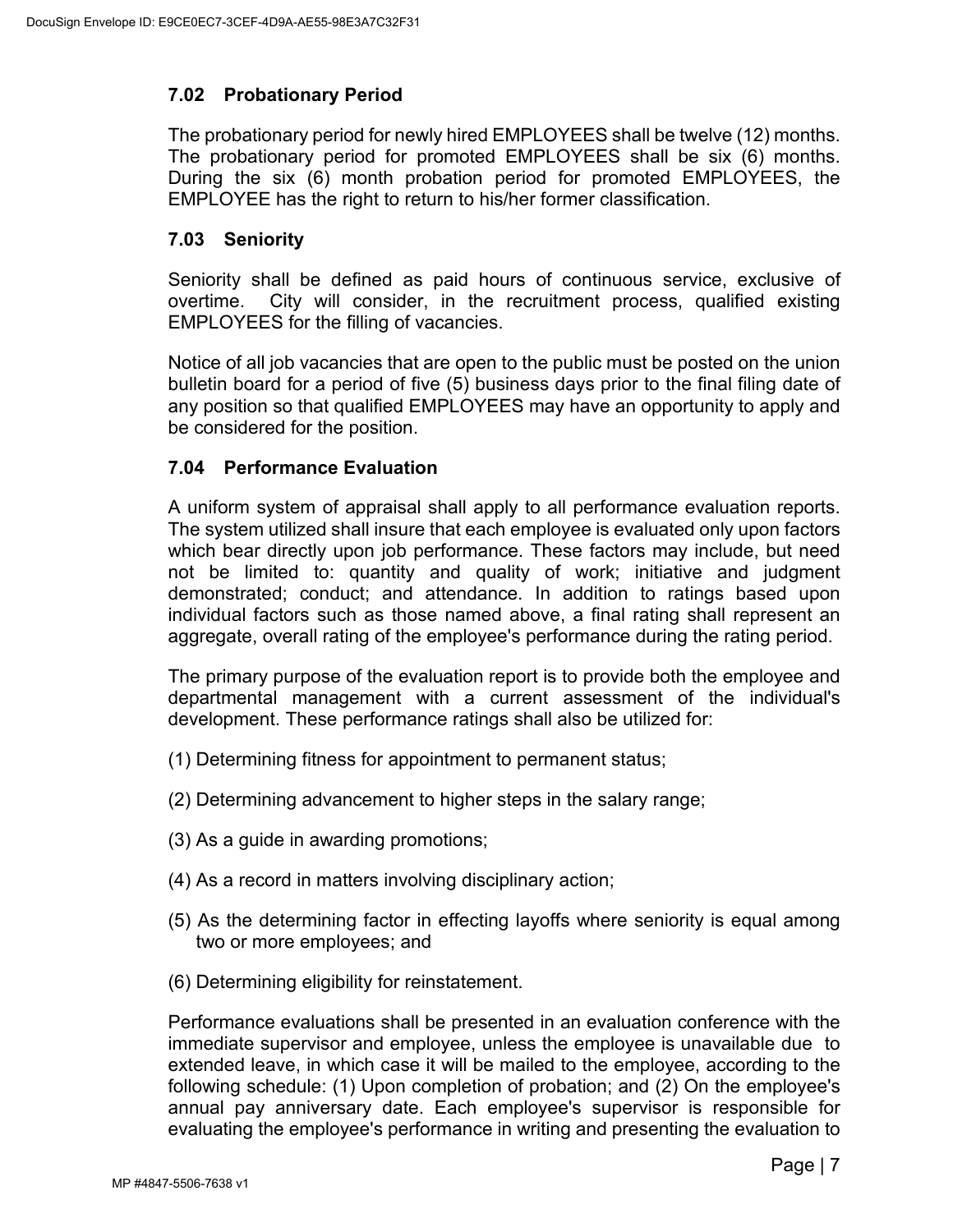# <span id="page-10-0"></span>**7.02 Probationary Period**

The probationary period for newly hired EMPLOYEES shall be twelve (12) months. The probationary period for promoted EMPLOYEES shall be six (6) months. During the six (6) month probation period for promoted EMPLOYEES, the EMPLOYEE has the right to return to his/her former classification.

### <span id="page-10-1"></span>**7.03 Seniority**

Seniority shall be defined as paid hours of continuous service, exclusive of overtime. City will consider, in the recruitment process, qualified existing EMPLOYEES for the filling of vacancies.

Notice of all job vacancies that are open to the public must be posted on the union bulletin board for a period of five (5) business days prior to the final filing date of any position so that qualified EMPLOYEES may have an opportunity to apply and be considered for the position.

### <span id="page-10-2"></span>**7.04 Performance Evaluation**

A uniform system of appraisal shall apply to all performance evaluation reports. The system utilized shall insure that each employee is evaluated only upon factors which bear directly upon job performance. These factors may include, but need not be limited to: quantity and quality of work; initiative and judgment demonstrated; conduct; and attendance. In addition to ratings based upon individual factors such as those named above, a final rating shall represent an aggregate, overall rating of the employee's performance during the rating period.

The primary purpose of the evaluation report is to provide both the employee and departmental management with a current assessment of the individual's development. These performance ratings shall also be utilized for:

- (1) Determining fitness for appointment to permanent status;
- (2) Determining advancement to higher steps in the salary range;
- (3) As a guide in awarding promotions;
- (4) As a record in matters involving disciplinary action;
- (5) As the determining factor in effecting layoffs where seniority is equal among two or more employees; and
- (6) Determining eligibility for reinstatement.

Performance evaluations shall be presented in an evaluation conference with the immediate supervisor and employee, unless the employee is unavailable due to extended leave, in which case it will be mailed to the employee, according to the following schedule: (1) Upon completion of probation; and (2) On the employee's annual pay anniversary date. Each employee's supervisor is responsible for evaluating the employee's performance in writing and presenting the evaluation to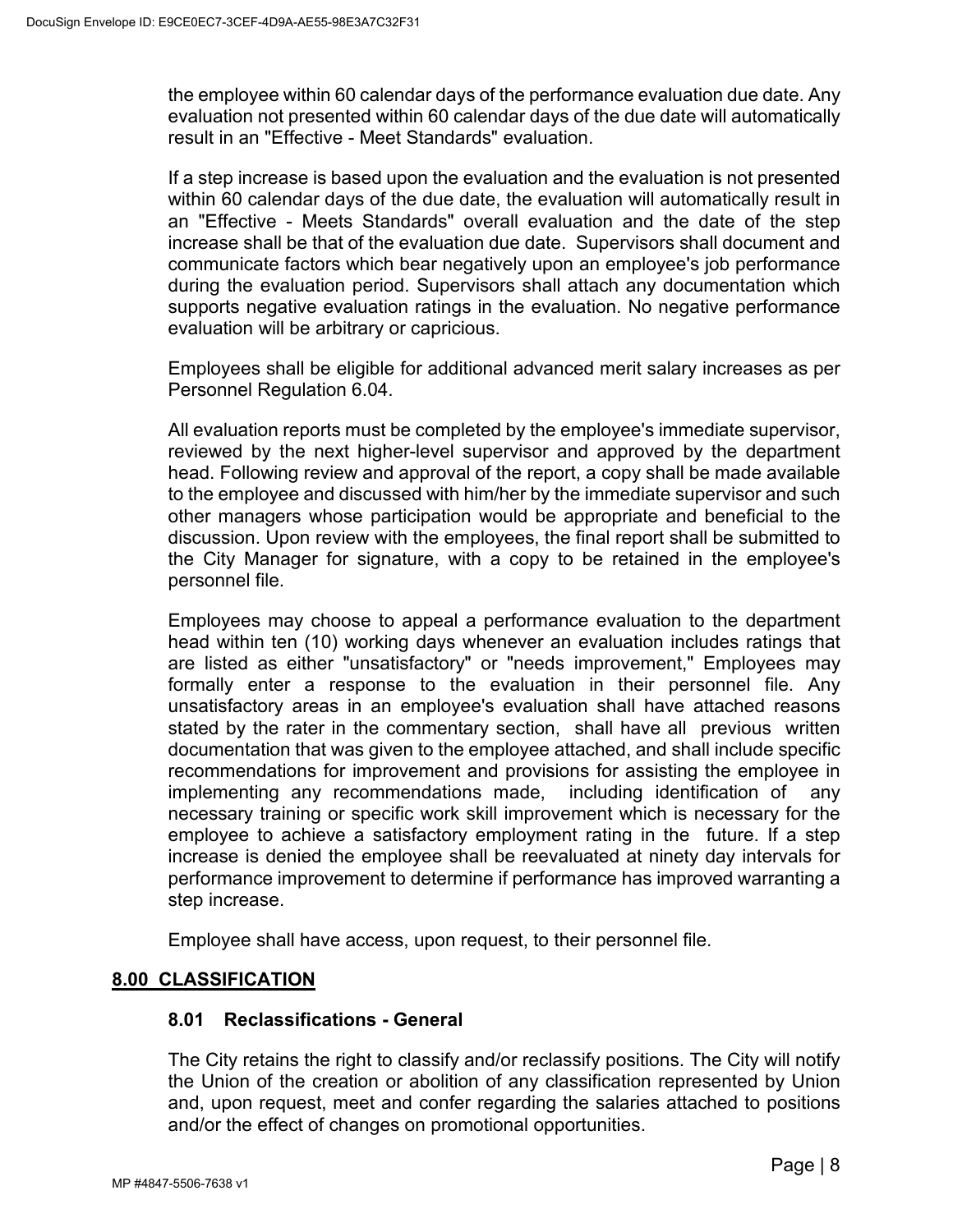the employee within 60 calendar days of the performance evaluation due date. Any evaluation not presented within 60 calendar days of the due date will automatically result in an "Effective - Meet Standards" evaluation.

If a step increase is based upon the evaluation and the evaluation is not presented within 60 calendar days of the due date, the evaluation will automatically result in an "Effective - Meets Standards" overall evaluation and the date of the step increase shall be that of the evaluation due date. Supervisors shall document and communicate factors which bear negatively upon an employee's job performance during the evaluation period. Supervisors shall attach any documentation which supports negative evaluation ratings in the evaluation. No negative performance evaluation will be arbitrary or capricious.

Employees shall be eligible for additional advanced merit salary increases as per Personnel Regulation 6.04.

All evaluation reports must be completed by the employee's immediate supervisor, reviewed by the next higher-level supervisor and approved by the department head. Following review and approval of the report, a copy shall be made available to the employee and discussed with him/her by the immediate supervisor and such other managers whose participation would be appropriate and beneficial to the discussion. Upon review with the employees, the final report shall be submitted to the City Manager for signature, with a copy to be retained in the employee's personnel file.

Employees may choose to appeal a performance evaluation to the department head within ten (10) working days whenever an evaluation includes ratings that are listed as either "unsatisfactory" or "needs improvement," Employees may formally enter a response to the evaluation in their personnel file. Any unsatisfactory areas in an employee's evaluation shall have attached reasons stated by the rater in the commentary section, shall have all previous written documentation that was given to the employee attached, and shall include specific recommendations for improvement and provisions for assisting the employee in implementing any recommendations made, including identification of any necessary training or specific work skill improvement which is necessary for the employee to achieve a satisfactory employment rating in the future. If a step increase is denied the employee shall be reevaluated at ninety day intervals for performance improvement to determine if performance has improved warranting a step increase.

Employee shall have access, upon request, to their personnel file.

## <span id="page-11-1"></span><span id="page-11-0"></span>**8.00 CLASSIFICATION**

#### **8.01 Reclassifications - General**

The City retains the right to classify and/or reclassify positions. The City will notify the Union of the creation or abolition of any classification represented by Union and, upon request, meet and confer regarding the salaries attached to positions and/or the effect of changes on promotional opportunities.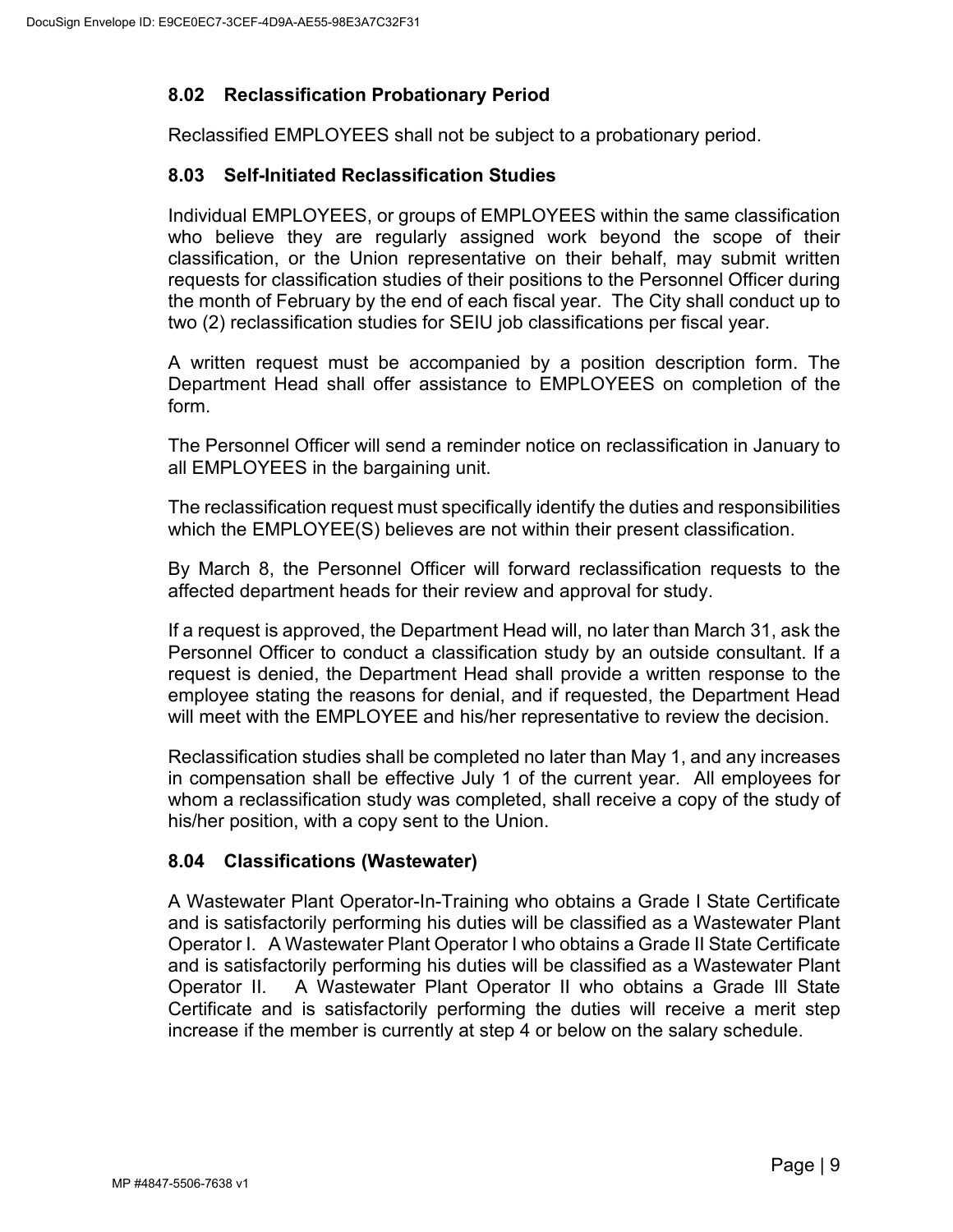# <span id="page-12-0"></span>**8.02 Reclassification Probationary Period**

Reclassified EMPLOYEES shall not be subject to a probationary period.

## <span id="page-12-1"></span>**8.03 Self-Initiated Reclassification Studies**

Individual EMPLOYEES, or groups of EMPLOYEES within the same classification who believe they are regularly assigned work beyond the scope of their classification, or the Union representative on their behalf, may submit written requests for classification studies of their positions to the Personnel Officer during the month of February by the end of each fiscal year. The City shall conduct up to two (2) reclassification studies for SEIU job classifications per fiscal year.

A written request must be accompanied by a position description form. The Department Head shall offer assistance to EMPLOYEES on completion of the form.

The Personnel Officer will send a reminder notice on reclassification in January to all EMPLOYEES in the bargaining unit.

The reclassification request must specifically identify the duties and responsibilities which the EMPLOYEE(S) believes are not within their present classification.

By March 8, the Personnel Officer will forward reclassification requests to the affected department heads for their review and approval for study.

If a request is approved, the Department Head will, no later than March 31, ask the Personnel Officer to conduct a classification study by an outside consultant. If a request is denied, the Department Head shall provide a written response to the employee stating the reasons for denial, and if requested, the Department Head will meet with the EMPLOYEE and his/her representative to review the decision.

Reclassification studies shall be completed no later than May 1, and any increases in compensation shall be effective July 1 of the current year. All employees for whom a reclassification study was completed, shall receive a copy of the study of his/her position, with a copy sent to the Union.

## <span id="page-12-2"></span>**8.04 Classifications (Wastewater)**

A Wastewater Plant Operator-In-Training who obtains a Grade I State Certificate and is satisfactorily performing his duties will be classified as a Wastewater Plant Operator I. A Wastewater Plant Operator I who obtains a Grade II State Certificate and is satisfactorily performing his duties will be classified as a Wastewater Plant Operator II. A Wastewater Plant Operator II who obtains a Grade Ill State Certificate and is satisfactorily performing the duties will receive a merit step increase if the member is currently at step 4 or below on the salary schedule.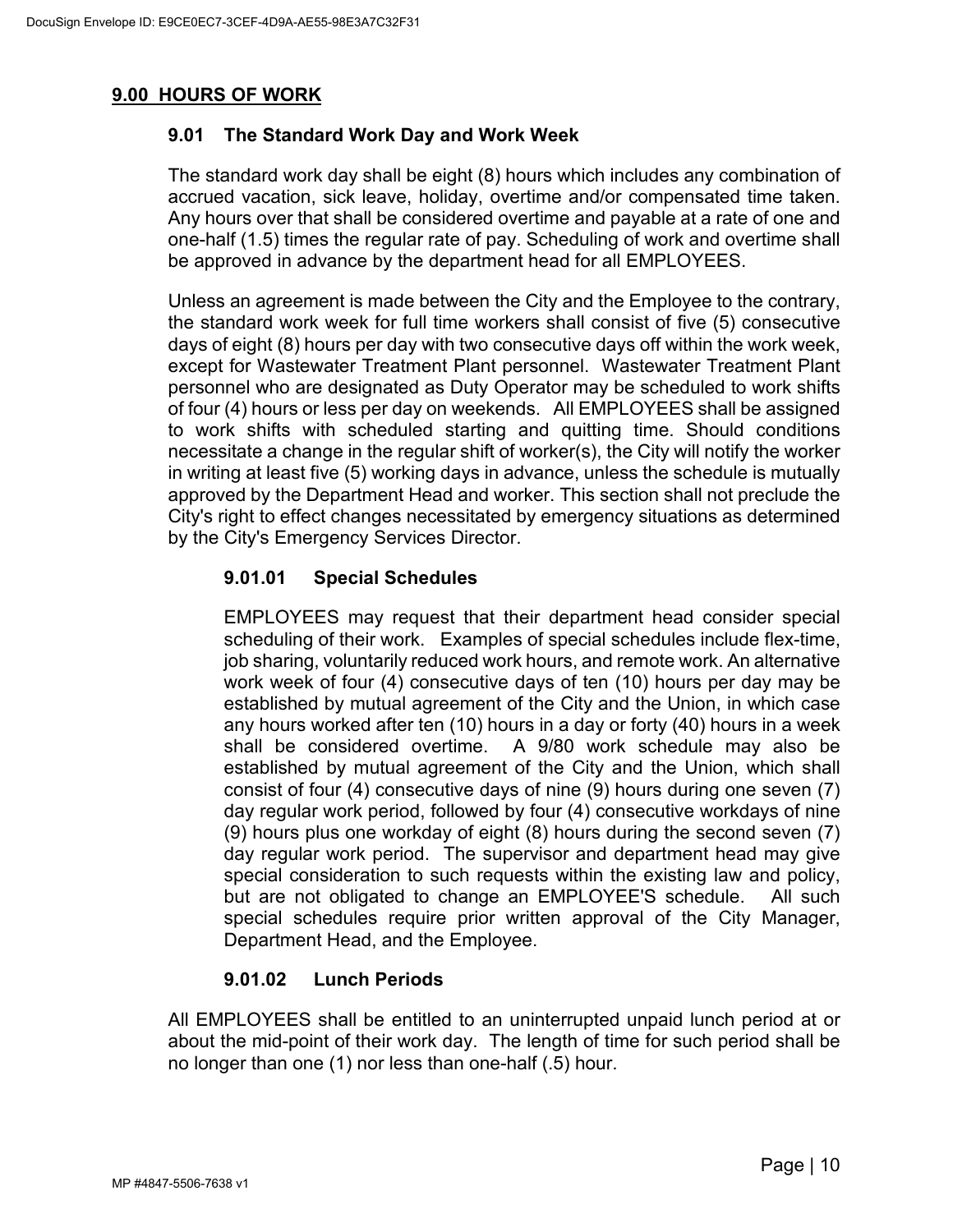# <span id="page-13-1"></span><span id="page-13-0"></span>**9.00 HOURS OF WORK**

# **9.01 The Standard Work Day and Work Week**

The standard work day shall be eight (8) hours which includes any combination of accrued vacation, sick leave, holiday, overtime and/or compensated time taken. Any hours over that shall be considered overtime and payable at a rate of one and one-half (1.5) times the regular rate of pay. Scheduling of work and overtime shall be approved in advance by the department head for all EMPLOYEES.

Unless an agreement is made between the City and the Employee to the contrary, the standard work week for full time workers shall consist of five (5) consecutive days of eight (8) hours per day with two consecutive days off within the work week, except for Wastewater Treatment Plant personnel. Wastewater Treatment Plant personnel who are designated as Duty Operator may be scheduled to work shifts of four (4) hours or less per day on weekends. All EMPLOYEES shall be assigned to work shifts with scheduled starting and quitting time. Should conditions necessitate a change in the regular shift of worker(s), the City will notify the worker in writing at least five (5) working days in advance, unless the schedule is mutually approved by the Department Head and worker. This section shall not preclude the City's right to effect changes necessitated by emergency situations as determined by the City's Emergency Services Director.

# **9.01.01 Special Schedules**

EMPLOYEES may request that their department head consider special scheduling of their work. Examples of special schedules include flex-time, job sharing, voluntarily reduced work hours, and remote work. An alternative work week of four (4) consecutive days of ten (10) hours per day may be established by mutual agreement of the City and the Union, in which case any hours worked after ten (10) hours in a day or forty (40) hours in a week shall be considered overtime. A 9/80 work schedule may also be established by mutual agreement of the City and the Union, which shall consist of four (4) consecutive days of nine (9) hours during one seven (7) day regular work period, followed by four (4) consecutive workdays of nine (9) hours plus one workday of eight (8) hours during the second seven (7) day regular work period. The supervisor and department head may give special consideration to such requests within the existing law and policy, but are not obligated to change an EMPLOYEE'S schedule. All such special schedules require prior written approval of the City Manager, Department Head, and the Employee.

## **9.01.02 Lunch Periods**

All EMPLOYEES shall be entitled to an uninterrupted unpaid lunch period at or about the mid-point of their work day. The length of time for such period shall be no longer than one (1) nor less than one-half (.5) hour.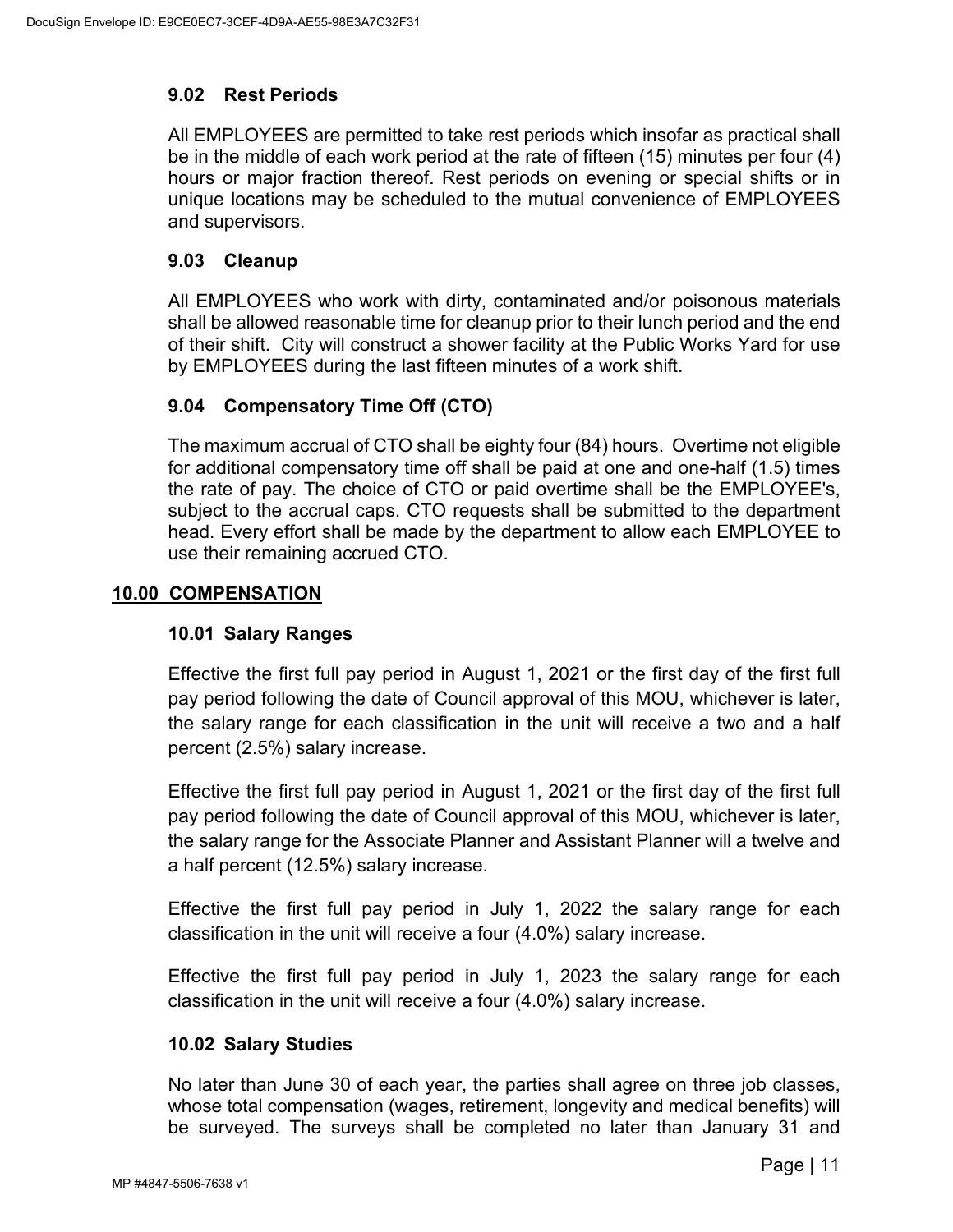# <span id="page-14-0"></span>**9.02 Rest Periods**

All EMPLOYEES are permitted to take rest periods which insofar as practical shall be in the middle of each work period at the rate of fifteen (15) minutes per four (4) hours or major fraction thereof. Rest periods on evening or special shifts or in unique locations may be scheduled to the mutual convenience of EMPLOYEES and supervisors.

### <span id="page-14-1"></span>**9.03 Cleanup**

All EMPLOYEES who work with dirty, contaminated and/or poisonous materials shall be allowed reasonable time for cleanup prior to their lunch period and the end of their shift. City will construct a shower facility at the Public Works Yard for use by EMPLOYEES during the last fifteen minutes of a work shift.

## <span id="page-14-2"></span>**9.04 Compensatory Time Off (CTO)**

The maximum accrual of CTO shall be eighty four (84) hours. Overtime not eligible for additional compensatory time off shall be paid at one and one-half (1.5) times the rate of pay. The choice of CTO or paid overtime shall be the EMPLOYEE's, subject to the accrual caps. CTO requests shall be submitted to the department head. Every effort shall be made by the department to allow each EMPLOYEE to use their remaining accrued CTO.

## <span id="page-14-4"></span><span id="page-14-3"></span>**10.00 COMPENSATION**

## **10.01 Salary Ranges**

Effective the first full pay period in August 1, 2021 or the first day of the first full pay period following the date of Council approval of this MOU, whichever is later, the salary range for each classification in the unit will receive a two and a half percent (2.5%) salary increase.

Effective the first full pay period in August 1, 2021 or the first day of the first full pay period following the date of Council approval of this MOU, whichever is later, the salary range for the Associate Planner and Assistant Planner will a twelve and a half percent (12.5%) salary increase.

Effective the first full pay period in July 1, 2022 the salary range for each classification in the unit will receive a four (4.0%) salary increase.

Effective the first full pay period in July 1, 2023 the salary range for each classification in the unit will receive a four (4.0%) salary increase.

## <span id="page-14-5"></span>**10.02 Salary Studies**

No later than June 30 of each year, the parties shall agree on three job classes, whose total compensation (wages, retirement, longevity and medical benefits) will be surveyed. The surveys shall be completed no later than January 31 and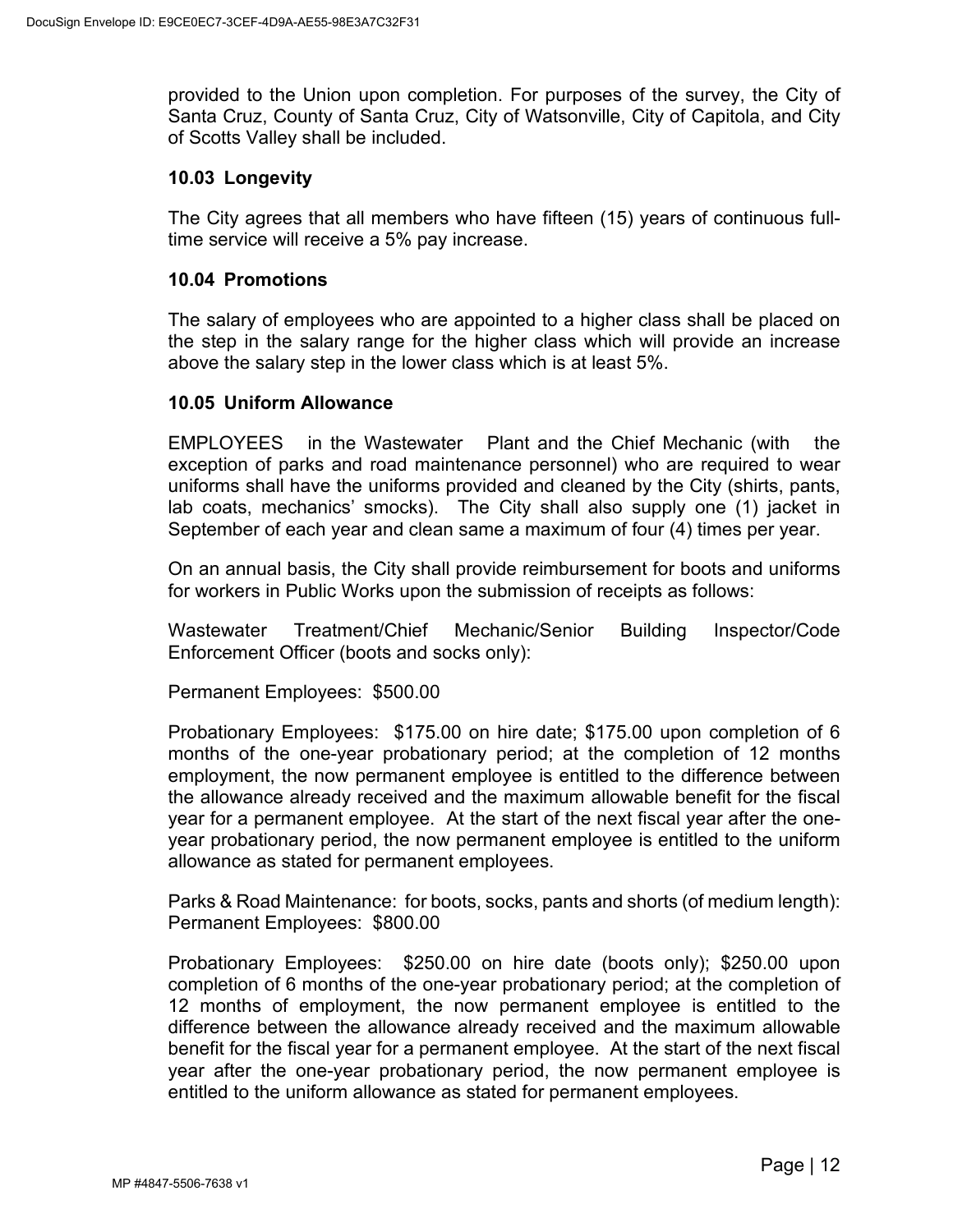provided to the Union upon completion. For purposes of the survey, the City of Santa Cruz, County of Santa Cruz, City of Watsonville, City of Capitola, and City of Scotts Valley shall be included.

#### <span id="page-15-0"></span>**10.03 Longevity**

The City agrees that all members who have fifteen (15) years of continuous fulltime service will receive a 5% pay increase.

### <span id="page-15-1"></span>**10.04 Promotions**

The salary of employees who are appointed to a higher class shall be placed on the step in the salary range for the higher class which will provide an increase above the salary step in the lower class which is at least 5%.

### <span id="page-15-2"></span>**10.05 Uniform Allowance**

EMPLOYEES in the Wastewater Plant and the Chief Mechanic (with the exception of parks and road maintenance personnel) who are required to wear uniforms shall have the uniforms provided and cleaned by the City (shirts, pants, lab coats, mechanics' smocks). The City shall also supply one (1) jacket in September of each year and clean same a maximum of four (4) times per year.

On an annual basis, the City shall provide reimbursement for boots and uniforms for workers in Public Works upon the submission of receipts as follows:

Wastewater Treatment/Chief Mechanic/Senior Building Inspector/Code Enforcement Officer (boots and socks only):

Permanent Employees: \$500.00

Probationary Employees: \$175.00 on hire date; \$175.00 upon completion of 6 months of the one-year probationary period; at the completion of 12 months employment, the now permanent employee is entitled to the difference between the allowance already received and the maximum allowable benefit for the fiscal year for a permanent employee. At the start of the next fiscal year after the oneyear probationary period, the now permanent employee is entitled to the uniform allowance as stated for permanent employees.

Parks & Road Maintenance: for boots, socks, pants and shorts (of medium length): Permanent Employees: \$800.00

Probationary Employees: \$250.00 on hire date (boots only); \$250.00 upon completion of 6 months of the one-year probationary period; at the completion of 12 months of employment, the now permanent employee is entitled to the difference between the allowance already received and the maximum allowable benefit for the fiscal year for a permanent employee. At the start of the next fiscal year after the one-year probationary period, the now permanent employee is entitled to the uniform allowance as stated for permanent employees.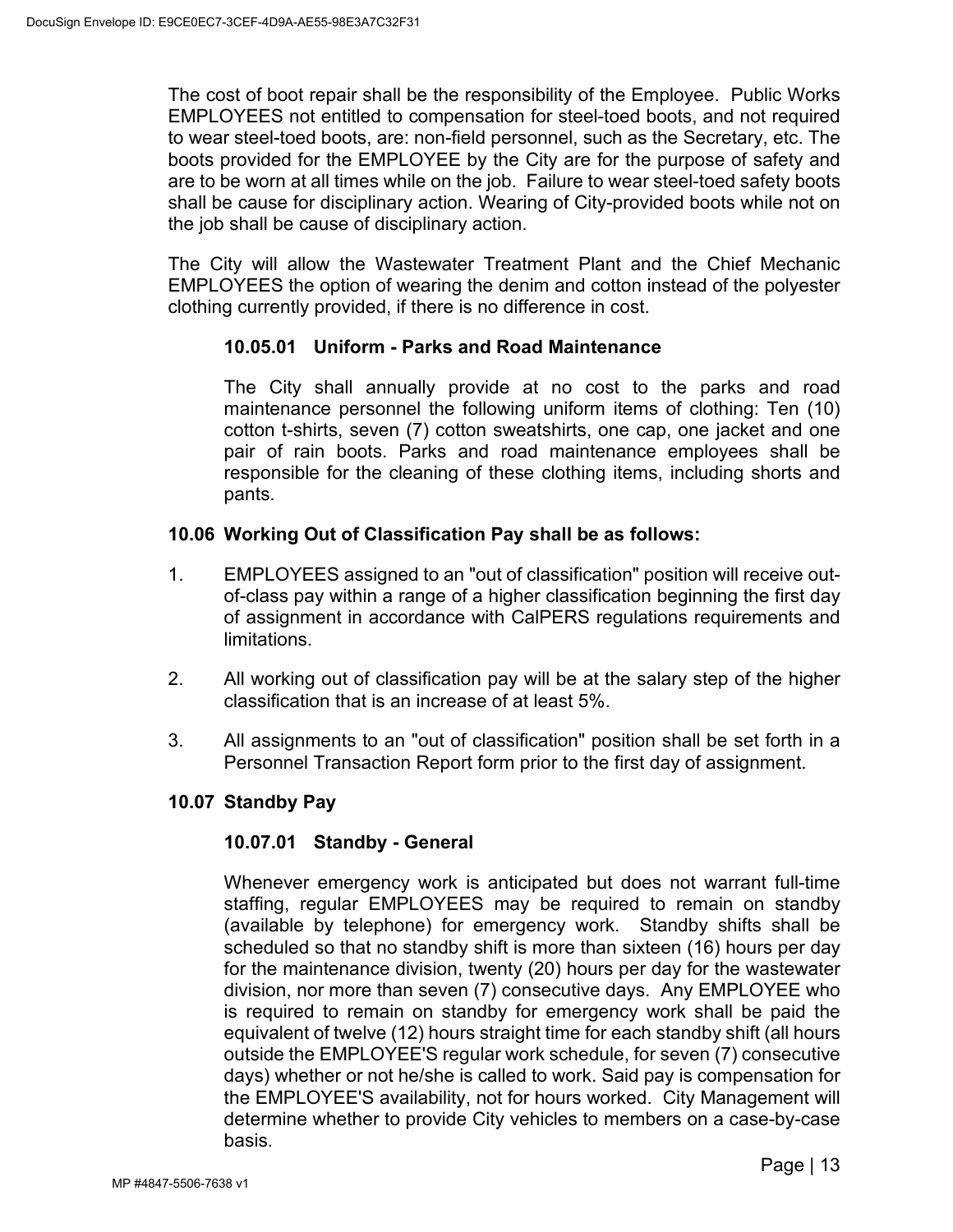The cost of boot repair shall be the responsibility of the Employee. Public Works EMPLOYEES not entitled to compensation for steel-toed boots, and not required to wear steel-toed boots, are: non-field personnel, such as the Secretary, etc. The boots provided for the EMPLOYEE by the City are for the purpose of safety and are to be worn at all times while on the job. Failure to wear steel-toed safety boots shall be cause for disciplinary action. Wearing of City-provided boots while not on the job shall be cause of disciplinary action.

The City will allow the Wastewater Treatment Plant and the Chief Mechanic EMPLOYEES the option of wearing the denim and cotton instead of the polyester clothing currently provided, if there is no difference in cost.

### **10.05.01 Uniform - Parks and Road Maintenance**

The City shall annually provide at no cost to the parks and road maintenance personnel the following uniform items of clothing: Ten (10) cotton t-shirts, seven (7) cotton sweatshirts, one cap, one jacket and one pair of rain boots. Parks and road maintenance employees shall be responsible for the cleaning of these clothing items, including shorts and pants.

### <span id="page-16-0"></span>**10.06 Working Out of Classification Pay shall be as follows:**

- 1. EMPLOYEES assigned to an "out of classification" position will receive outof-class pay within a range of a higher classification beginning the first day of assignment in accordance with CalPERS regulations requirements and limitations.
- 2. All working out of classification pay will be at the salary step of the higher classification that is an increase of at least 5%.
- 3. All assignments to an "out of classification" position shall be set forth in a Personnel Transaction Report form prior to the first day of assignment.

#### <span id="page-16-1"></span>**10.07 Standby Pay**

#### **10.07.01 Standby - General**

Whenever emergency work is anticipated but does not warrant full-time staffing, regular EMPLOYEES may be required to remain on standby (available by telephone) for emergency work. Standby shifts shall be scheduled so that no standby shift is more than sixteen (16) hours per day for the maintenance division, twenty (20) hours per day for the wastewater division, nor more than seven (7) consecutive days. Any EMPLOYEE who is required to remain on standby for emergency work shall be paid the equivalent of twelve (12) hours straight time for each standby shift (all hours outside the EMPLOYEE'S regular work schedule, for seven (7) consecutive days) whether or not he/she is called to work. Said pay is compensation for the EMPLOYEE'S availability, not for hours worked. City Management will determine whether to provide City vehicles to members on a case-by-case basis.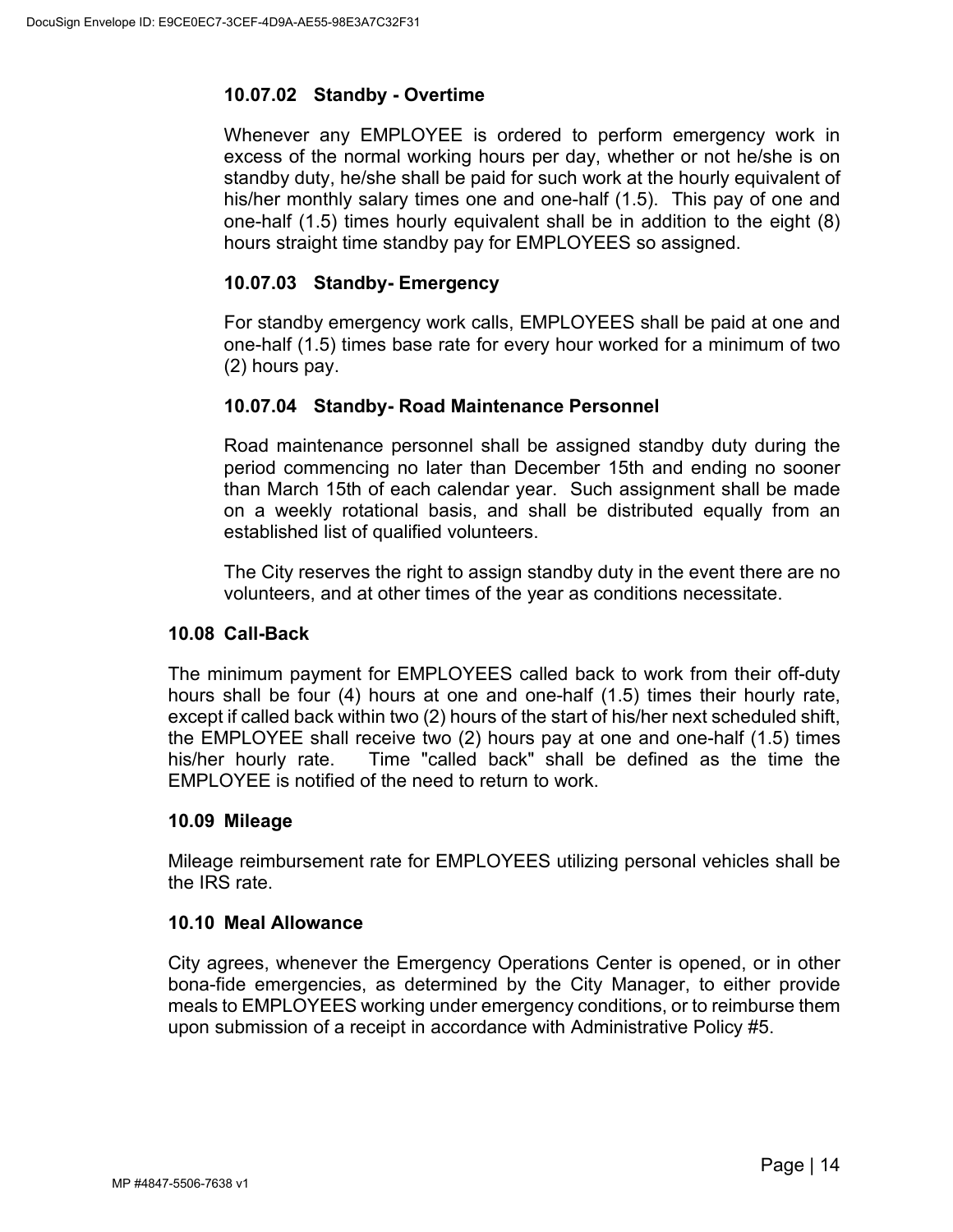# **10.07.02 Standby - Overtime**

Whenever any EMPLOYEE is ordered to perform emergency work in excess of the normal working hours per day, whether or not he/she is on standby duty, he/she shall be paid for such work at the hourly equivalent of his/her monthly salary times one and one-half (1.5). This pay of one and one-half (1.5) times hourly equivalent shall be in addition to the eight (8) hours straight time standby pay for EMPLOYEES so assigned.

# **10.07.03 Standby- Emergency**

For standby emergency work calls, EMPLOYEES shall be paid at one and one-half (1.5) times base rate for every hour worked for a minimum of two (2) hours pay.

# **10.07.04 Standby- Road Maintenance Personnel**

Road maintenance personnel shall be assigned standby duty during the period commencing no later than December 15th and ending no sooner than March 15th of each calendar year. Such assignment shall be made on a weekly rotational basis, and shall be distributed equally from an established list of qualified volunteers.

The City reserves the right to assign standby duty in the event there are no volunteers, and at other times of the year as conditions necessitate.

## <span id="page-17-0"></span>**10.08 Call-Back**

The minimum payment for EMPLOYEES called back to work from their off-duty hours shall be four (4) hours at one and one-half (1.5) times their hourly rate, except if called back within two (2) hours of the start of his/her next scheduled shift, the EMPLOYEE shall receive two (2) hours pay at one and one-half (1.5) times his/her hourly rate. Time "called back" shall be defined as the time the EMPLOYEE is notified of the need to return to work.

## <span id="page-17-1"></span>**10.09 Mileage**

Mileage reimbursement rate for EMPLOYEES utilizing personal vehicles shall be the IRS rate.

## <span id="page-17-2"></span>**10.10 Meal Allowance**

City agrees, whenever the Emergency Operations Center is opened, or in other bona-fide emergencies, as determined by the City Manager, to either provide meals to EMPLOYEES working under emergency conditions, or to reimburse them upon submission of a receipt in accordance with Administrative Policy #5.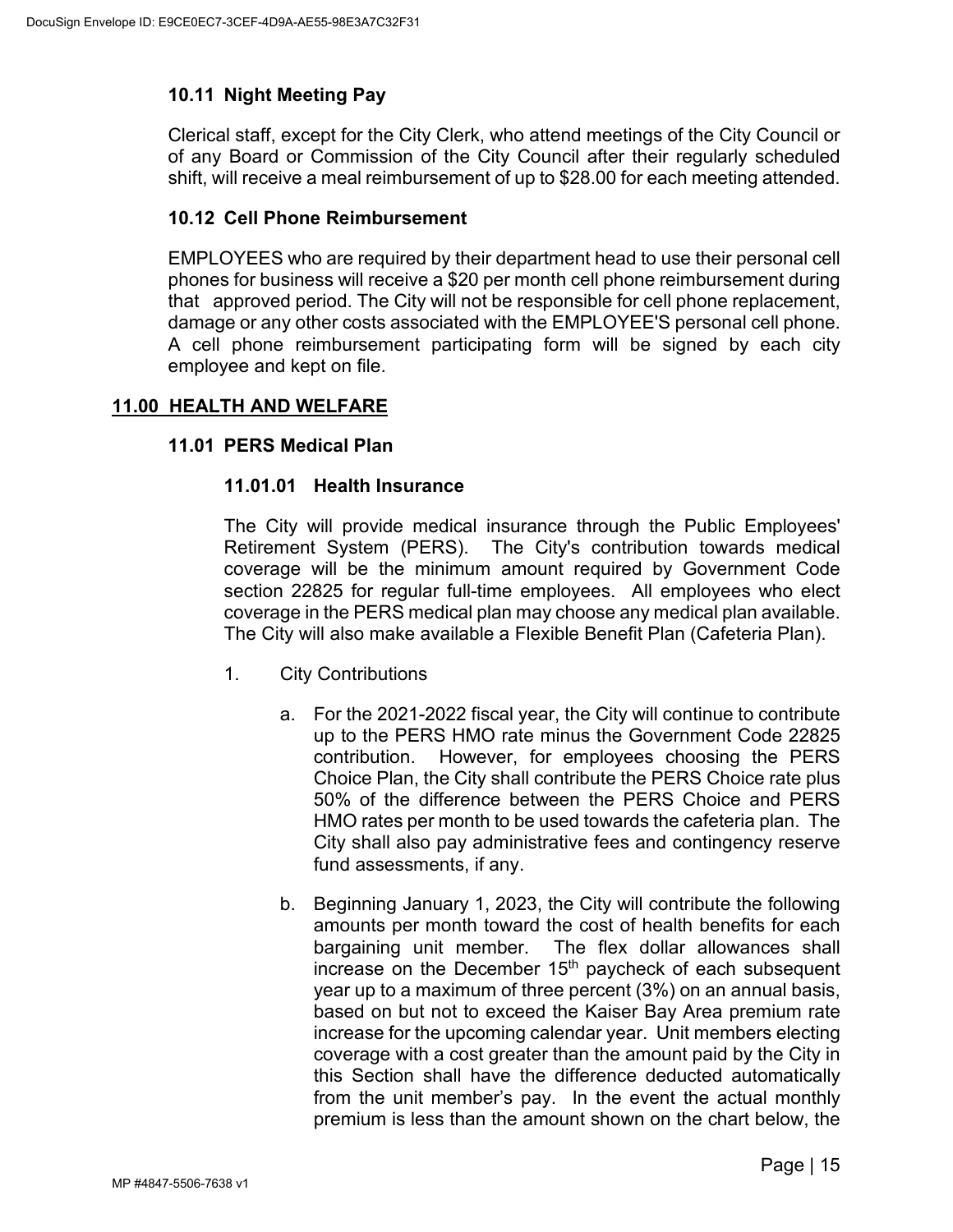# <span id="page-18-0"></span>**10.11 Night Meeting Pay**

Clerical staff, except for the City Clerk, who attend meetings of the City Council or of any Board or Commission of the City Council after their regularly scheduled shift, will receive a meal reimbursement of up to \$28.00 for each meeting attended.

### <span id="page-18-1"></span>**10.12 Cell Phone Reimbursement**

EMPLOYEES who are required by their department head to use their personal cell phones for business will receive a \$20 per month cell phone reimbursement during that approved period. The City will not be responsible for cell phone replacement, damage or any other costs associated with the EMPLOYEE'S personal cell phone. A cell phone reimbursement participating form will be signed by each city employee and kept on file.

## <span id="page-18-3"></span><span id="page-18-2"></span>**11.00 HEALTH AND WELFARE**

### **11.01 PERS Medical Plan**

### **11.01.01 Health Insurance**

The City will provide medical insurance through the Public Employees' Retirement System (PERS). The City's contribution towards medical coverage will be the minimum amount required by Government Code section 22825 for regular full-time employees. All employees who elect coverage in the PERS medical plan may choose any medical plan available. The City will also make available a Flexible Benefit Plan (Cafeteria Plan).

- 1. City Contributions
	- a. For the 2021-2022 fiscal year, the City will continue to contribute up to the PERS HMO rate minus the Government Code 22825 contribution. However, for employees choosing the PERS Choice Plan, the City shall contribute the PERS Choice rate plus 50% of the difference between the PERS Choice and PERS HMO rates per month to be used towards the cafeteria plan. The City shall also pay administrative fees and contingency reserve fund assessments, if any.
	- b. Beginning January 1, 2023, the City will contribute the following amounts per month toward the cost of health benefits for each bargaining unit member. The flex dollar allowances shall increase on the December  $15<sup>th</sup>$  paycheck of each subsequent year up to a maximum of three percent (3%) on an annual basis, based on but not to exceed the Kaiser Bay Area premium rate increase for the upcoming calendar year. Unit members electing coverage with a cost greater than the amount paid by the City in this Section shall have the difference deducted automatically from the unit member's pay. In the event the actual monthly premium is less than the amount shown on the chart below, the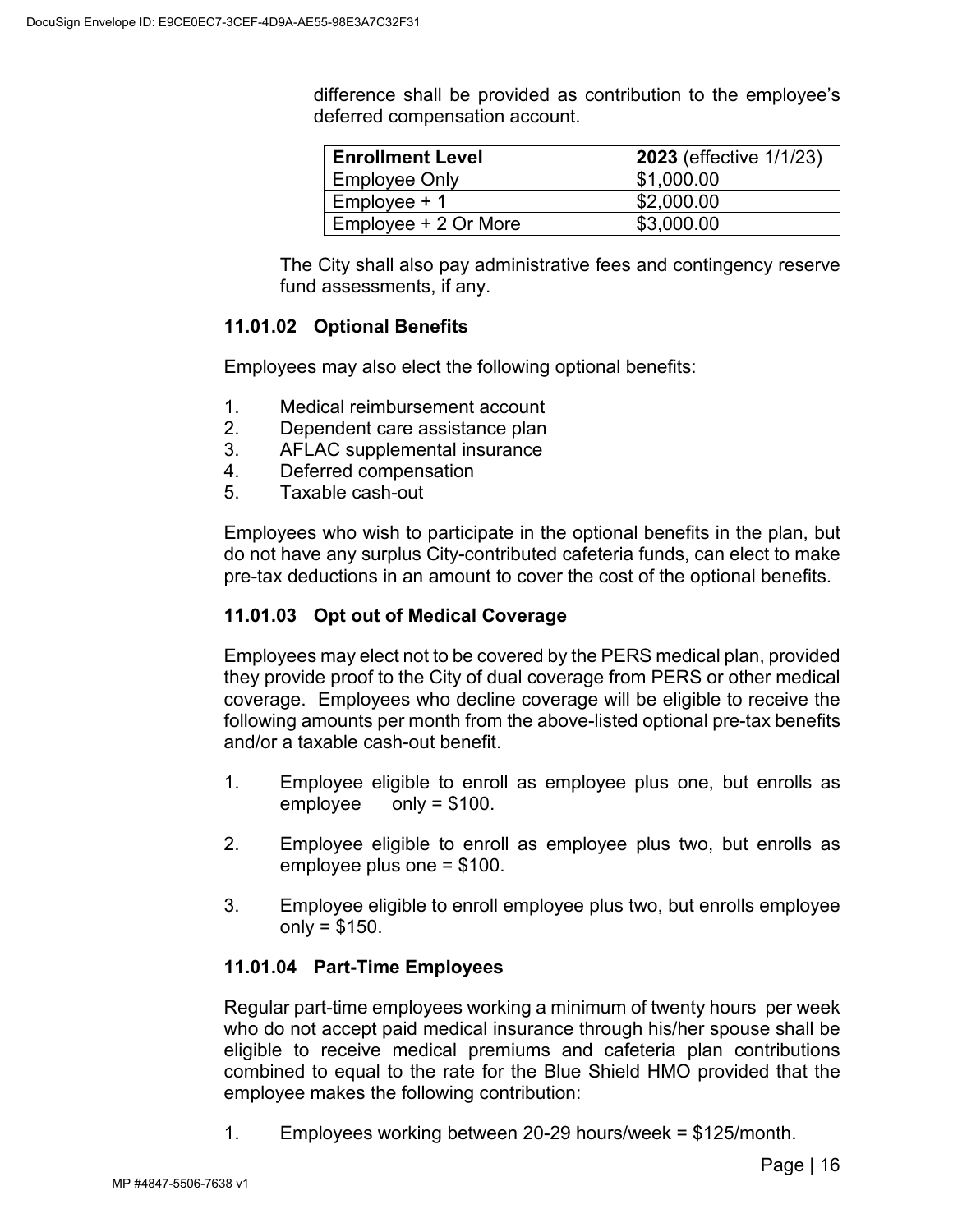difference shall be provided as contribution to the employee's deferred compensation account.

| <b>Enrollment Level</b> | <b>2023</b> (effective 1/1/23) |
|-------------------------|--------------------------------|
| <b>Employee Only</b>    | \$1,000.00                     |
| $Employee + 1$          | \$2,000.00                     |
| Employee + 2 Or More    | \$3,000.00                     |

The City shall also pay administrative fees and contingency reserve fund assessments, if any.

# **11.01.02 Optional Benefits**

Employees may also elect the following optional benefits:

- 1. Medical reimbursement account
- 2. Dependent care assistance plan
- 3. AFLAC supplemental insurance
- 4. Deferred compensation
- 5. Taxable cash-out

Employees who wish to participate in the optional benefits in the plan, but do not have any surplus City-contributed cafeteria funds, can elect to make pre-tax deductions in an amount to cover the cost of the optional benefits.

# **11.01.03 Opt out of Medical Coverage**

Employees may elect not to be covered by the PERS medical plan, provided they provide proof to the City of dual coverage from PERS or other medical coverage. Employees who decline coverage will be eligible to receive the following amounts per month from the above-listed optional pre-tax benefits and/or a taxable cash-out benefit.

- 1. Employee eligible to enroll as employee plus one, but enrolls as employee only = \$100.
- 2. Employee eligible to enroll as employee plus two, but enrolls as employee plus one = \$100.
- 3. Employee eligible to enroll employee plus two, but enrolls employee  $only = $150.$

## **11.01.04 Part-Time Employees**

Regular part-time employees working a minimum of twenty hours per week who do not accept paid medical insurance through his/her spouse shall be eligible to receive medical premiums and cafeteria plan contributions combined to equal to the rate for the Blue Shield HMO provided that the employee makes the following contribution:

1. Employees working between 20-29 hours/week = \$125/month.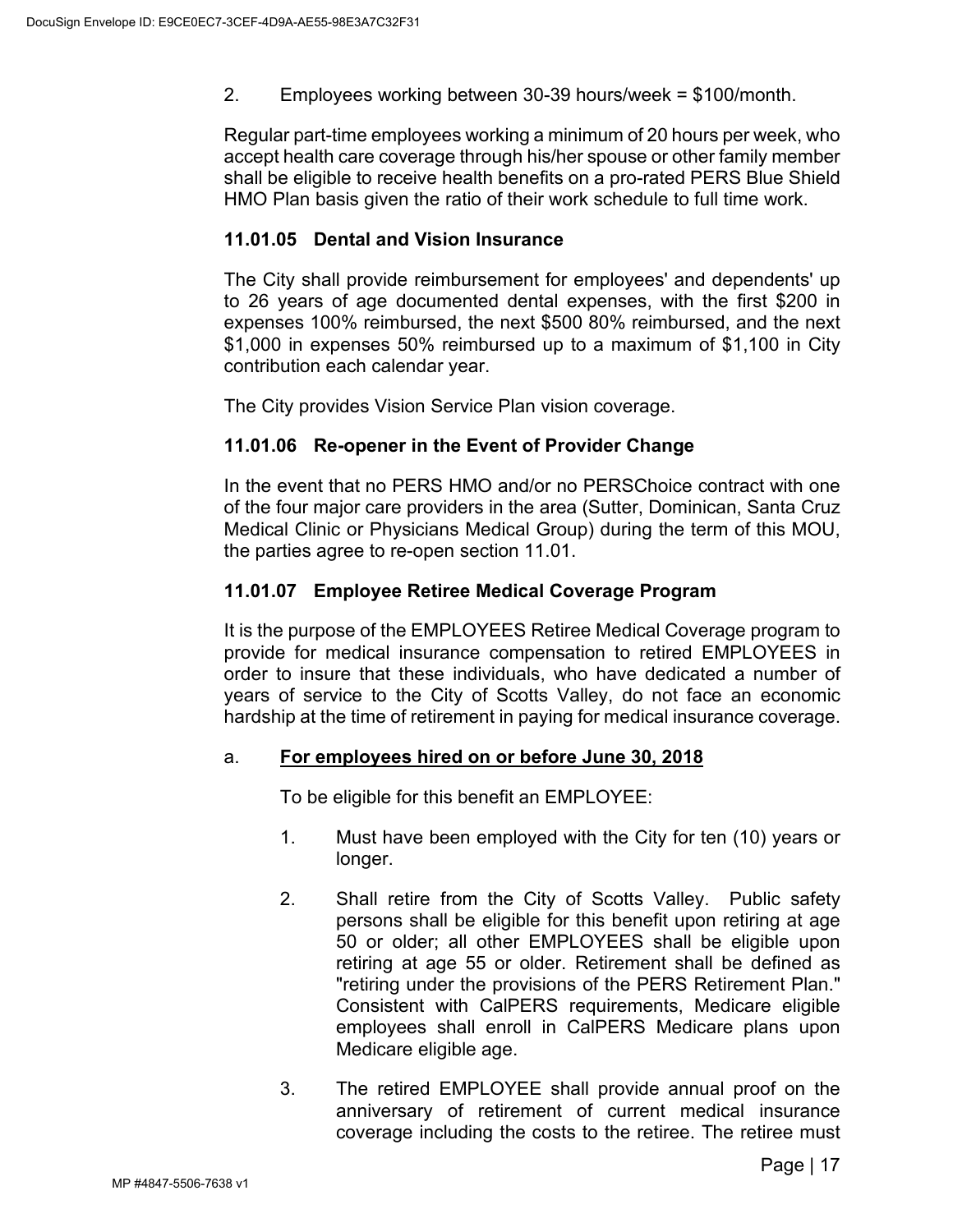2. Employees working between 30-39 hours/week = \$100/month.

Regular part-time employees working a minimum of 20 hours per week, who accept health care coverage through his/her spouse or other family member shall be eligible to receive health benefits on a pro-rated PERS Blue Shield HMO Plan basis given the ratio of their work schedule to full time work.

## **11.01.05 Dental and Vision Insurance**

The City shall provide reimbursement for employees' and dependents' up to 26 years of age documented dental expenses, with the first \$200 in expenses 100% reimbursed, the next \$500 80% reimbursed, and the next \$1,000 in expenses 50% reimbursed up to a maximum of \$1,100 in City contribution each calendar year.

The City provides Vision Service Plan vision coverage.

# **11.01.06 Re-opener in the Event of Provider Change**

In the event that no PERS HMO and/or no PERSChoice contract with one of the four major care providers in the area (Sutter, Dominican, Santa Cruz Medical Clinic or Physicians Medical Group) during the term of this MOU, the parties agree to re-open section 11.01.

## **11.01.07 Employee Retiree Medical Coverage Program**

It is the purpose of the EMPLOYEES Retiree Medical Coverage program to provide for medical insurance compensation to retired EMPLOYEES in order to insure that these individuals, who have dedicated a number of years of service to the City of Scotts Valley, do not face an economic hardship at the time of retirement in paying for medical insurance coverage.

## a. **For employees hired on or before June 30, 2018**

To be eligible for this benefit an EMPLOYEE:

- 1. Must have been employed with the City for ten (10) years or longer.
- 2. Shall retire from the City of Scotts Valley. Public safety persons shall be eligible for this benefit upon retiring at age 50 or older; all other EMPLOYEES shall be eligible upon retiring at age 55 or older. Retirement shall be defined as "retiring under the provisions of the PERS Retirement Plan." Consistent with CalPERS requirements, Medicare eligible employees shall enroll in CalPERS Medicare plans upon Medicare eligible age.
- 3. The retired EMPLOYEE shall provide annual proof on the anniversary of retirement of current medical insurance coverage including the costs to the retiree. The retiree must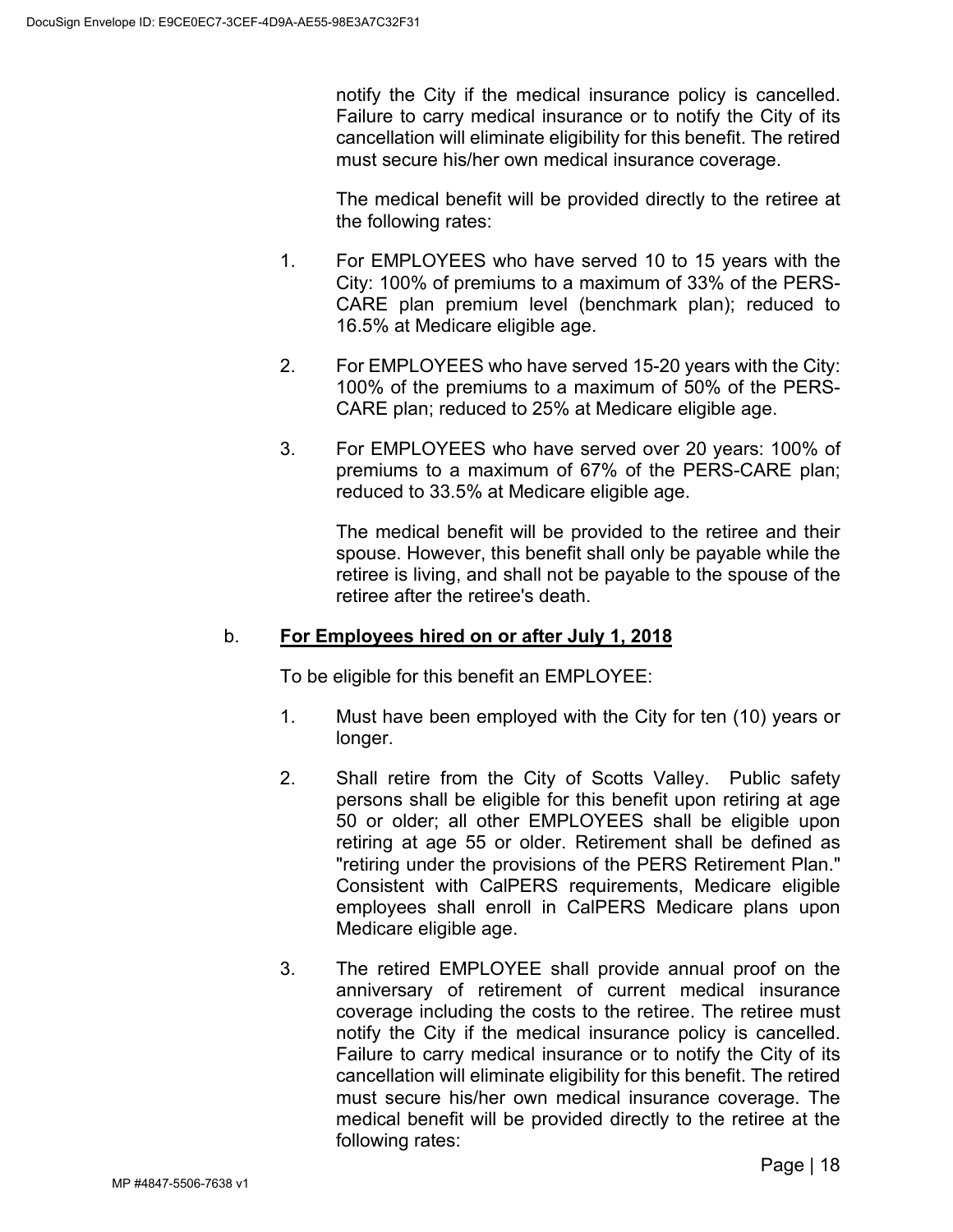notify the City if the medical insurance policy is cancelled. Failure to carry medical insurance or to notify the City of its cancellation will eliminate eligibility for this benefit. The retired must secure his/her own medical insurance coverage.

The medical benefit will be provided directly to the retiree at the following rates:

- 1. For EMPLOYEES who have served 10 to 15 years with the City: 100% of premiums to a maximum of 33% of the PERS-CARE plan premium level (benchmark plan); reduced to 16.5% at Medicare eligible age.
- 2. For EMPLOYEES who have served 15-20 years with the City: 100% of the premiums to a maximum of 50% of the PERS-CARE plan; reduced to 25% at Medicare eligible age.
- 3. For EMPLOYEES who have served over 20 years: 100% of premiums to a maximum of 67% of the PERS-CARE plan; reduced to 33.5% at Medicare eligible age.

The medical benefit will be provided to the retiree and their spouse. However, this benefit shall only be payable while the retiree is living, and shall not be payable to the spouse of the retiree after the retiree's death.

## b. **For Employees hired on or after July 1, 2018**

To be eligible for this benefit an EMPLOYEE:

- 1. Must have been employed with the City for ten (10) years or longer.
- 2. Shall retire from the City of Scotts Valley. Public safety persons shall be eligible for this benefit upon retiring at age 50 or older; all other EMPLOYEES shall be eligible upon retiring at age 55 or older. Retirement shall be defined as "retiring under the provisions of the PERS Retirement Plan." Consistent with CalPERS requirements, Medicare eligible employees shall enroll in CalPERS Medicare plans upon Medicare eligible age.
- 3. The retired EMPLOYEE shall provide annual proof on the anniversary of retirement of current medical insurance coverage including the costs to the retiree. The retiree must notify the City if the medical insurance policy is cancelled. Failure to carry medical insurance or to notify the City of its cancellation will eliminate eligibility for this benefit. The retired must secure his/her own medical insurance coverage. The medical benefit will be provided directly to the retiree at the following rates: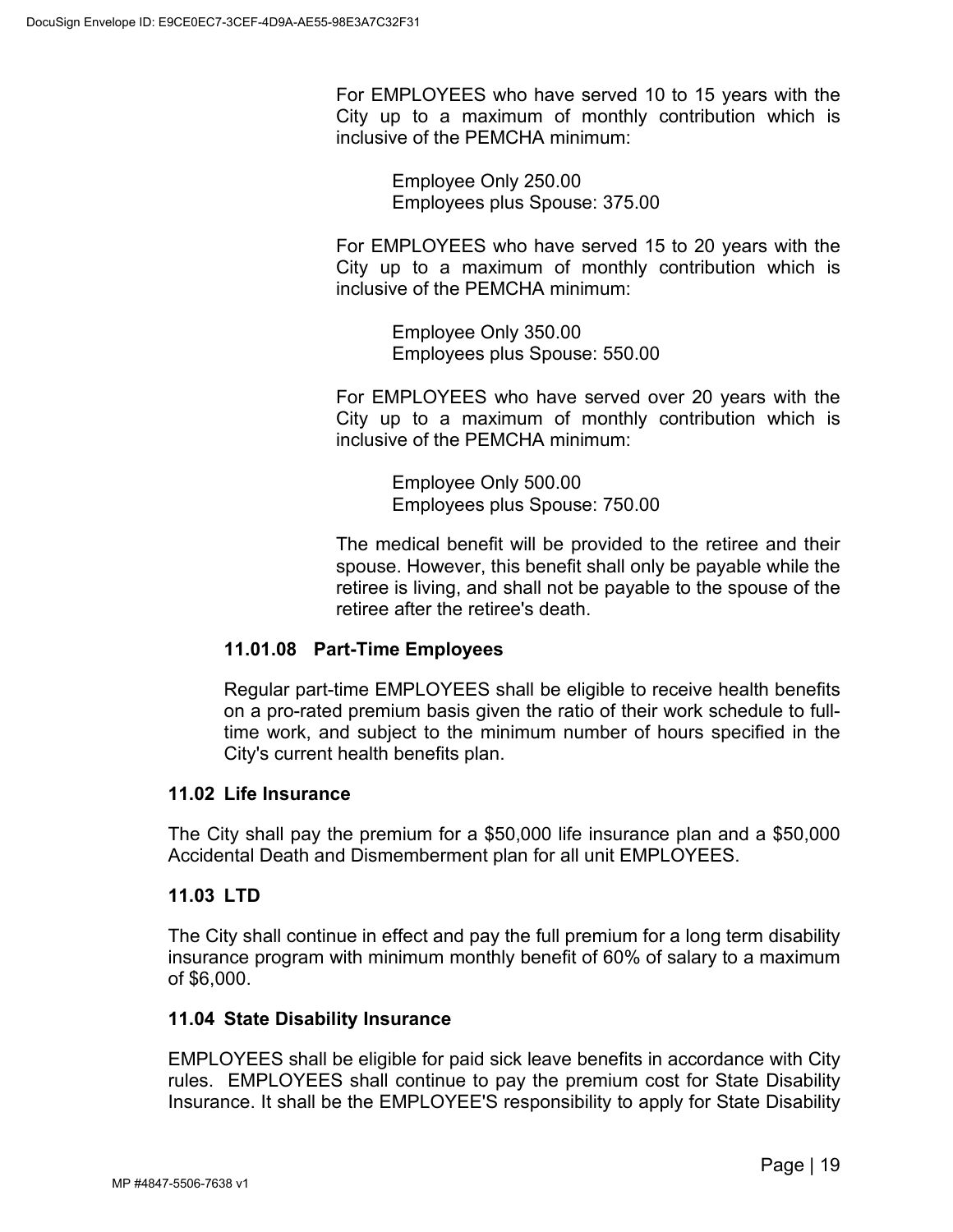For EMPLOYEES who have served 10 to 15 years with the City up to a maximum of monthly contribution which is inclusive of the PEMCHA minimum:

> Employee Only 250.00 Employees plus Spouse: 375.00

For EMPLOYEES who have served 15 to 20 years with the City up to a maximum of monthly contribution which is inclusive of the PEMCHA minimum:

> Employee Only 350.00 Employees plus Spouse: 550.00

For EMPLOYEES who have served over 20 years with the City up to a maximum of monthly contribution which is inclusive of the PEMCHA minimum:

> Employee Only 500.00 Employees plus Spouse: 750.00

The medical benefit will be provided to the retiree and their spouse. However, this benefit shall only be payable while the retiree is living, and shall not be payable to the spouse of the retiree after the retiree's death.

# **11.01.08 Part-Time Employees**

Regular part-time EMPLOYEES shall be eligible to receive health benefits on a pro-rated premium basis given the ratio of their work schedule to fulltime work, and subject to the minimum number of hours specified in the City's current health benefits plan.

# <span id="page-22-0"></span>**11.02 Life Insurance**

The City shall pay the premium for a \$50,000 life insurance plan and a \$50,000 Accidental Death and Dismemberment plan for all unit EMPLOYEES.

## <span id="page-22-1"></span>**11.03 LTD**

The City shall continue in effect and pay the full premium for a long term disability insurance program with minimum monthly benefit of 60% of salary to a maximum of \$6,000.

## <span id="page-22-2"></span>**11.04 State Disability Insurance**

EMPLOYEES shall be eligible for paid sick leave benefits in accordance with City rules. EMPLOYEES shall continue to pay the premium cost for State Disability Insurance. It shall be the EMPLOYEE'S responsibility to apply for State Disability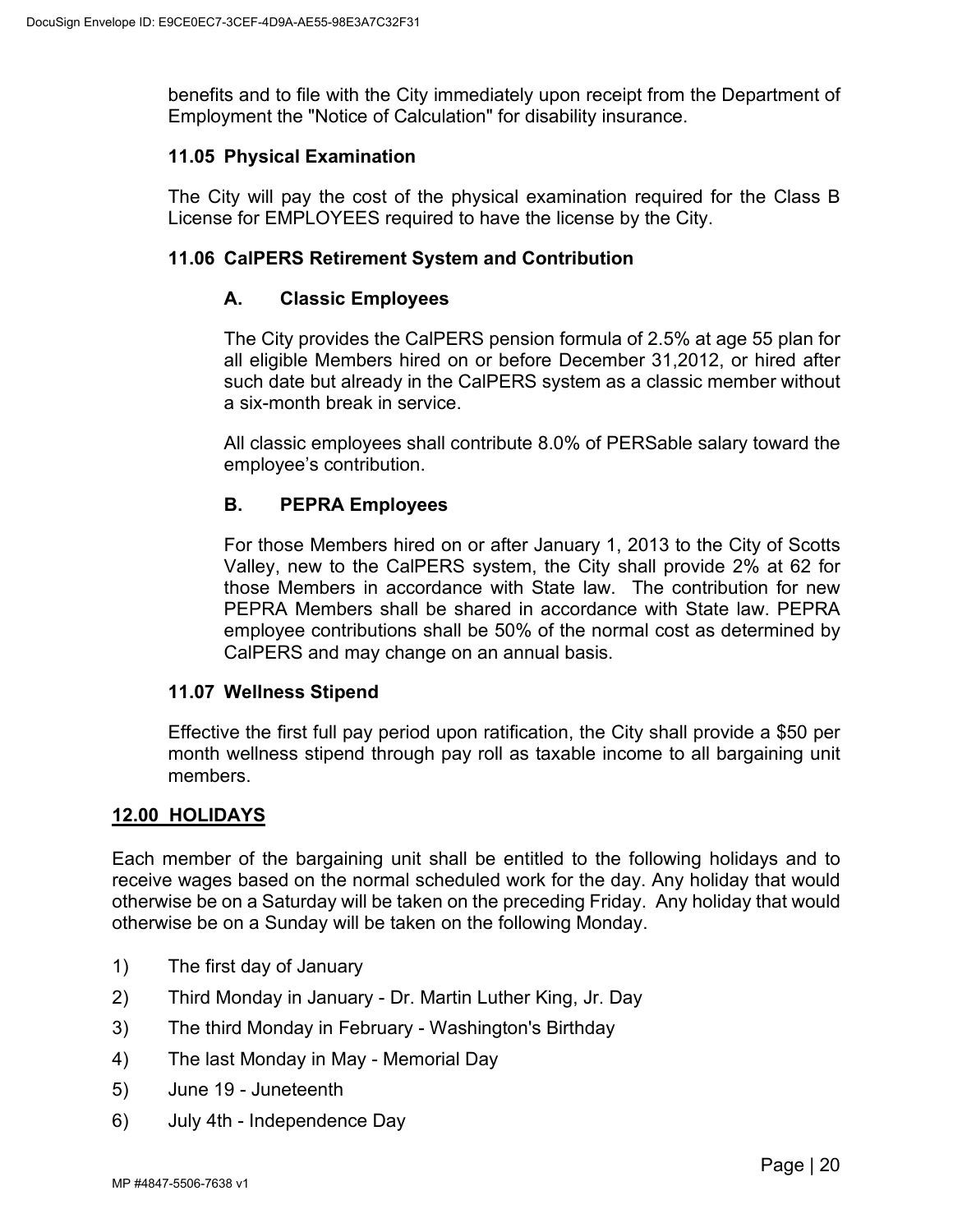benefits and to file with the City immediately upon receipt from the Department of Employment the "Notice of Calculation" for disability insurance.

### <span id="page-23-0"></span>**11.05 Physical Examination**

The City will pay the cost of the physical examination required for the Class B License for EMPLOYEES required to have the license by the City.

### <span id="page-23-1"></span>**11.06 CalPERS Retirement System and Contribution**

### **A. Classic Employees**

The City provides the CalPERS pension formula of 2.5% at age 55 plan for all eligible Members hired on or before December 31,2012, or hired after such date but already in the CalPERS system as a classic member without a six-month break in service.

All classic employees shall contribute 8.0% of PERSable salary toward the employee's contribution.

# **B. PEPRA Employees**

For those Members hired on or after January 1, 2013 to the City of Scotts Valley, new to the CalPERS system, the City shall provide 2% at 62 for those Members in accordance with State law. The contribution for new PEPRA Members shall be shared in accordance with State law. PEPRA employee contributions shall be 50% of the normal cost as determined by CalPERS and may change on an annual basis.

#### <span id="page-23-2"></span>**11.07 Wellness Stipend**

Effective the first full pay period upon ratification, the City shall provide a \$50 per month wellness stipend through pay roll as taxable income to all bargaining unit members.

## <span id="page-23-3"></span>**12.00 HOLIDAYS**

Each member of the bargaining unit shall be entitled to the following holidays and to receive wages based on the normal scheduled work for the day. Any holiday that would otherwise be on a Saturday will be taken on the preceding Friday. Any holiday that would otherwise be on a Sunday will be taken on the following Monday.

- 1) The first day of January
- 2) Third Monday in January Dr. Martin Luther King, Jr. Day
- 3) The third Monday in February Washington's Birthday
- 4) The last Monday in May Memorial Day
- 5) June 19 Juneteenth
- 6) July 4th Independence Day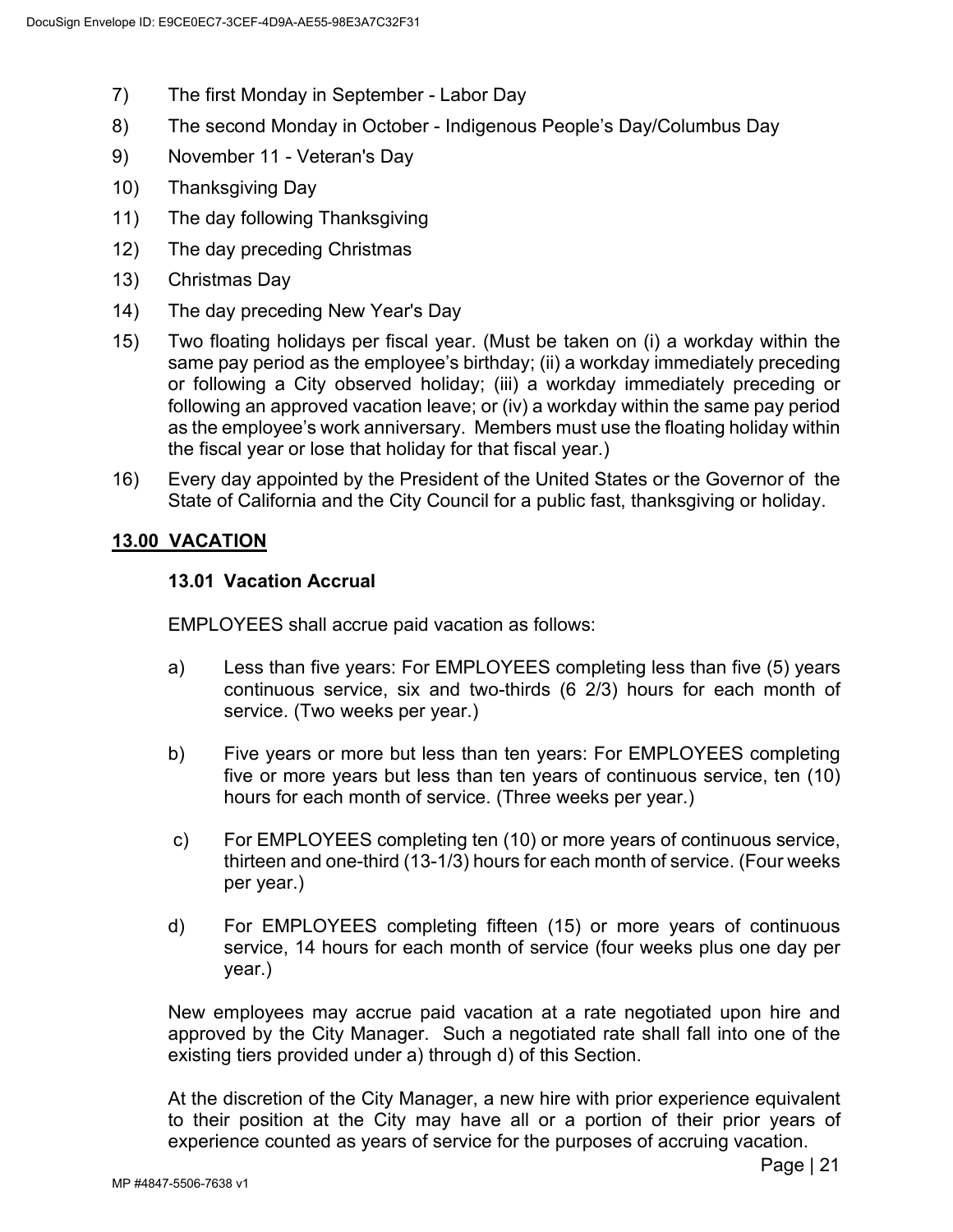- 7) The first Monday in September Labor Day
- 8) The second Monday in October Indigenous People's Day/Columbus Day
- 9) November 11 Veteran's Day
- 10) Thanksgiving Day
- 11) The day following Thanksgiving
- 12) The day preceding Christmas
- 13) Christmas Day
- 14) The day preceding New Year's Day
- 15) Two floating holidays per fiscal year. (Must be taken on (i) a workday within the same pay period as the employee's birthday; (ii) a workday immediately preceding or following a City observed holiday; (iii) a workday immediately preceding or following an approved vacation leave; or (iv) a workday within the same pay period as the employee's work anniversary. Members must use the floating holiday within the fiscal year or lose that holiday for that fiscal year.)
- 16) Every day appointed by the President of the United States or the Governor of the State of California and the City Council for a public fast, thanksgiving or holiday.

# <span id="page-24-1"></span><span id="page-24-0"></span>**13.00 VACATION**

## **13.01 Vacation Accrual**

EMPLOYEES shall accrue paid vacation as follows:

- a) Less than five years: For EMPLOYEES completing less than five (5) years continuous service, six and two-thirds (6 2/3) hours for each month of service. (Two weeks per year.)
- b) Five years or more but less than ten years: For EMPLOYEES completing five or more years but less than ten years of continuous service, ten (10) hours for each month of service. (Three weeks per year.)
- c) For EMPLOYEES completing ten (10) or more years of continuous service, thirteen and one-third (13-1/3) hours for each month of service. (Four weeks per year.)
- d) For EMPLOYEES completing fifteen (15) or more years of continuous service, 14 hours for each month of service (four weeks plus one day per year.)

New employees may accrue paid vacation at a rate negotiated upon hire and approved by the City Manager. Such a negotiated rate shall fall into one of the existing tiers provided under a) through d) of this Section.

At the discretion of the City Manager, a new hire with prior experience equivalent to their position at the City may have all or a portion of their prior years of experience counted as years of service for the purposes of accruing vacation.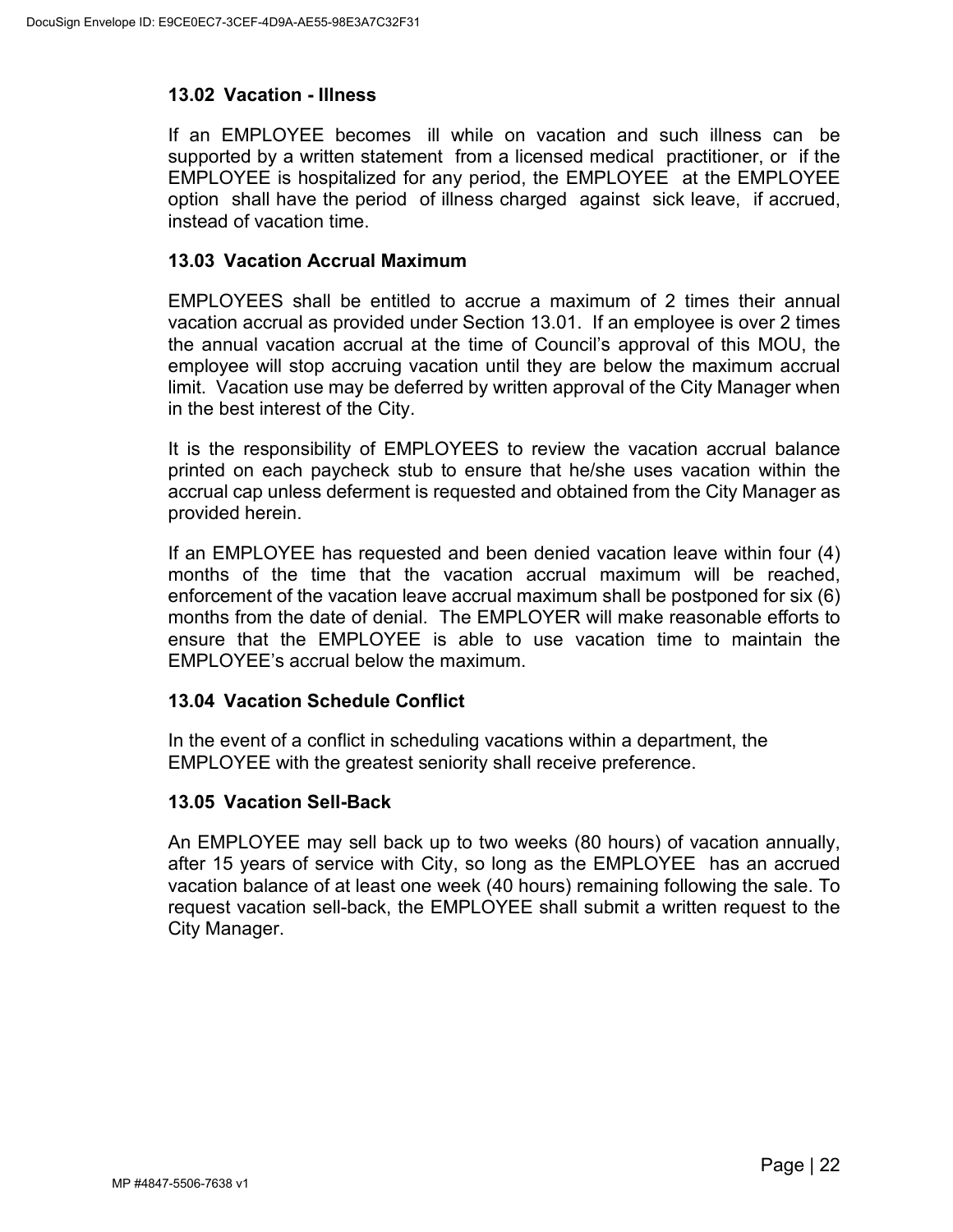### <span id="page-25-0"></span>**13.02 Vacation - Illness**

If an EMPLOYEE becomes ill while on vacation and such illness can be supported by a written statement from a licensed medical practitioner, or if the EMPLOYEE is hospitalized for any period, the EMPLOYEE at the EMPLOYEE option shall have the period of illness charged against sick leave, if accrued, instead of vacation time.

#### <span id="page-25-1"></span>**13.03 Vacation Accrual Maximum**

EMPLOYEES shall be entitled to accrue a maximum of 2 times their annual vacation accrual as provided under Section 13.01. If an employee is over 2 times the annual vacation accrual at the time of Council's approval of this MOU, the employee will stop accruing vacation until they are below the maximum accrual limit. Vacation use may be deferred by written approval of the City Manager when in the best interest of the City.

It is the responsibility of EMPLOYEES to review the vacation accrual balance printed on each paycheck stub to ensure that he/she uses vacation within the accrual cap unless deferment is requested and obtained from the City Manager as provided herein.

If an EMPLOYEE has requested and been denied vacation leave within four (4) months of the time that the vacation accrual maximum will be reached, enforcement of the vacation leave accrual maximum shall be postponed for six (6) months from the date of denial. The EMPLOYER will make reasonable efforts to ensure that the EMPLOYEE is able to use vacation time to maintain the EMPLOYEE's accrual below the maximum.

## <span id="page-25-2"></span>**13.04 Vacation Schedule Conflict**

In the event of a conflict in scheduling vacations within a department, the EMPLOYEE with the greatest seniority shall receive preference.

## <span id="page-25-3"></span>**13.05 Vacation Sell-Back**

An EMPLOYEE may sell back up to two weeks (80 hours) of vacation annually, after 15 years of service with City, so long as the EMPLOYEE has an accrued vacation balance of at least one week (40 hours) remaining following the sale. To request vacation sell-back, the EMPLOYEE shall submit a written request to the City Manager.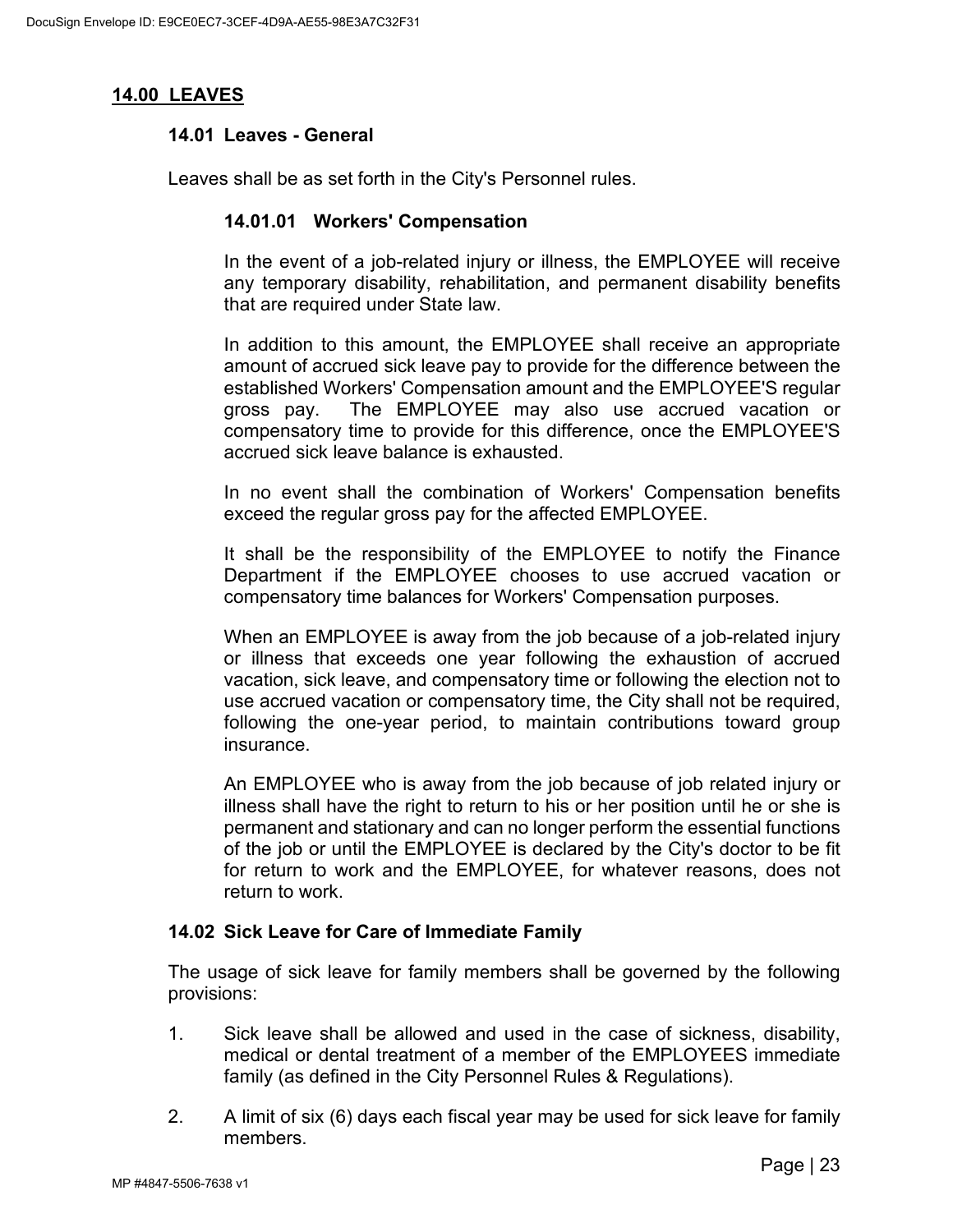### <span id="page-26-1"></span><span id="page-26-0"></span>**14.00 LEAVES**

#### **14.01 Leaves - General**

Leaves shall be as set forth in the City's Personnel rules.

#### **14.01.01 Workers' Compensation**

In the event of a job-related injury or illness, the EMPLOYEE will receive any temporary disability, rehabilitation, and permanent disability benefits that are required under State law.

In addition to this amount, the EMPLOYEE shall receive an appropriate amount of accrued sick leave pay to provide for the difference between the established Workers' Compensation amount and the EMPLOYEE'S regular gross pay. The EMPLOYEE may also use accrued vacation or compensatory time to provide for this difference, once the EMPLOYEE'S accrued sick leave balance is exhausted.

In no event shall the combination of Workers' Compensation benefits exceed the regular gross pay for the affected EMPLOYEE.

It shall be the responsibility of the EMPLOYEE to notify the Finance Department if the EMPLOYEE chooses to use accrued vacation or compensatory time balances for Workers' Compensation purposes.

When an EMPLOYEE is away from the job because of a job-related injury or illness that exceeds one year following the exhaustion of accrued vacation, sick leave, and compensatory time or following the election not to use accrued vacation or compensatory time, the City shall not be required, following the one-year period, to maintain contributions toward group insurance.

An EMPLOYEE who is away from the job because of job related injury or illness shall have the right to return to his or her position until he or she is permanent and stationary and can no longer perform the essential functions of the job or until the EMPLOYEE is declared by the City's doctor to be fit for return to work and the EMPLOYEE, for whatever reasons, does not return to work.

#### <span id="page-26-2"></span>**14.02 Sick Leave for Care of Immediate Family**

The usage of sick leave for family members shall be governed by the following provisions:

- 1. Sick leave shall be allowed and used in the case of sickness, disability, medical or dental treatment of a member of the EMPLOYEES immediate family (as defined in the City Personnel Rules & Regulations).
- 2. A limit of six (6) days each fiscal year may be used for sick leave for family members.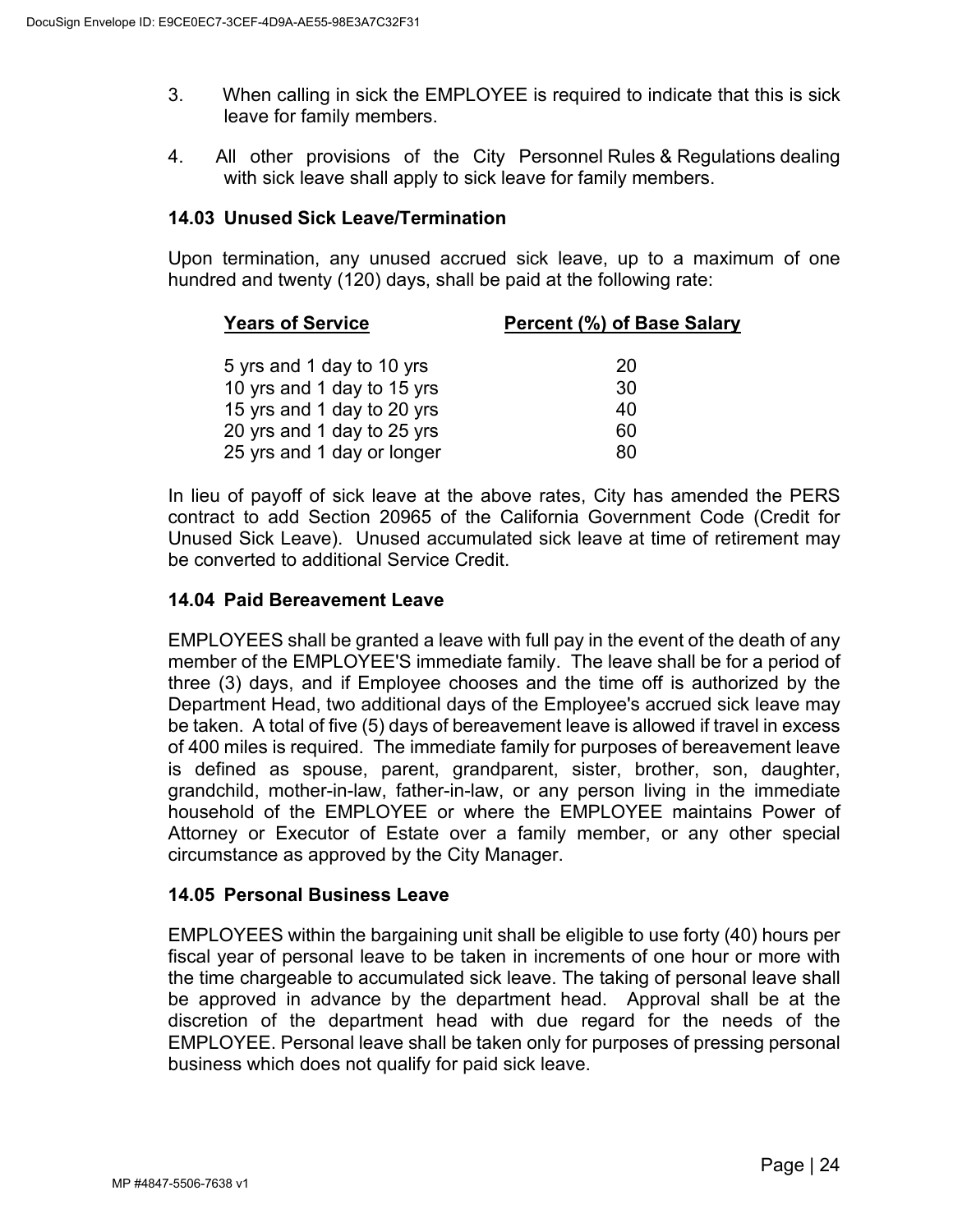- 3. When calling in sick the EMPLOYEE is required to indicate that this is sick leave for family members.
- 4. All other provisions of the City Personnel Rules & Regulations dealing with sick leave shall apply to sick leave for family members.

### <span id="page-27-0"></span>**14.03 Unused Sick Leave/Termination**

Upon termination, any unused accrued sick leave, up to a maximum of one hundred and twenty (120) days, shall be paid at the following rate:

| Percent (%) of Base Salary |
|----------------------------|
|                            |
| 20                         |
| 30                         |
| 40                         |
| 60                         |
| 80                         |
|                            |

In lieu of payoff of sick leave at the above rates, City has amended the PERS contract to add Section 20965 of the California Government Code (Credit for Unused Sick Leave). Unused accumulated sick leave at time of retirement may be converted to additional Service Credit.

### <span id="page-27-1"></span>**14.04 Paid Bereavement Leave**

EMPLOYEES shall be granted a leave with full pay in the event of the death of any member of the EMPLOYEE'S immediate family. The leave shall be for a period of three (3) days, and if Employee chooses and the time off is authorized by the Department Head, two additional days of the Employee's accrued sick leave may be taken. A total of five (5) days of bereavement leave is allowed if travel in excess of 400 miles is required. The immediate family for purposes of bereavement leave is defined as spouse, parent, grandparent, sister, brother, son, daughter, grandchild, mother-in-law, father-in-law, or any person living in the immediate household of the EMPLOYEE or where the EMPLOYEE maintains Power of Attorney or Executor of Estate over a family member, or any other special circumstance as approved by the City Manager.

## <span id="page-27-2"></span>**14.05 Personal Business Leave**

EMPLOYEES within the bargaining unit shall be eligible to use forty (40) hours per fiscal year of personal leave to be taken in increments of one hour or more with the time chargeable to accumulated sick leave. The taking of personal leave shall be approved in advance by the department head. Approval shall be at the discretion of the department head with due regard for the needs of the EMPLOYEE. Personal leave shall be taken only for purposes of pressing personal business which does not qualify for paid sick leave.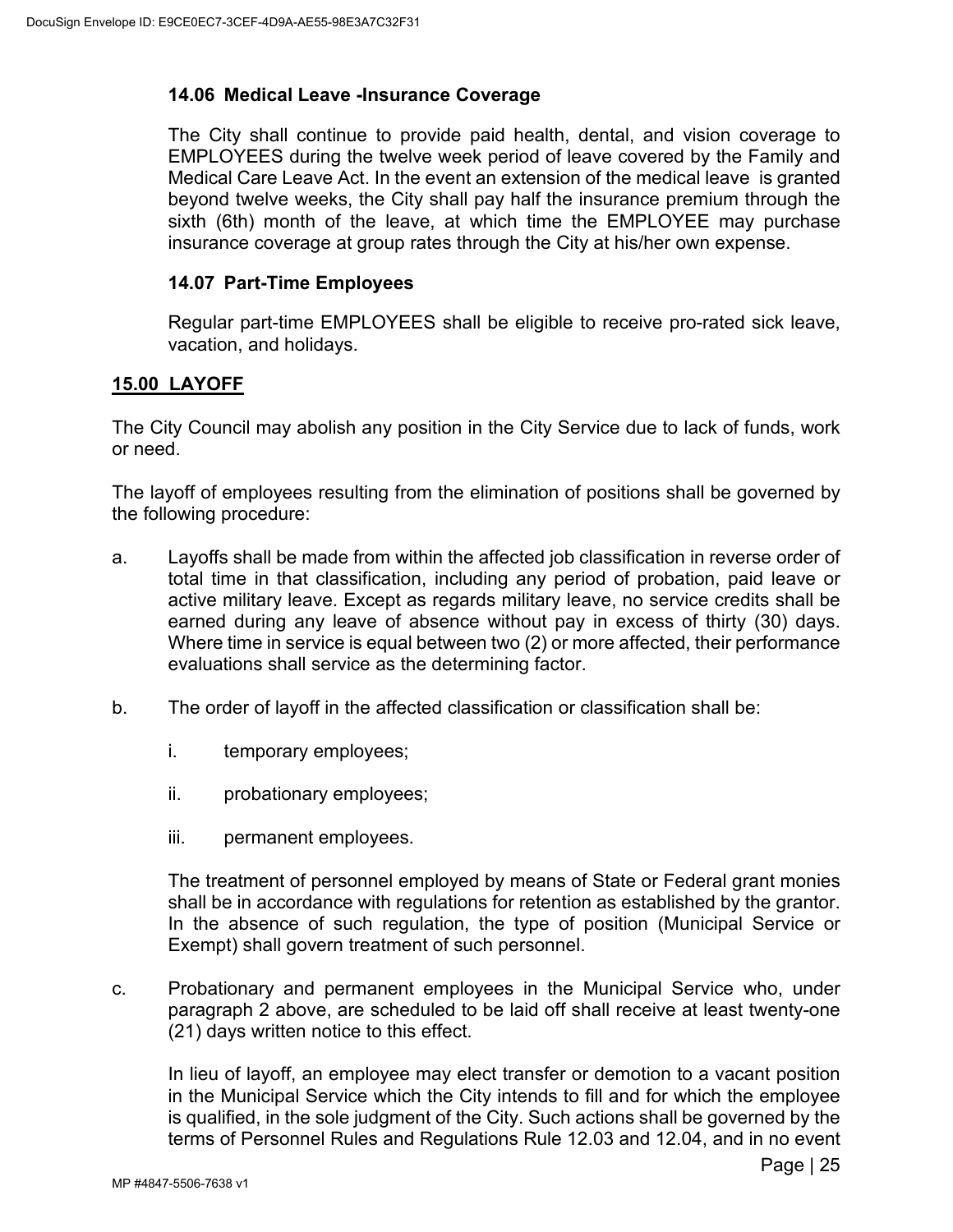# <span id="page-28-0"></span>**14.06 Medical Leave -Insurance Coverage**

The City shall continue to provide paid health, dental, and vision coverage to EMPLOYEES during the twelve week period of leave covered by the Family and Medical Care Leave Act. In the event an extension of the medical leave is granted beyond twelve weeks, the City shall pay half the insurance premium through the sixth (6th) month of the leave, at which time the EMPLOYEE may purchase insurance coverage at group rates through the City at his/her own expense.

### <span id="page-28-1"></span>**14.07 Part-Time Employees**

Regular part-time EMPLOYEES shall be eligible to receive pro-rated sick leave, vacation, and holidays.

# <span id="page-28-2"></span>**15.00 LAYOFF**

The City Council may abolish any position in the City Service due to lack of funds, work or need.

The layoff of employees resulting from the elimination of positions shall be governed by the following procedure:

- a. Layoffs shall be made from within the affected job classification in reverse order of total time in that classification, including any period of probation, paid leave or active military leave. Except as regards military leave, no service credits shall be earned during any leave of absence without pay in excess of thirty (30) days. Where time in service is equal between two (2) or more affected, their performance evaluations shall service as the determining factor.
- b. The order of layoff in the affected classification or classification shall be:
	- i. temporary employees;
	- ii. probationary employees;
	- iii. permanent employees.

The treatment of personnel employed by means of State or Federal grant monies shall be in accordance with regulations for retention as established by the grantor. In the absence of such regulation, the type of position (Municipal Service or Exempt) shall govern treatment of such personnel.

c. Probationary and permanent employees in the Municipal Service who, under paragraph 2 above, are scheduled to be laid off shall receive at least twenty-one (21) days written notice to this effect.

In lieu of layoff, an employee may elect transfer or demotion to a vacant position in the Municipal Service which the City intends to fill and for which the employee is qualified, in the sole judgment of the City. Such actions shall be governed by the terms of Personnel Rules and Regulations Rule 12.03 and 12.04, and in no event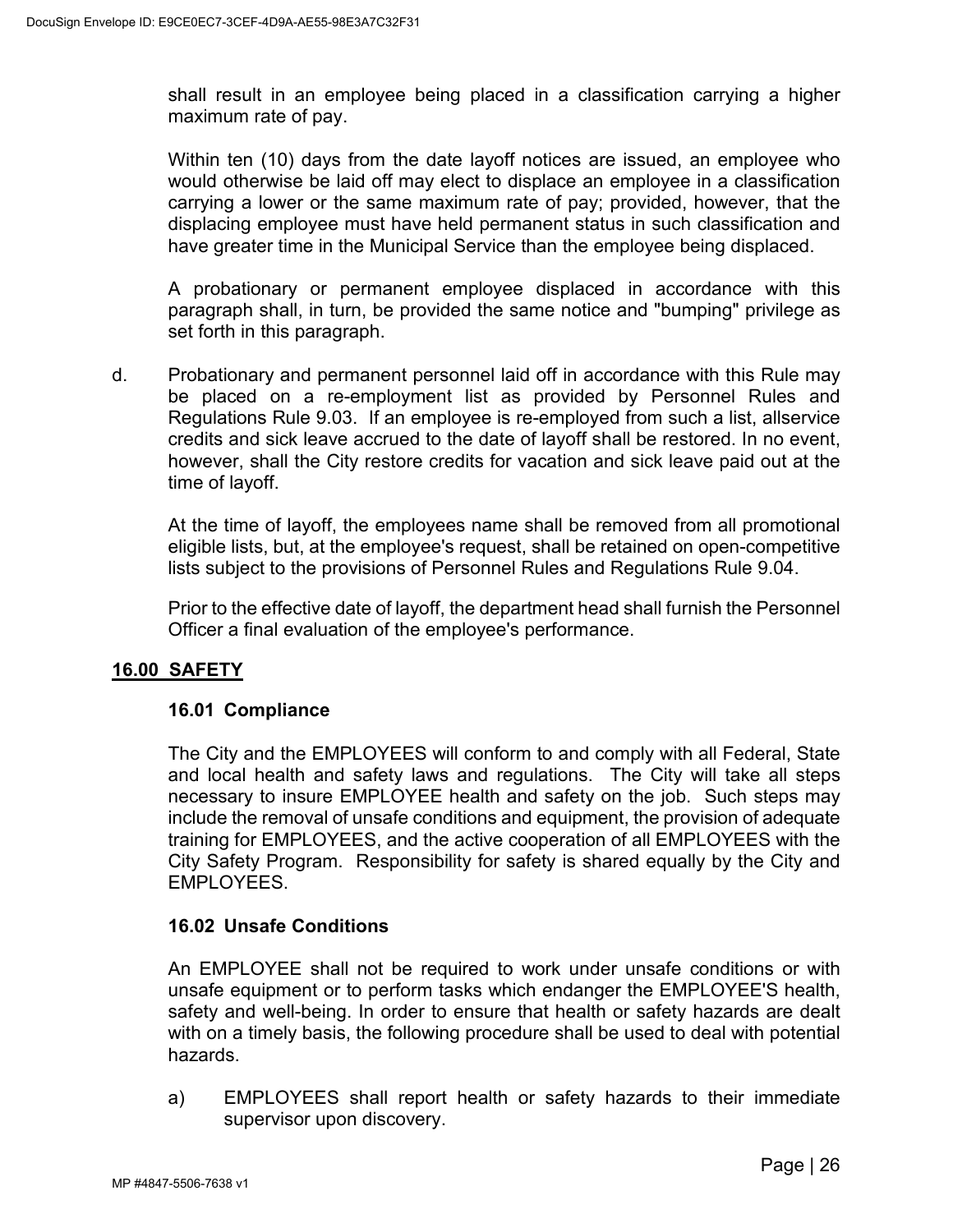shall result in an employee being placed in a classification carrying a higher maximum rate of pay.

Within ten (10) days from the date layoff notices are issued, an employee who would otherwise be laid off may elect to displace an employee in a classification carrying a lower or the same maximum rate of pay; provided, however, that the displacing employee must have held permanent status in such classification and have greater time in the Municipal Service than the employee being displaced.

A probationary or permanent employee displaced in accordance with this paragraph shall, in turn, be provided the same notice and "bumping" privilege as set forth in this paragraph.

d. Probationary and permanent personnel laid off in accordance with this Rule may be placed on a re-employment list as provided by Personnel Rules and Regulations Rule 9.03. If an employee is re-employed from such a list, allservice credits and sick leave accrued to the date of layoff shall be restored. In no event, however, shall the City restore credits for vacation and sick leave paid out at the time of layoff.

At the time of layoff, the employees name shall be removed from all promotional eligible lists, but, at the employee's request, shall be retained on open-competitive lists subject to the provisions of Personnel Rules and Regulations Rule 9.04.

Prior to the effective date of layoff, the department head shall furnish the Personnel Officer a final evaluation of the employee's performance.

# <span id="page-29-1"></span><span id="page-29-0"></span>**16.00 SAFETY**

## **16.01 Compliance**

The City and the EMPLOYEES will conform to and comply with all Federal, State and local health and safety laws and regulations. The City will take all steps necessary to insure EMPLOYEE health and safety on the job. Such steps may include the removal of unsafe conditions and equipment, the provision of adequate training for EMPLOYEES, and the active cooperation of all EMPLOYEES with the City Safety Program. Responsibility for safety is shared equally by the City and EMPLOYEES.

#### <span id="page-29-2"></span>**16.02 Unsafe Conditions**

An EMPLOYEE shall not be required to work under unsafe conditions or with unsafe equipment or to perform tasks which endanger the EMPLOYEE'S health, safety and well-being. In order to ensure that health or safety hazards are dealt with on a timely basis, the following procedure shall be used to deal with potential hazards.

a) EMPLOYEES shall report health or safety hazards to their immediate supervisor upon discovery.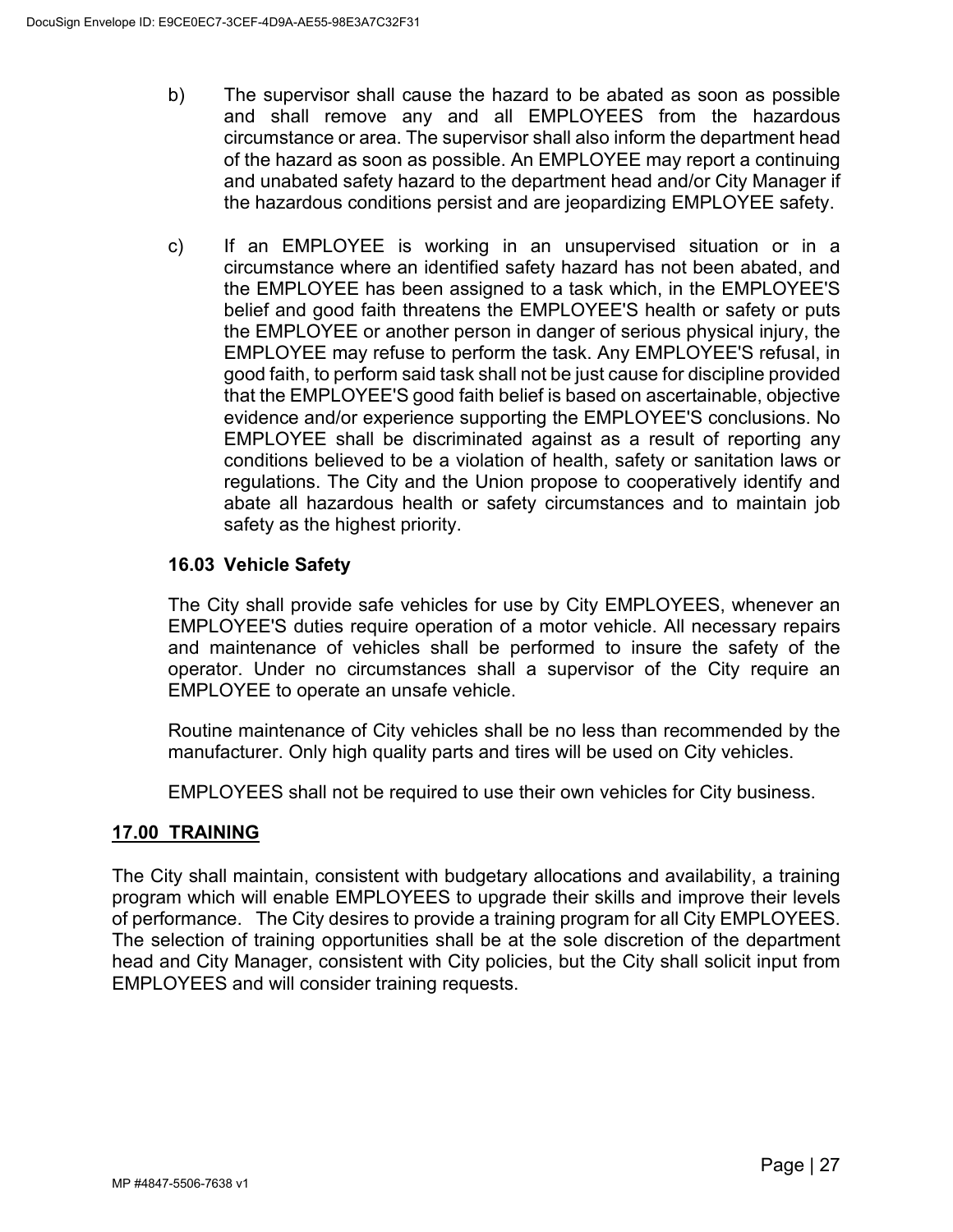- b) The supervisor shall cause the hazard to be abated as soon as possible and shall remove any and all EMPLOYEES from the hazardous circumstance or area. The supervisor shall also inform the department head of the hazard as soon as possible. An EMPLOYEE may report a continuing and unabated safety hazard to the department head and/or City Manager if the hazardous conditions persist and are jeopardizing EMPLOYEE safety.
- c) If an EMPLOYEE is working in an unsupervised situation or in a circumstance where an identified safety hazard has not been abated, and the EMPLOYEE has been assigned to a task which, in the EMPLOYEE'S belief and good faith threatens the EMPLOYEE'S health or safety or puts the EMPLOYEE or another person in danger of serious physical injury, the EMPLOYEE may refuse to perform the task. Any EMPLOYEE'S refusal, in good faith, to perform said task shall not be just cause for discipline provided that the EMPLOYEE'S good faith belief is based on ascertainable, objective evidence and/or experience supporting the EMPLOYEE'S conclusions. No EMPLOYEE shall be discriminated against as a result of reporting any conditions believed to be a violation of health, safety or sanitation laws or regulations. The City and the Union propose to cooperatively identify and abate all hazardous health or safety circumstances and to maintain job safety as the highest priority.

# <span id="page-30-0"></span>**16.03 Vehicle Safety**

The City shall provide safe vehicles for use by City EMPLOYEES, whenever an EMPLOYEE'S duties require operation of a motor vehicle. All necessary repairs and maintenance of vehicles shall be performed to insure the safety of the operator. Under no circumstances shall a supervisor of the City require an EMPLOYEE to operate an unsafe vehicle.

Routine maintenance of City vehicles shall be no less than recommended by the manufacturer. Only high quality parts and tires will be used on City vehicles.

EMPLOYEES shall not be required to use their own vehicles for City business.

## <span id="page-30-1"></span>**17.00 TRAINING**

The City shall maintain, consistent with budgetary allocations and availability, a training program which will enable EMPLOYEES to upgrade their skills and improve their levels of performance. The City desires to provide a training program for all City EMPLOYEES. The selection of training opportunities shall be at the sole discretion of the department head and City Manager, consistent with City policies, but the City shall solicit input from EMPLOYEES and will consider training requests.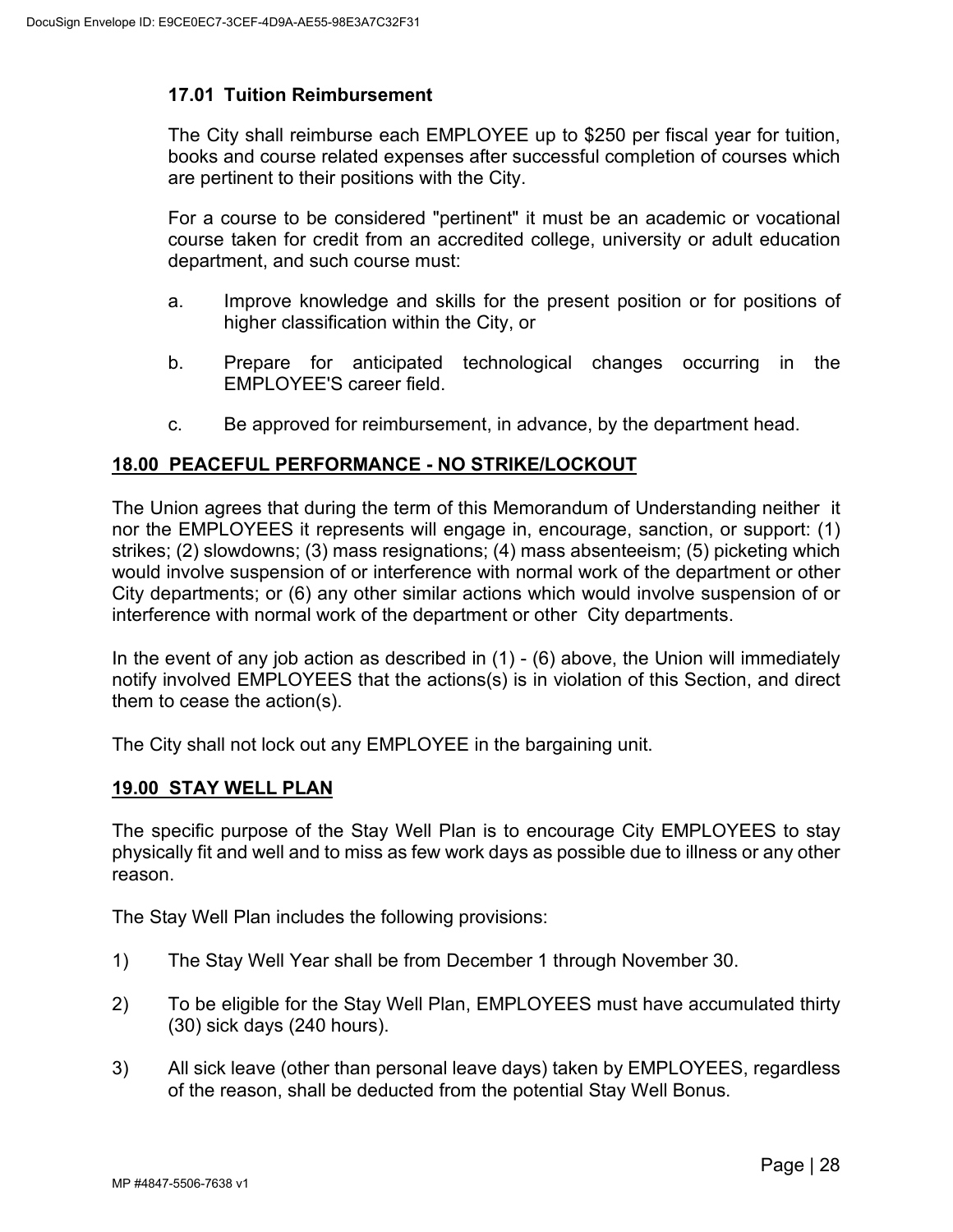### <span id="page-31-0"></span>**17.01 Tuition Reimbursement**

The City shall reimburse each EMPLOYEE up to \$250 per fiscal year for tuition, books and course related expenses after successful completion of courses which are pertinent to their positions with the City.

For a course to be considered "pertinent" it must be an academic or vocational course taken for credit from an accredited college, university or adult education department, and such course must:

- a. Improve knowledge and skills for the present position or for positions of higher classification within the City, or
- b. Prepare for anticipated technological changes occurring in the EMPLOYEE'S career field.
- c. Be approved for reimbursement, in advance, by the department head.

### <span id="page-31-1"></span>**18.00 PEACEFUL PERFORMANCE - NO STRIKE/LOCKOUT**

The Union agrees that during the term of this Memorandum of Understanding neither it nor the EMPLOYEES it represents will engage in, encourage, sanction, or support: (1) strikes; (2) slowdowns; (3) mass resignations; (4) mass absenteeism; (5) picketing which would involve suspension of or interference with normal work of the department or other City departments; or (6) any other similar actions which would involve suspension of or interference with normal work of the department or other City departments.

In the event of any job action as described in  $(1)$  -  $(6)$  above, the Union will immediately notify involved EMPLOYEES that the actions(s) is in violation of this Section, and direct them to cease the action(s).

The City shall not lock out any EMPLOYEE in the bargaining unit.

#### <span id="page-31-2"></span>**19.00 STAY WELL PLAN**

The specific purpose of the Stay Well Plan is to encourage City EMPLOYEES to stay physically fit and well and to miss as few work days as possible due to illness or any other reason.

The Stay Well Plan includes the following provisions:

- 1) The Stay Well Year shall be from December 1 through November 30.
- 2) To be eligible for the Stay Well Plan, EMPLOYEES must have accumulated thirty (30) sick days (240 hours).
- 3) All sick leave (other than personal leave days) taken by EMPLOYEES, regardless of the reason, shall be deducted from the potential Stay Well Bonus.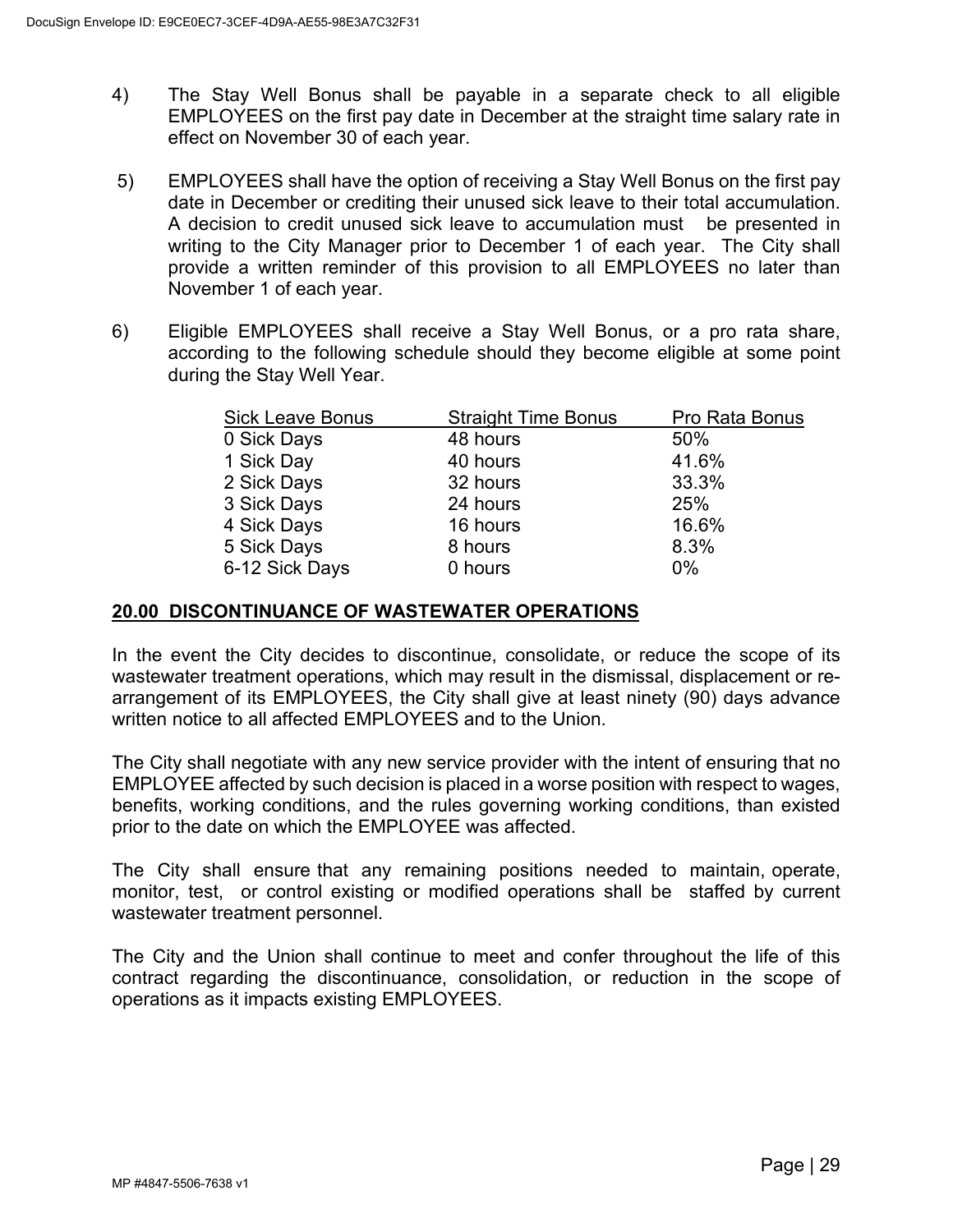- 4) The Stay Well Bonus shall be payable in a separate check to all eligible EMPLOYEES on the first pay date in December at the straight time salary rate in effect on November 30 of each year.
- 5) EMPLOYEES shall have the option of receiving a Stay Well Bonus on the first pay date in December or crediting their unused sick leave to their total accumulation. A decision to credit unused sick leave to accumulation must be presented in writing to the City Manager prior to December 1 of each year. The City shall provide a written reminder of this provision to all EMPLOYEES no later than November 1 of each year.
- 6) Eligible EMPLOYEES shall receive a Stay Well Bonus, or a pro rata share, according to the following schedule should they become eligible at some point during the Stay Well Year.

| Pro Rata Bonus |
|----------------|
| 50%            |
| 41.6%          |
| 33.3%          |
| 25%            |
| 16.6%          |
| 8.3%           |
| $0\%$          |
|                |

### <span id="page-32-0"></span>**20.00 DISCONTINUANCE OF WASTEWATER OPERATIONS**

In the event the City decides to discontinue, consolidate, or reduce the scope of its wastewater treatment operations, which may result in the dismissal, displacement or rearrangement of its EMPLOYEES, the City shall give at least ninety (90) days advance written notice to all affected EMPLOYEES and to the Union.

The City shall negotiate with any new service provider with the intent of ensuring that no EMPLOYEE affected by such decision is placed in a worse position with respect to wages, benefits, working conditions, and the rules governing working conditions, than existed prior to the date on which the EMPLOYEE was affected.

The City shall ensure that any remaining positions needed to maintain, operate, monitor, test, or control existing or modified operations shall be staffed by current wastewater treatment personnel.

The City and the Union shall continue to meet and confer throughout the life of this contract regarding the discontinuance, consolidation, or reduction in the scope of operations as it impacts existing EMPLOYEES.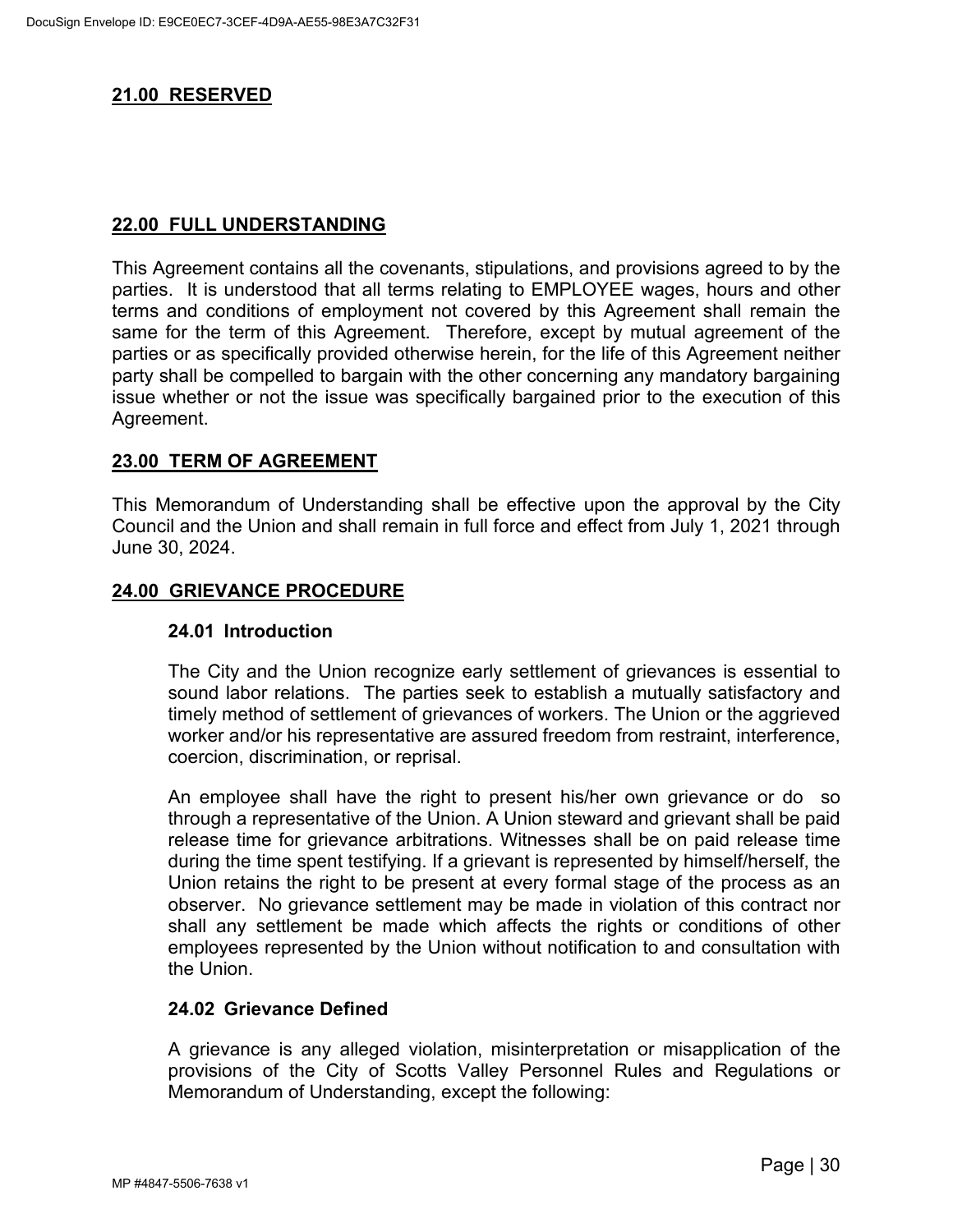# <span id="page-33-0"></span>**21.00 RESERVED**

## <span id="page-33-1"></span>**22.00 FULL UNDERSTANDING**

This Agreement contains all the covenants, stipulations, and provisions agreed to by the parties. It is understood that all terms relating to EMPLOYEE wages, hours and other terms and conditions of employment not covered by this Agreement shall remain the same for the term of this Agreement. Therefore, except by mutual agreement of the parties or as specifically provided otherwise herein, for the life of this Agreement neither party shall be compelled to bargain with the other concerning any mandatory bargaining issue whether or not the issue was specifically bargained prior to the execution of this Agreement.

## <span id="page-33-2"></span>**23.00 TERM OF AGREEMENT**

This Memorandum of Understanding shall be effective upon the approval by the City Council and the Union and shall remain in full force and effect from July 1, 2021 through June 30, 2024.

### <span id="page-33-4"></span><span id="page-33-3"></span>**24.00 GRIEVANCE PROCEDURE**

#### **24.01 Introduction**

The City and the Union recognize early settlement of grievances is essential to sound labor relations. The parties seek to establish a mutually satisfactory and timely method of settlement of grievances of workers. The Union or the aggrieved worker and/or his representative are assured freedom from restraint, interference, coercion, discrimination, or reprisal.

An employee shall have the right to present his/her own grievance or do so through a representative of the Union. A Union steward and grievant shall be paid release time for grievance arbitrations. Witnesses shall be on paid release time during the time spent testifying. If a grievant is represented by himself/herself, the Union retains the right to be present at every formal stage of the process as an observer. No grievance settlement may be made in violation of this contract nor shall any settlement be made which affects the rights or conditions of other employees represented by the Union without notification to and consultation with the Union.

#### <span id="page-33-5"></span>**24.02 Grievance Defined**

A grievance is any alleged violation, misinterpretation or misapplication of the provisions of the City of Scotts Valley Personnel Rules and Regulations or Memorandum of Understanding, except the following: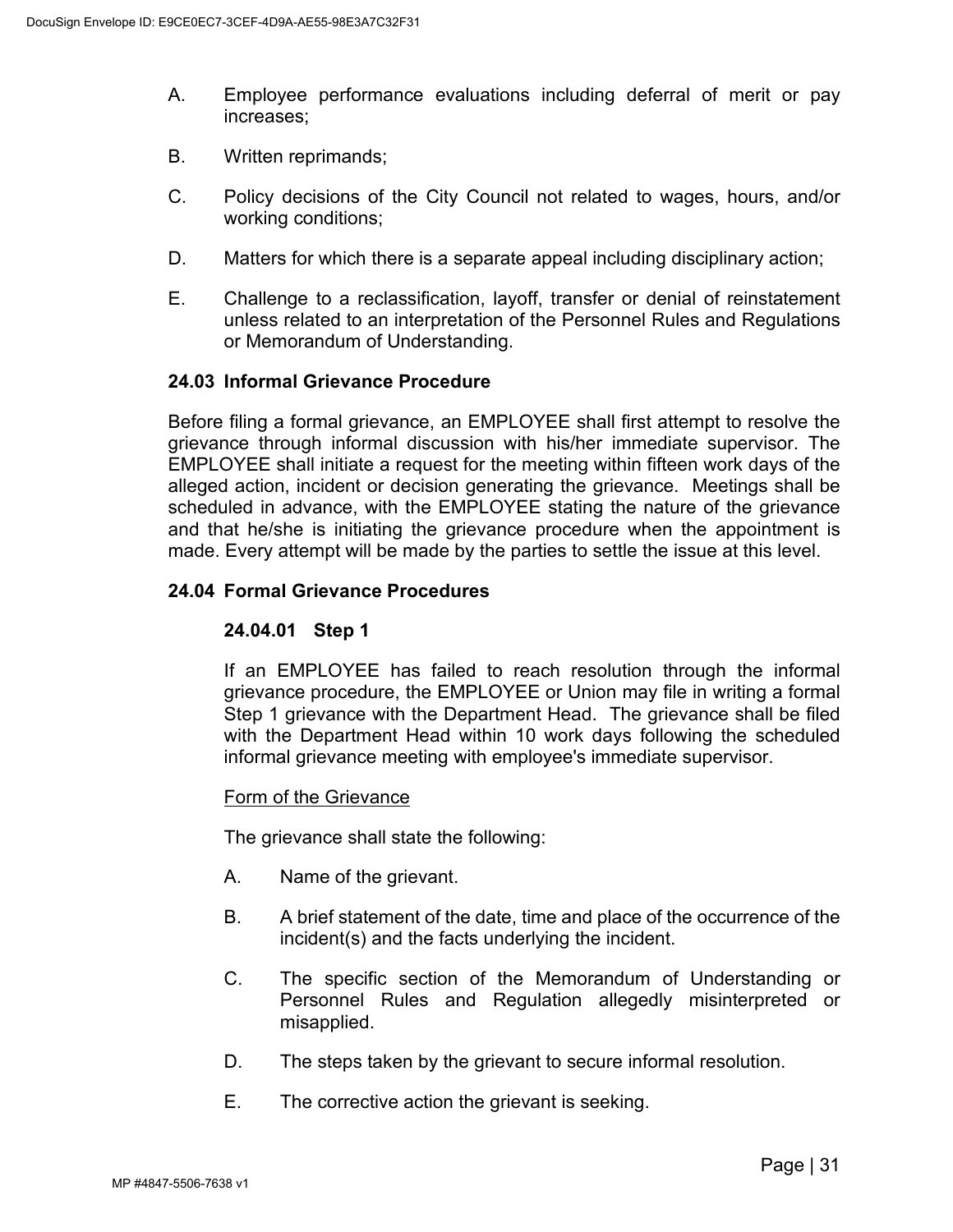- A. Employee performance evaluations including deferral of merit or pay increases;
- B. Written reprimands;
- C. Policy decisions of the City Council not related to wages, hours, and/or working conditions;
- D. Matters for which there is a separate appeal including disciplinary action;
- E. Challenge to a reclassification, layoff, transfer or denial of reinstatement unless related to an interpretation of the Personnel Rules and Regulations or Memorandum of Understanding.

### <span id="page-34-0"></span>**24.03 Informal Grievance Procedure**

Before filing a formal grievance, an EMPLOYEE shall first attempt to resolve the grievance through informal discussion with his/her immediate supervisor. The EMPLOYEE shall initiate a request for the meeting within fifteen work days of the alleged action, incident or decision generating the grievance. Meetings shall be scheduled in advance, with the EMPLOYEE stating the nature of the grievance and that he/she is initiating the grievance procedure when the appointment is made. Every attempt will be made by the parties to settle the issue at this level.

### <span id="page-34-1"></span>**24.04 Formal Grievance Procedures**

## **24.04.01 Step 1**

If an EMPLOYEE has failed to reach resolution through the informal grievance procedure, the EMPLOYEE or Union may file in writing a formal Step 1 grievance with the Department Head. The grievance shall be filed with the Department Head within 10 work days following the scheduled informal grievance meeting with employee's immediate supervisor.

#### Form of the Grievance

The grievance shall state the following:

- A. Name of the grievant.
- B. A brief statement of the date, time and place of the occurrence of the incident(s) and the facts underlying the incident.
- C. The specific section of the Memorandum of Understanding or Personnel Rules and Regulation allegedly misinterpreted or misapplied.
- D. The steps taken by the grievant to secure informal resolution.
- E. The corrective action the grievant is seeking.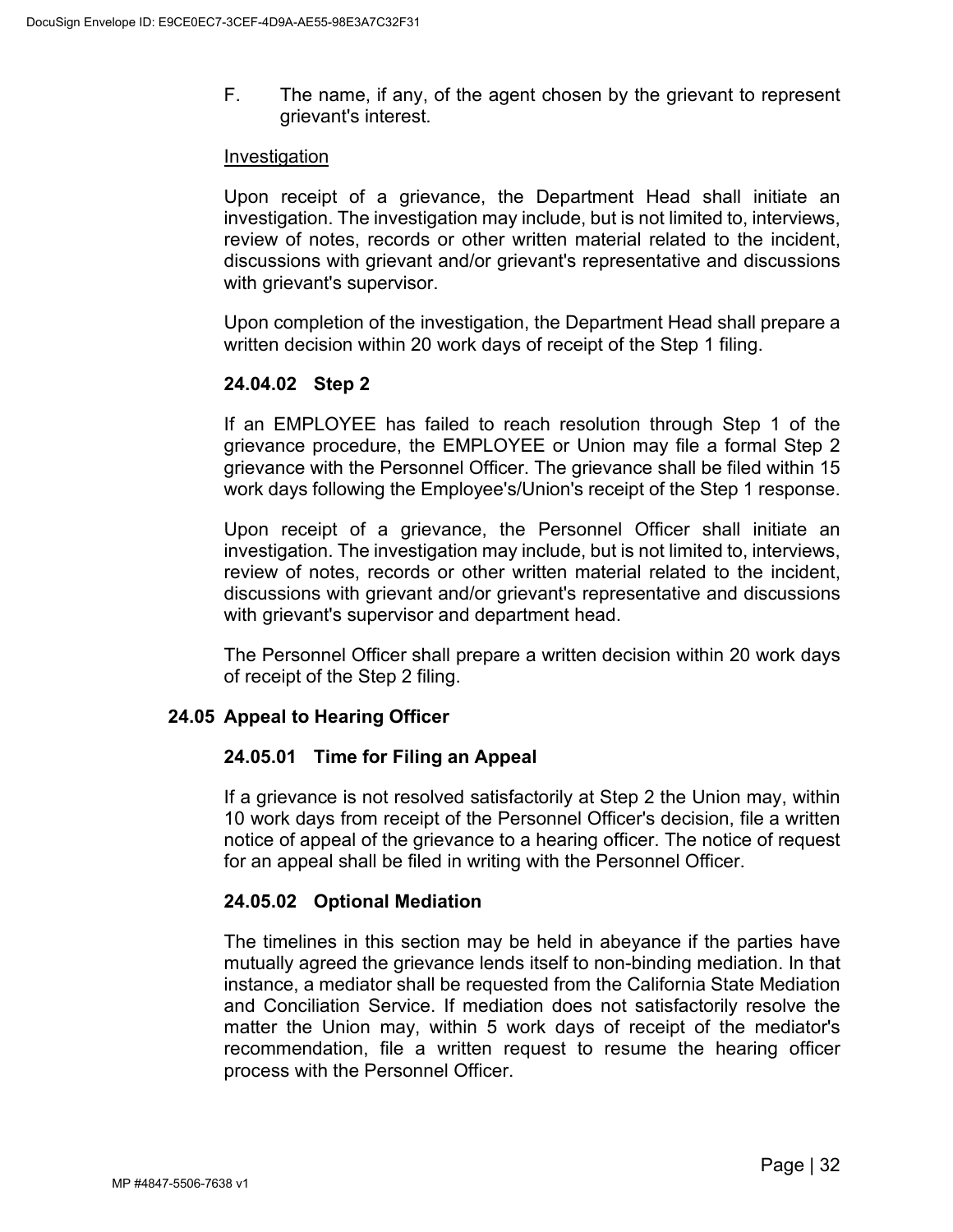F. The name, if any, of the agent chosen by the grievant to represent grievant's interest.

#### Investigation

Upon receipt of a grievance, the Department Head shall initiate an investigation. The investigation may include, but is not limited to, interviews, review of notes, records or other written material related to the incident, discussions with grievant and/or grievant's representative and discussions with grievant's supervisor.

Upon completion of the investigation, the Department Head shall prepare a written decision within 20 work days of receipt of the Step 1 filing.

# **24.04.02 Step 2**

If an EMPLOYEE has failed to reach resolution through Step 1 of the grievance procedure, the EMPLOYEE or Union may file a formal Step 2 grievance with the Personnel Officer. The grievance shall be filed within 15 work days following the Employee's/Union's receipt of the Step 1 response.

Upon receipt of a grievance, the Personnel Officer shall initiate an investigation. The investigation may include, but is not limited to, interviews, review of notes, records or other written material related to the incident, discussions with grievant and/or grievant's representative and discussions with grievant's supervisor and department head.

The Personnel Officer shall prepare a written decision within 20 work days of receipt of the Step 2 filing.

## <span id="page-35-0"></span>**24.05 Appeal to Hearing Officer**

## **24.05.01 Time for Filing an Appeal**

If a grievance is not resolved satisfactorily at Step 2 the Union may, within 10 work days from receipt of the Personnel Officer's decision, file a written notice of appeal of the grievance to a hearing officer. The notice of request for an appeal shall be filed in writing with the Personnel Officer.

## **24.05.02 Optional Mediation**

The timelines in this section may be held in abeyance if the parties have mutually agreed the grievance lends itself to non-binding mediation. In that instance, a mediator shall be requested from the California State Mediation and Conciliation Service. If mediation does not satisfactorily resolve the matter the Union may, within 5 work days of receipt of the mediator's recommendation, file a written request to resume the hearing officer process with the Personnel Officer.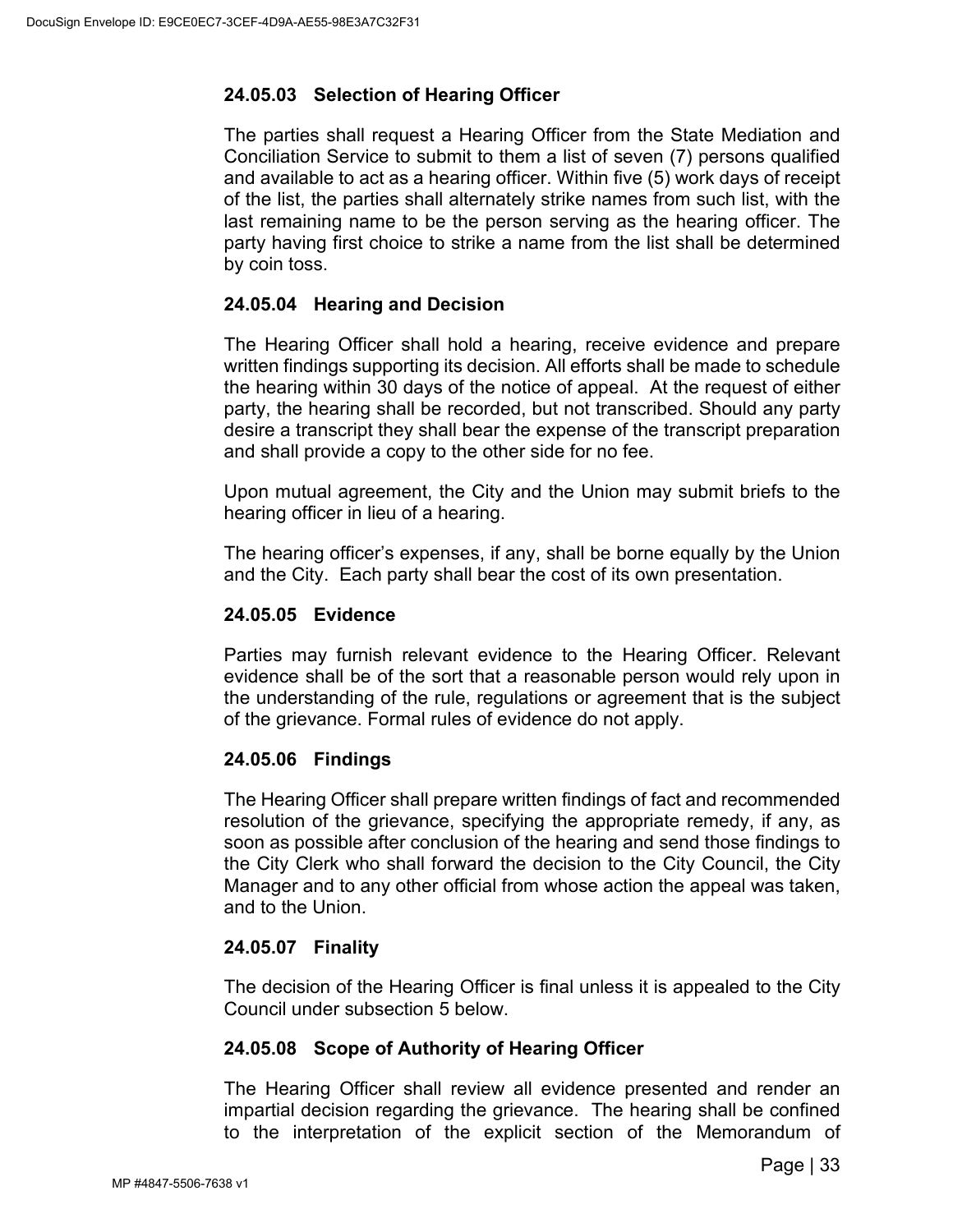# **24.05.03 Selection of Hearing Officer**

The parties shall request a Hearing Officer from the State Mediation and Conciliation Service to submit to them a list of seven (7) persons qualified and available to act as a hearing officer. Within five (5) work days of receipt of the list, the parties shall alternately strike names from such list, with the last remaining name to be the person serving as the hearing officer. The party having first choice to strike a name from the list shall be determined by coin toss.

## **24.05.04 Hearing and Decision**

The Hearing Officer shall hold a hearing, receive evidence and prepare written findings supporting its decision. All efforts shall be made to schedule the hearing within 30 days of the notice of appeal. At the request of either party, the hearing shall be recorded, but not transcribed. Should any party desire a transcript they shall bear the expense of the transcript preparation and shall provide a copy to the other side for no fee.

Upon mutual agreement, the City and the Union may submit briefs to the hearing officer in lieu of a hearing.

The hearing officer's expenses, if any, shall be borne equally by the Union and the City. Each party shall bear the cost of its own presentation.

### **24.05.05 Evidence**

Parties may furnish relevant evidence to the Hearing Officer. Relevant evidence shall be of the sort that a reasonable person would rely upon in the understanding of the rule, regulations or agreement that is the subject of the grievance. Formal rules of evidence do not apply.

## **24.05.06 Findings**

The Hearing Officer shall prepare written findings of fact and recommended resolution of the grievance, specifying the appropriate remedy, if any, as soon as possible after conclusion of the hearing and send those findings to the City Clerk who shall forward the decision to the City Council, the City Manager and to any other official from whose action the appeal was taken, and to the Union.

## **24.05.07 Finality**

The decision of the Hearing Officer is final unless it is appealed to the City Council under subsection 5 below.

## **24.05.08 Scope of Authority of Hearing Officer**

The Hearing Officer shall review all evidence presented and render an impartial decision regarding the grievance. The hearing shall be confined to the interpretation of the explicit section of the Memorandum of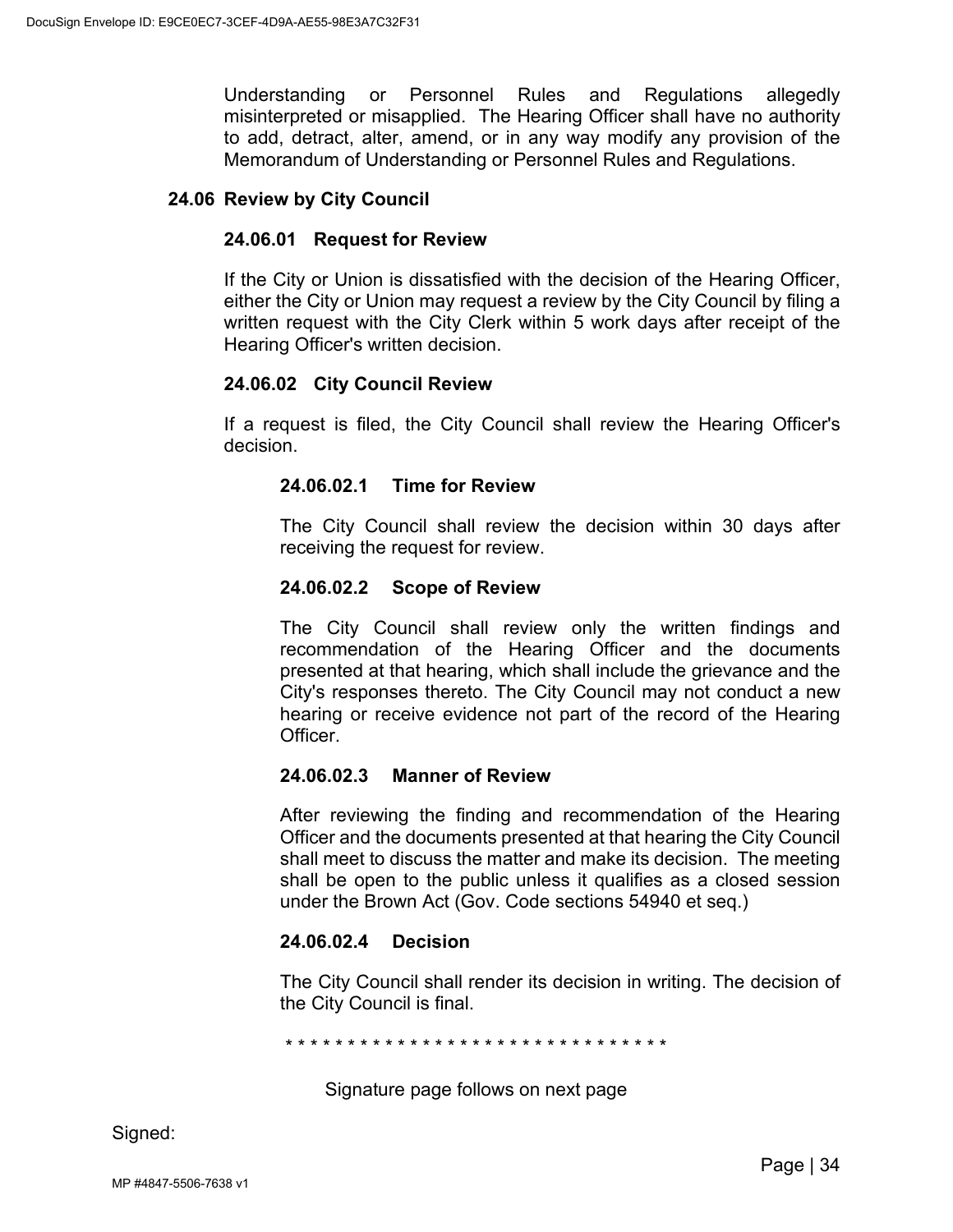Understanding or Personnel Rules and Regulations allegedly misinterpreted or misapplied. The Hearing Officer shall have no authority to add, detract, alter, amend, or in any way modify any provision of the Memorandum of Understanding or Personnel Rules and Regulations.

#### <span id="page-37-0"></span>**24.06 Review by City Council**

#### **24.06.01 Request for Review**

If the City or Union is dissatisfied with the decision of the Hearing Officer, either the City or Union may request a review by the City Council by filing a written request with the City Clerk within 5 work days after receipt of the Hearing Officer's written decision.

#### **24.06.02 City Council Review**

If a request is filed, the City Council shall review the Hearing Officer's decision.

#### **24.06.02.1 Time for Review**

The City Council shall review the decision within 30 days after receiving the request for review.

#### **24.06.02.2 Scope of Review**

The City Council shall review only the written findings and recommendation of the Hearing Officer and the documents presented at that hearing, which shall include the grievance and the City's responses thereto. The City Council may not conduct a new hearing or receive evidence not part of the record of the Hearing Officer.

#### **24.06.02.3 Manner of Review**

After reviewing the finding and recommendation of the Hearing Officer and the documents presented at that hearing the City Council shall meet to discuss the matter and make its decision. The meeting shall be open to the public unless it qualifies as a closed session under the Brown Act (Gov. Code sections 54940 et seq.)

#### **24.06.02.4 Decision**

The City Council shall render its decision in writing. The decision of the City Council is final.

\* \* \* \* \* \* \* \* \* \* \* \* \* \* \* \* \* \* \* \* \* \* \* \* \* \* \* \* \* \* \*

Signature page follows on next page

Signed: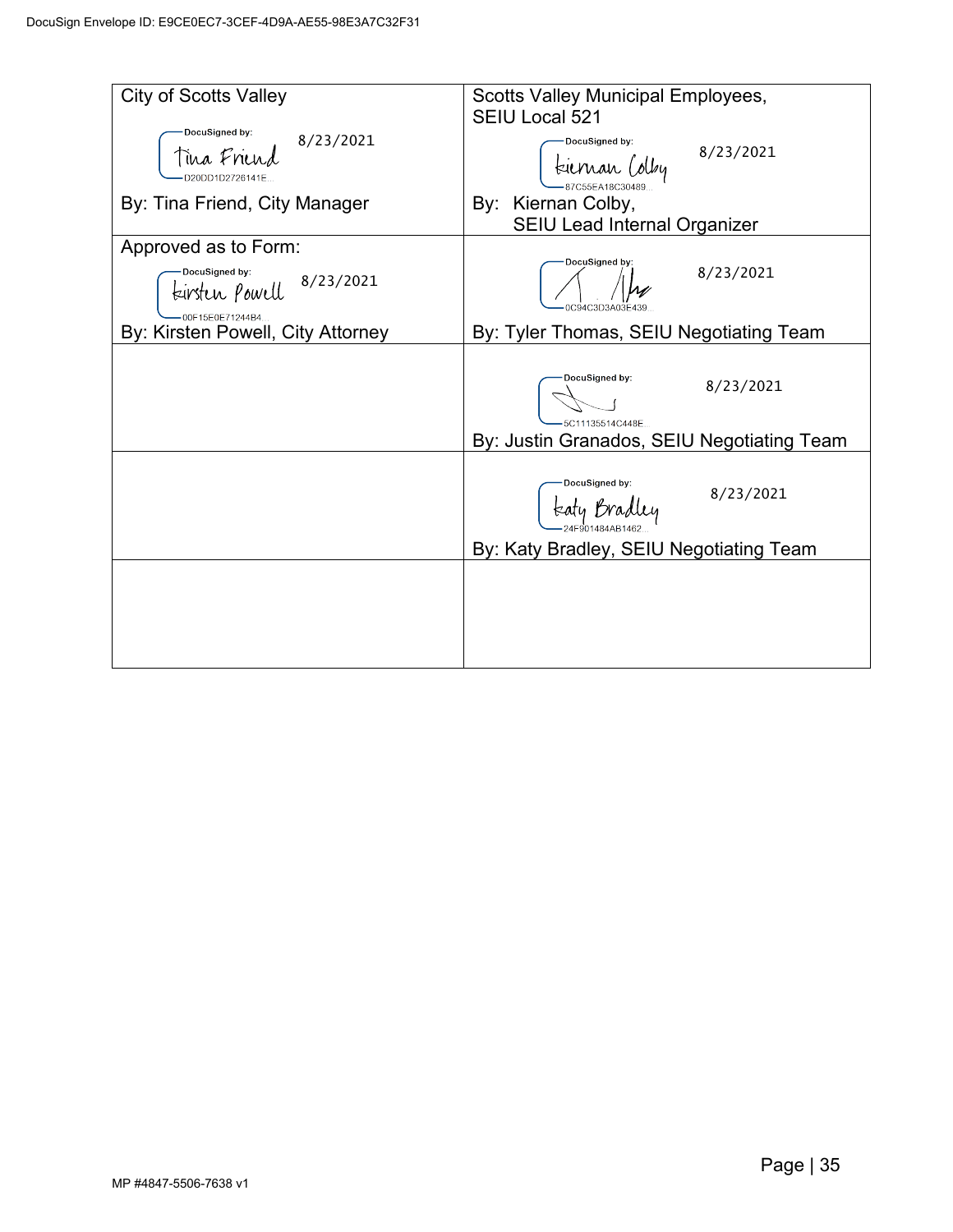| <b>City of Scotts Valley</b>                                      | <b>Scotts Valley Municipal Employees,</b><br>SEIU Local 521 |
|-------------------------------------------------------------------|-------------------------------------------------------------|
| DocuSigned by:<br>8/23/2021<br>Tina Friend<br>D20DD1D2726141F     | DocuSigned by:<br>8/23/2021<br>tiernan Colby                |
| By: Tina Friend, City Manager                                     | By: Kiernan Colby,<br><b>SEIU Lead Internal Organizer</b>   |
| Approved as to Form:                                              |                                                             |
| DocuSigned by:<br>8/23/2021<br>teirsten powell<br>00F15E0E71244B4 | DocuSigned by:<br>8/23/2021<br>0C94C3D3A03F439              |
| By: Kirsten Powell, City Attorney                                 | By: Tyler Thomas, SEIU Negotiating Team                     |
|                                                                   | DocuSigned by:<br>8/23/2021<br>5C11135514C448E              |
|                                                                   | By: Justin Granados, SEIU Negotiating Team                  |
|                                                                   | DocuSigned by:<br>8/23/2021<br>teaty Bradley                |
|                                                                   | By: Katy Bradley, SEIU Negotiating Team                     |
|                                                                   |                                                             |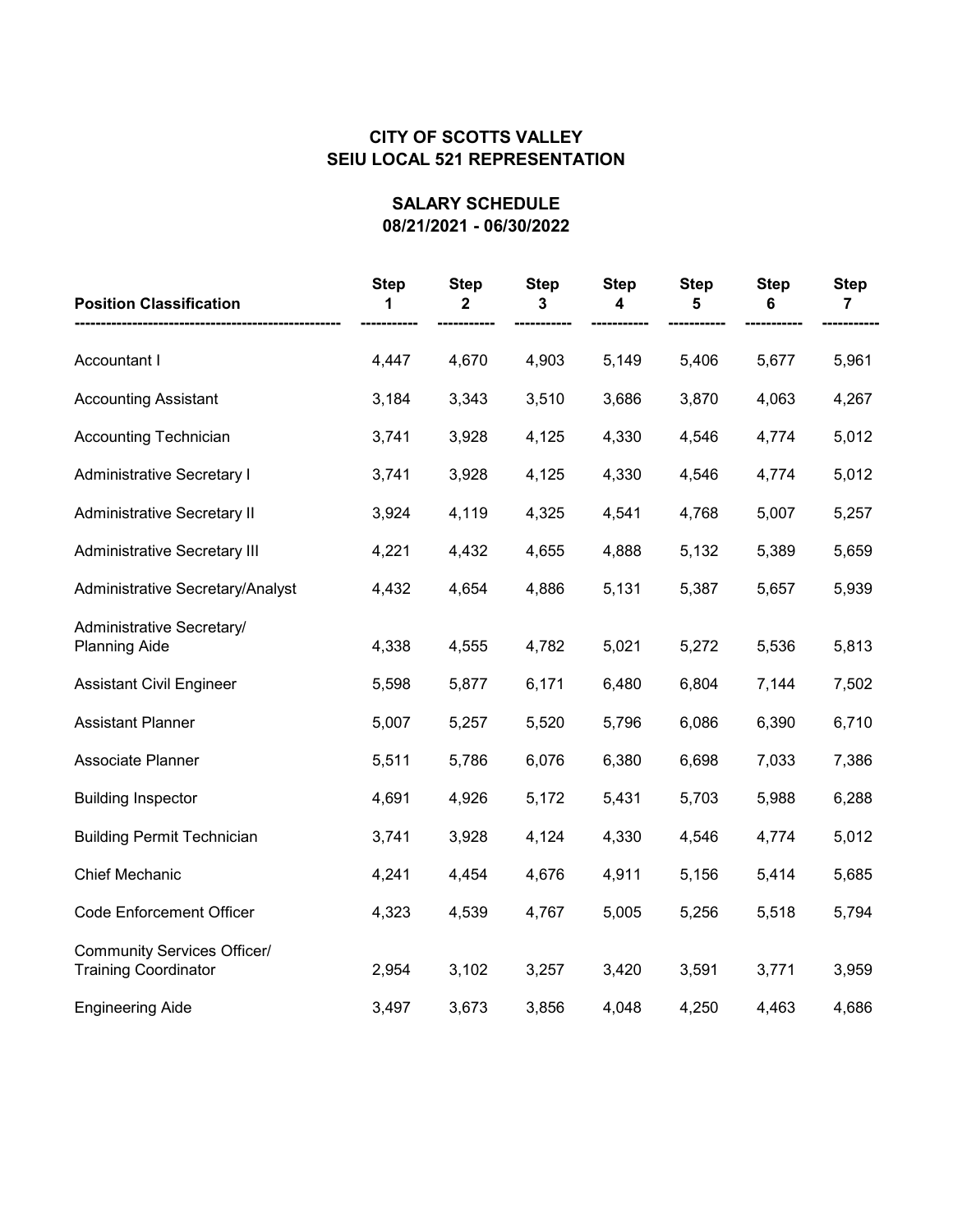| <b>Position Classification</b>                                    | <b>Step</b><br>1 | <b>Step</b><br>2 | <b>Step</b><br>3 | <b>Step</b><br>4 | <b>Step</b><br>5 | <b>Step</b><br>6 | <b>Step</b><br>7 |
|-------------------------------------------------------------------|------------------|------------------|------------------|------------------|------------------|------------------|------------------|
| Accountant I                                                      | 4,447            | 4,670            | 4,903            | 5,149            | 5,406            | 5,677            | 5,961            |
| <b>Accounting Assistant</b>                                       | 3,184            | 3,343            | 3,510            | 3,686            | 3,870            | 4,063            | 4,267            |
| <b>Accounting Technician</b>                                      | 3,741            | 3,928            | 4,125            | 4,330            | 4,546            | 4,774            | 5,012            |
| <b>Administrative Secretary I</b>                                 | 3,741            | 3,928            | 4,125            | 4,330            | 4,546            | 4,774            | 5,012            |
| <b>Administrative Secretary II</b>                                | 3,924            | 4,119            | 4,325            | 4,541            | 4,768            | 5,007            | 5,257            |
| <b>Administrative Secretary III</b>                               | 4,221            | 4,432            | 4,655            | 4,888            | 5,132            | 5,389            | 5,659            |
| Administrative Secretary/Analyst                                  | 4,432            | 4,654            | 4,886            | 5,131            | 5,387            | 5,657            | 5,939            |
| Administrative Secretary/<br><b>Planning Aide</b>                 | 4,338            | 4,555            | 4,782            | 5,021            | 5,272            | 5,536            | 5,813            |
| <b>Assistant Civil Engineer</b>                                   | 5,598            | 5,877            | 6,171            | 6,480            | 6,804            | 7,144            | 7,502            |
| <b>Assistant Planner</b>                                          | 5,007            | 5,257            | 5,520            | 5,796            | 6,086            | 6,390            | 6,710            |
| Associate Planner                                                 | 5,511            | 5,786            | 6,076            | 6,380            | 6,698            | 7,033            | 7,386            |
| <b>Building Inspector</b>                                         | 4,691            | 4,926            | 5,172            | 5,431            | 5,703            | 5,988            | 6,288            |
| <b>Building Permit Technician</b>                                 | 3,741            | 3,928            | 4,124            | 4,330            | 4,546            | 4,774            | 5,012            |
| Chief Mechanic                                                    | 4,241            | 4,454            | 4,676            | 4,911            | 5,156            | 5,414            | 5,685            |
| <b>Code Enforcement Officer</b>                                   | 4,323            | 4,539            | 4,767            | 5,005            | 5,256            | 5,518            | 5,794            |
| <b>Community Services Officer/</b><br><b>Training Coordinator</b> | 2,954            | 3,102            | 3,257            | 3,420            | 3,591            | 3,771            | 3,959            |
| <b>Engineering Aide</b>                                           | 3,497            | 3,673            | 3,856            | 4,048            | 4,250            | 4,463            | 4,686            |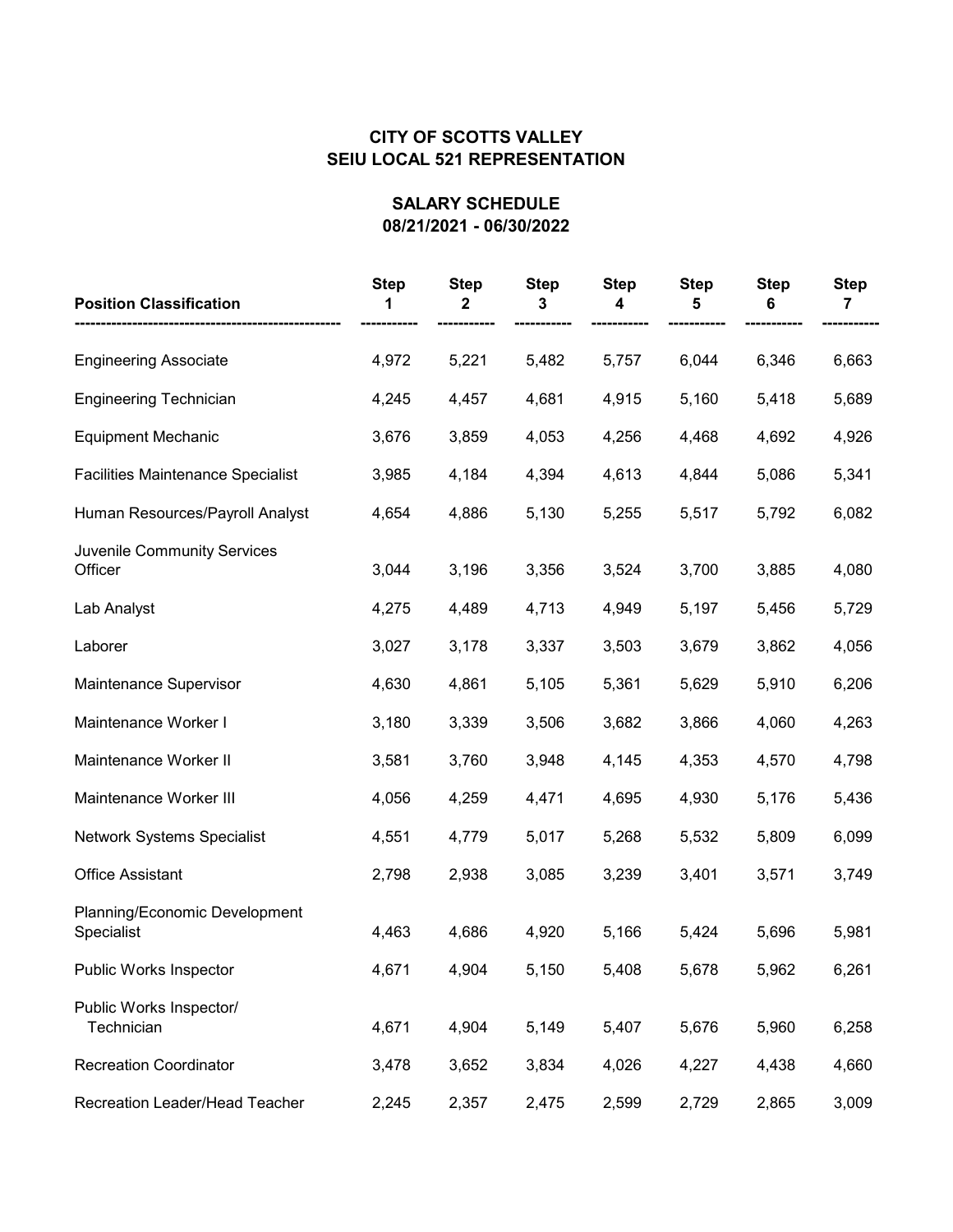| <b>Position Classification</b>              | <b>Step</b> | <b>Step</b><br>2 | <b>Step</b><br>3 | <b>Step</b><br>4 | <b>Step</b> | <b>Step</b><br>6 | <b>Step</b> |
|---------------------------------------------|-------------|------------------|------------------|------------------|-------------|------------------|-------------|
| <b>Engineering Associate</b>                | 4,972       | 5,221            | 5,482            | 5,757            | 6,044       | 6,346            | 6,663       |
| <b>Engineering Technician</b>               | 4,245       | 4,457            | 4,681            | 4,915            | 5,160       | 5,418            | 5,689       |
| <b>Equipment Mechanic</b>                   | 3,676       | 3,859            | 4,053            | 4,256            | 4,468       | 4,692            | 4,926       |
| <b>Facilities Maintenance Specialist</b>    | 3,985       | 4,184            | 4,394            | 4,613            | 4,844       | 5,086            | 5,341       |
| Human Resources/Payroll Analyst             | 4,654       | 4,886            | 5,130            | 5,255            | 5,517       | 5,792            | 6,082       |
| Juvenile Community Services<br>Officer      | 3,044       | 3,196            | 3,356            | 3,524            | 3,700       | 3,885            | 4,080       |
| Lab Analyst                                 | 4,275       | 4,489            | 4,713            | 4,949            | 5,197       | 5,456            | 5,729       |
| Laborer                                     | 3,027       | 3,178            | 3,337            | 3,503            | 3,679       | 3,862            | 4,056       |
| Maintenance Supervisor                      | 4,630       | 4,861            | 5,105            | 5,361            | 5,629       | 5,910            | 6,206       |
| Maintenance Worker I                        | 3,180       | 3,339            | 3,506            | 3,682            | 3,866       | 4,060            | 4,263       |
| Maintenance Worker II                       | 3,581       | 3,760            | 3,948            | 4,145            | 4,353       | 4,570            | 4,798       |
| Maintenance Worker III                      | 4,056       | 4,259            | 4,471            | 4,695            | 4,930       | 5,176            | 5,436       |
| <b>Network Systems Specialist</b>           | 4,551       | 4,779            | 5,017            | 5,268            | 5,532       | 5,809            | 6,099       |
| <b>Office Assistant</b>                     | 2,798       | 2,938            | 3,085            | 3,239            | 3,401       | 3,571            | 3,749       |
| Planning/Economic Development<br>Specialist | 4,463       | 4,686            | 4,920            | 5,166            | 5,424       | 5,696            | 5,981       |
| Public Works Inspector                      | 4,671       | 4,904            | 5,150            | 5,408            | 5,678       | 5,962            | 6,261       |
| Public Works Inspector/<br>Technician       | 4,671       | 4,904            | 5,149            | 5,407            | 5,676       | 5,960            | 6,258       |
| <b>Recreation Coordinator</b>               | 3,478       | 3,652            | 3,834            | 4,026            | 4,227       | 4,438            | 4,660       |
| Recreation Leader/Head Teacher              | 2,245       | 2,357            | 2,475            | 2,599            | 2,729       | 2,865            | 3,009       |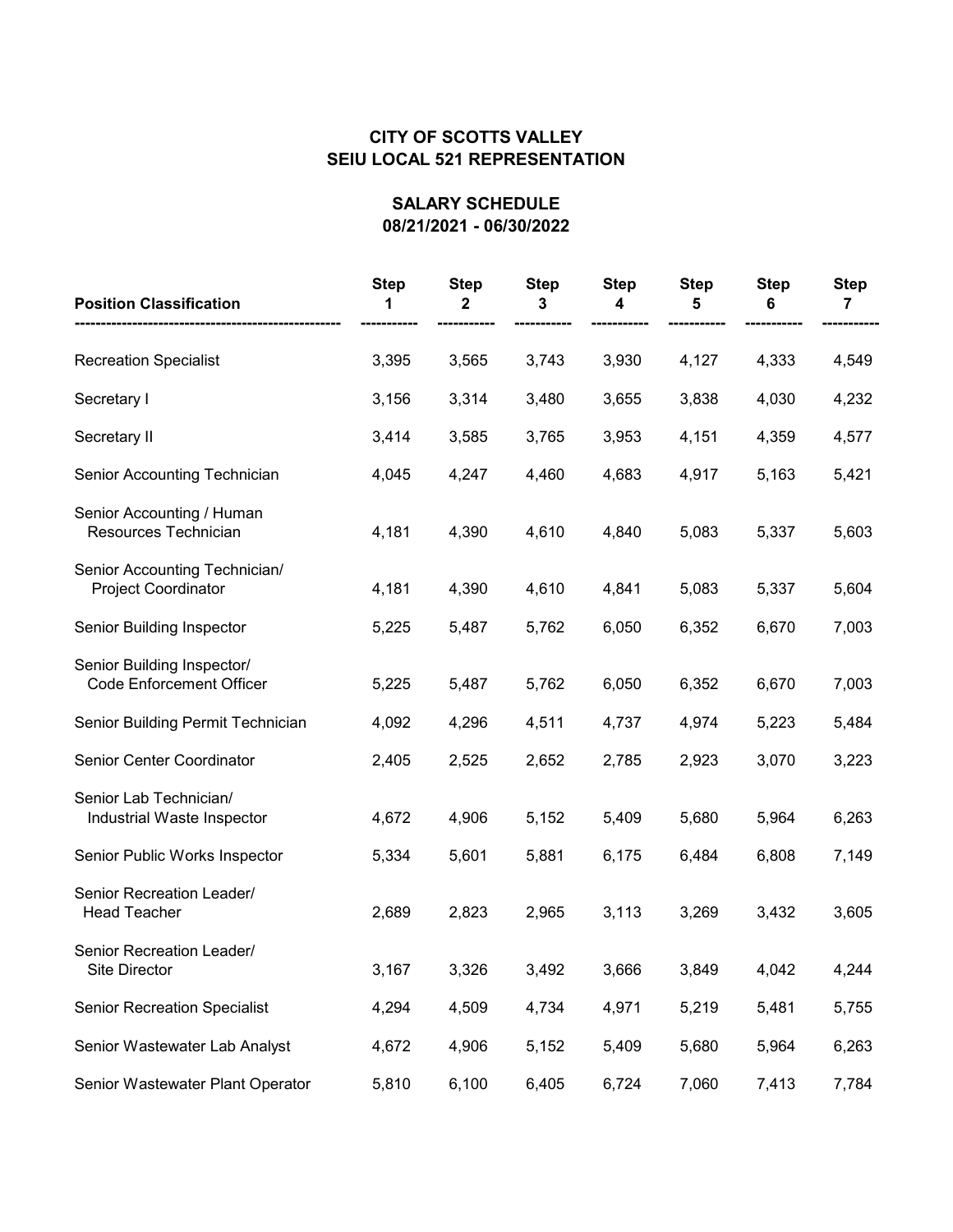| <b>Position Classification</b>                                | <b>Step</b> | <b>Step</b><br>2 | <b>Step</b><br>3 | <b>Step</b><br>4 | <b>Step</b><br>5 | <b>Step</b><br>6 | <b>Step</b><br>7 |
|---------------------------------------------------------------|-------------|------------------|------------------|------------------|------------------|------------------|------------------|
| <b>Recreation Specialist</b>                                  | 3,395       | 3,565            | 3,743            | 3,930            | 4,127            | 4,333            | 4,549            |
| Secretary I                                                   | 3,156       | 3,314            | 3,480            | 3,655            | 3,838            | 4,030            | 4,232            |
| Secretary II                                                  | 3,414       | 3,585            | 3,765            | 3,953            | 4,151            | 4,359            | 4,577            |
| Senior Accounting Technician                                  | 4,045       | 4,247            | 4,460            | 4,683            | 4,917            | 5,163            | 5,421            |
| Senior Accounting / Human<br>Resources Technician             | 4,181       | 4,390            | 4,610            | 4,840            | 5,083            | 5,337            | 5,603            |
| Senior Accounting Technician/<br><b>Project Coordinator</b>   | 4,181       | 4,390            | 4,610            | 4,841            | 5,083            | 5,337            | 5,604            |
| Senior Building Inspector                                     | 5,225       | 5,487            | 5,762            | 6,050            | 6,352            | 6,670            | 7,003            |
| Senior Building Inspector/<br><b>Code Enforcement Officer</b> | 5,225       | 5,487            | 5,762            | 6,050            | 6,352            | 6,670            | 7,003            |
| Senior Building Permit Technician                             | 4,092       | 4,296            | 4,511            | 4,737            | 4,974            | 5,223            | 5,484            |
| Senior Center Coordinator                                     | 2,405       | 2,525            | 2,652            | 2,785            | 2,923            | 3,070            | 3,223            |
| Senior Lab Technician/<br>Industrial Waste Inspector          | 4,672       | 4,906            | 5,152            | 5,409            | 5,680            | 5,964            | 6,263            |
| Senior Public Works Inspector                                 | 5,334       | 5,601            | 5,881            | 6,175            | 6,484            | 6,808            | 7,149            |
| Senior Recreation Leader/<br><b>Head Teacher</b>              | 2,689       | 2,823            | 2,965            | 3,113            | 3,269            | 3,432            | 3,605            |
| Senior Recreation Leader/<br>Site Director                    | 3,167       | 3,326            | 3,492            | 3,666            | 3,849            | 4,042            | 4,244            |
| <b>Senior Recreation Specialist</b>                           | 4,294       | 4,509            | 4,734            | 4,971            | 5,219            | 5,481            | 5,755            |
| Senior Wastewater Lab Analyst                                 | 4,672       | 4,906            | 5,152            | 5,409            | 5,680            | 5,964            | 6,263            |
| Senior Wastewater Plant Operator                              | 5,810       | 6,100            | 6,405            | 6,724            | 7,060            | 7,413            | 7,784            |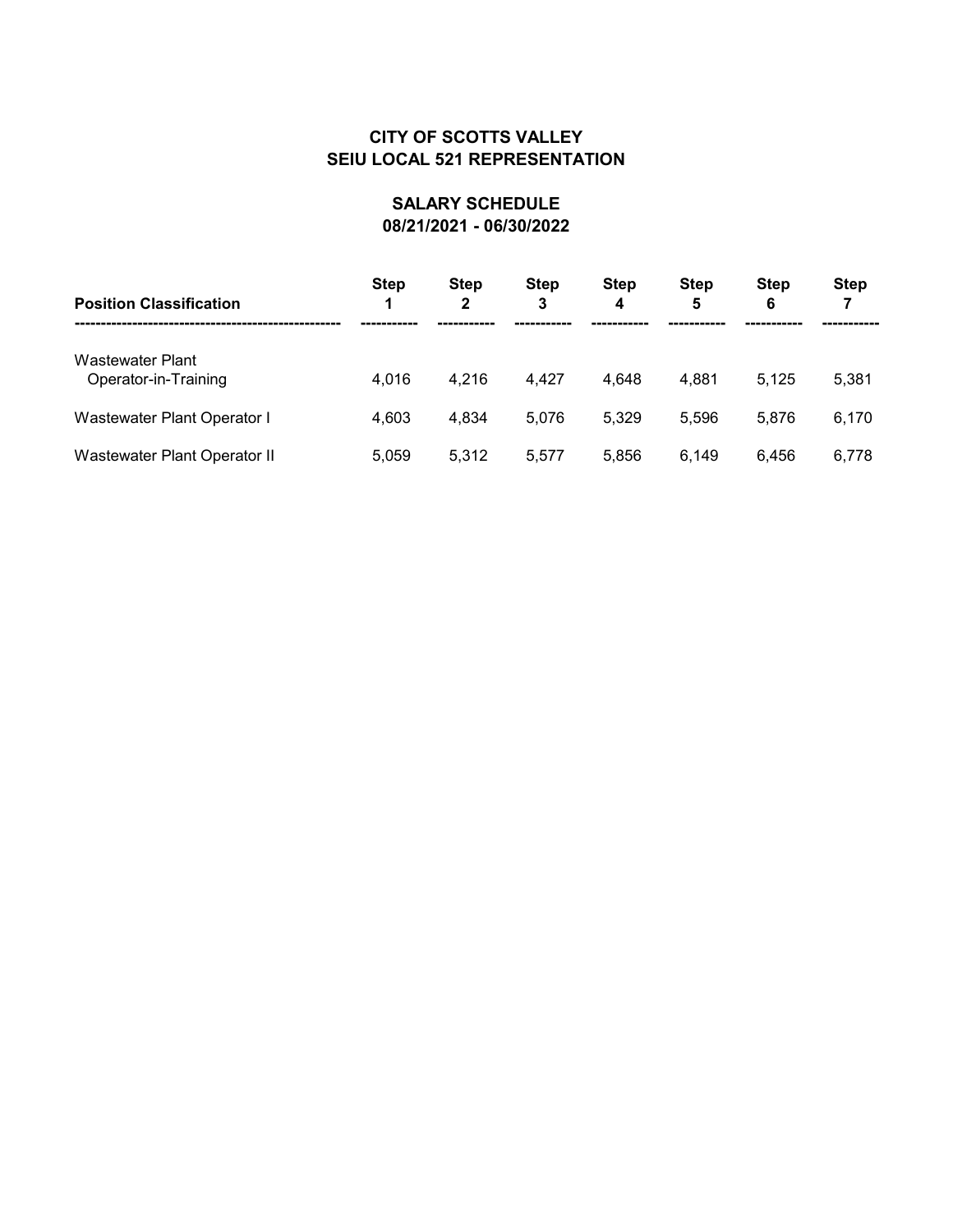| <b>Position Classification</b>           | <b>Step</b> | <b>Step</b><br>2 | <b>Step</b><br>3 | <b>Step</b><br>4 | <b>Step</b><br>5 | <b>Step</b><br>6 | <b>Step</b> |
|------------------------------------------|-------------|------------------|------------------|------------------|------------------|------------------|-------------|
| Wastewater Plant<br>Operator-in-Training | 4,016       | 4,216            | 4,427            | 4,648            | 4,881            | 5.125            | 5,381       |
| Wastewater Plant Operator I              | 4,603       | 4,834            | 5,076            | 5,329            | 5.596            | 5.876            | 6,170       |
| Wastewater Plant Operator II             | 5,059       | 5.312            | 5,577            | 5,856            | 6.149            | 6.456            | 6,778       |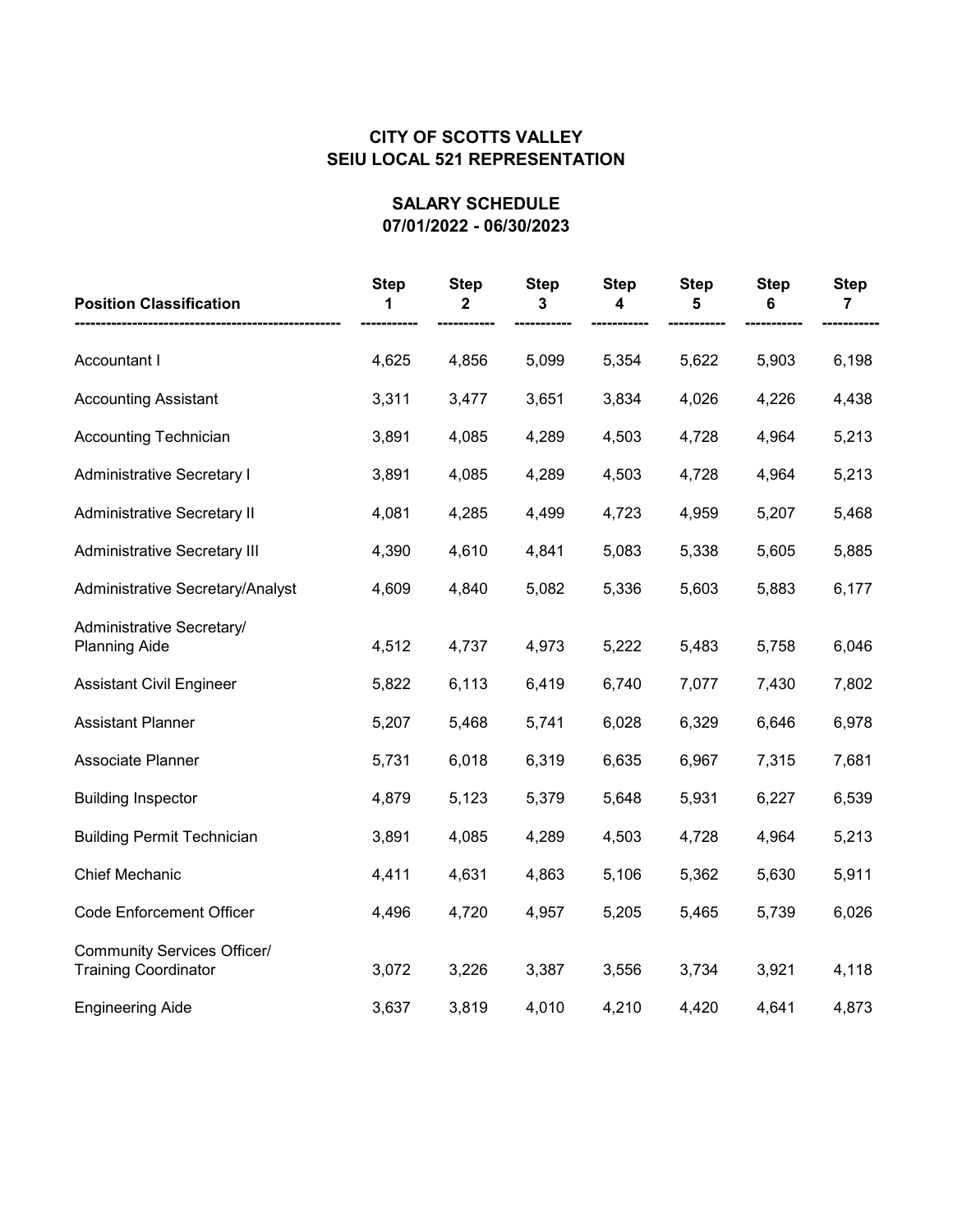| <b>Position Classification</b>                                    | <b>Step</b><br>1 | <b>Step</b><br>2 | <b>Step</b><br>3 | <b>Step</b><br>4 | <b>Step</b><br>5 | <b>Step</b><br>6 | <b>Step</b><br>7 |
|-------------------------------------------------------------------|------------------|------------------|------------------|------------------|------------------|------------------|------------------|
| Accountant I                                                      | 4,625            | 4,856            | 5,099            | 5,354            | 5,622            | 5,903            | 6,198            |
| <b>Accounting Assistant</b>                                       | 3,311            | 3,477            | 3,651            | 3,834            | 4,026            | 4,226            | 4,438            |
| <b>Accounting Technician</b>                                      | 3,891            | 4,085            | 4,289            | 4,503            | 4,728            | 4,964            | 5,213            |
| <b>Administrative Secretary I</b>                                 | 3,891            | 4,085            | 4,289            | 4,503            | 4,728            | 4,964            | 5,213            |
| <b>Administrative Secretary II</b>                                | 4,081            | 4,285            | 4,499            | 4,723            | 4,959            | 5,207            | 5,468            |
| <b>Administrative Secretary III</b>                               | 4,390            | 4,610            | 4,841            | 5,083            | 5,338            | 5,605            | 5,885            |
| Administrative Secretary/Analyst                                  | 4,609            | 4,840            | 5,082            | 5,336            | 5,603            | 5,883            | 6,177            |
| Administrative Secretary/<br><b>Planning Aide</b>                 | 4,512            | 4,737            | 4,973            | 5,222            | 5,483            | 5,758            | 6,046            |
| <b>Assistant Civil Engineer</b>                                   | 5,822            | 6,113            | 6,419            | 6,740            | 7,077            | 7,430            | 7,802            |
| <b>Assistant Planner</b>                                          | 5,207            | 5,468            | 5,741            | 6,028            | 6,329            | 6,646            | 6,978            |
| Associate Planner                                                 | 5,731            | 6,018            | 6,319            | 6,635            | 6,967            | 7,315            | 7,681            |
| <b>Building Inspector</b>                                         | 4,879            | 5,123            | 5,379            | 5,648            | 5,931            | 6,227            | 6,539            |
| <b>Building Permit Technician</b>                                 | 3,891            | 4,085            | 4,289            | 4,503            | 4,728            | 4,964            | 5,213            |
| <b>Chief Mechanic</b>                                             | 4,411            | 4,631            | 4,863            | 5,106            | 5,362            | 5,630            | 5,911            |
| <b>Code Enforcement Officer</b>                                   | 4,496            | 4,720            | 4,957            | 5,205            | 5,465            | 5,739            | 6,026            |
| <b>Community Services Officer/</b><br><b>Training Coordinator</b> | 3,072            | 3,226            | 3,387            | 3,556            | 3,734            | 3,921            | 4,118            |
| <b>Engineering Aide</b>                                           | 3,637            | 3,819            | 4,010            | 4,210            | 4,420            | 4,641            | 4,873            |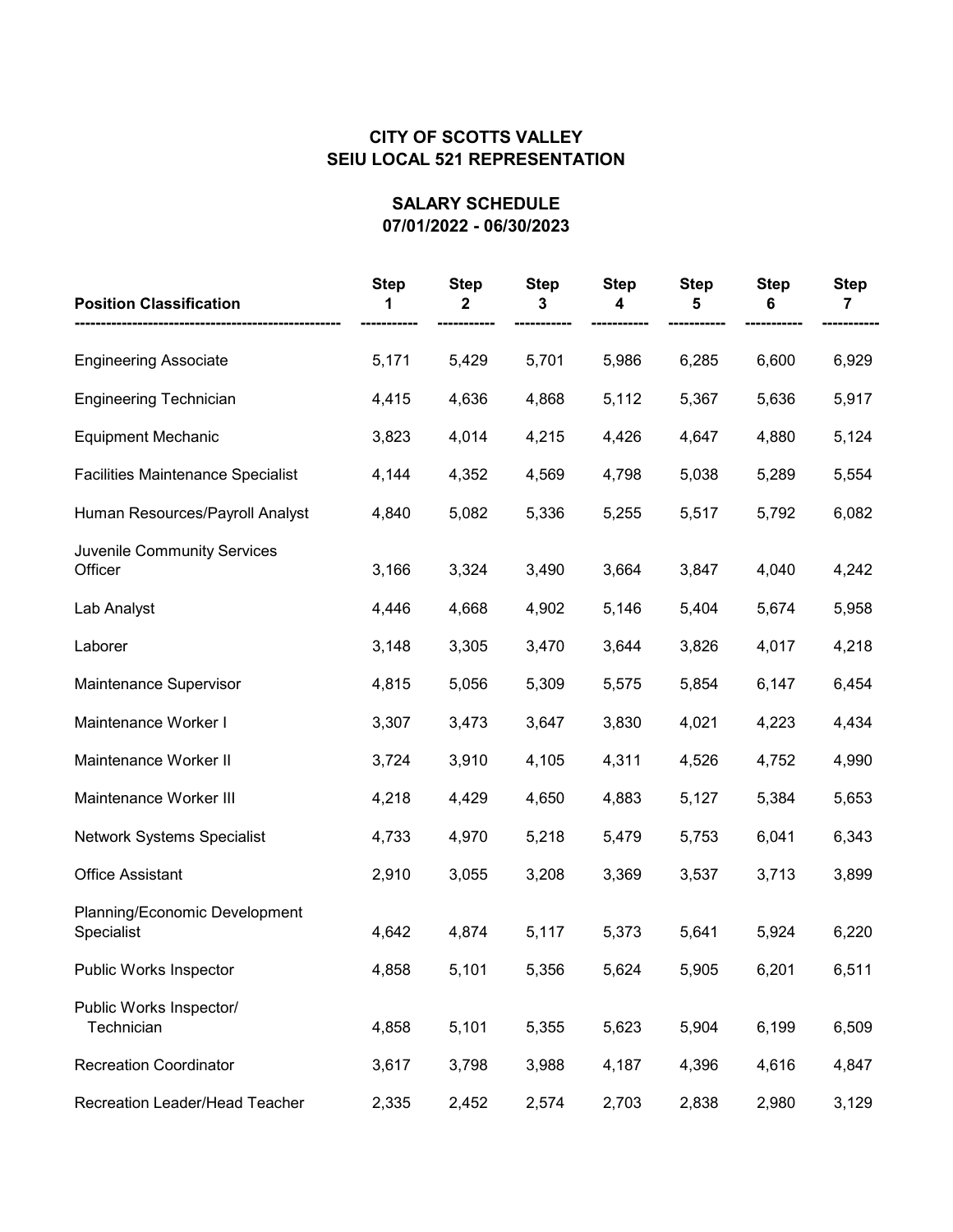| <b>Position Classification</b>              | <b>Step</b> | <b>Step</b><br>2 | <b>Step</b><br>3 | <b>Step</b><br>4 | <b>Step</b><br>5 | <b>Step</b><br>6 | <b>Step</b><br>7 |
|---------------------------------------------|-------------|------------------|------------------|------------------|------------------|------------------|------------------|
| <b>Engineering Associate</b>                | 5,171       | 5,429            | 5,701            | 5,986            | 6,285            | 6,600            | 6,929            |
| <b>Engineering Technician</b>               | 4,415       | 4,636            | 4,868            | 5,112            | 5,367            | 5,636            | 5,917            |
| <b>Equipment Mechanic</b>                   | 3,823       | 4,014            | 4,215            | 4,426            | 4,647            | 4,880            | 5,124            |
| <b>Facilities Maintenance Specialist</b>    | 4,144       | 4,352            | 4,569            | 4,798            | 5,038            | 5,289            | 5,554            |
| Human Resources/Payroll Analyst             | 4,840       | 5,082            | 5,336            | 5,255            | 5,517            | 5,792            | 6,082            |
| Juvenile Community Services<br>Officer      | 3,166       | 3,324            | 3,490            | 3,664            | 3,847            | 4,040            | 4,242            |
| Lab Analyst                                 | 4,446       | 4,668            | 4,902            | 5,146            | 5,404            | 5,674            | 5,958            |
| Laborer                                     | 3,148       | 3,305            | 3,470            | 3,644            | 3,826            | 4,017            | 4,218            |
| Maintenance Supervisor                      | 4,815       | 5,056            | 5,309            | 5,575            | 5,854            | 6,147            | 6,454            |
| Maintenance Worker I                        | 3,307       | 3,473            | 3,647            | 3,830            | 4,021            | 4,223            | 4,434            |
| Maintenance Worker II                       | 3,724       | 3,910            | 4,105            | 4,311            | 4,526            | 4,752            | 4,990            |
| Maintenance Worker III                      | 4,218       | 4,429            | 4,650            | 4,883            | 5,127            | 5,384            | 5,653            |
| Network Systems Specialist                  | 4,733       | 4,970            | 5,218            | 5,479            | 5,753            | 6,041            | 6,343            |
| <b>Office Assistant</b>                     | 2,910       | 3,055            | 3,208            | 3,369            | 3,537            | 3,713            | 3,899            |
| Planning/Economic Development<br>Specialist | 4,642       | 4,874            | 5,117            | 5,373            | 5,641            | 5,924            | 6,220            |
| Public Works Inspector                      | 4,858       | 5,101            | 5,356            | 5,624            | 5,905            | 6,201            | 6,511            |
| Public Works Inspector/<br>Technician       | 4,858       | 5,101            | 5,355            | 5,623            | 5,904            | 6,199            | 6,509            |
| <b>Recreation Coordinator</b>               | 3,617       | 3,798            | 3,988            | 4,187            | 4,396            | 4,616            | 4,847            |
| Recreation Leader/Head Teacher              | 2,335       | 2,452            | 2,574            | 2,703            | 2,838            | 2,980            | 3,129            |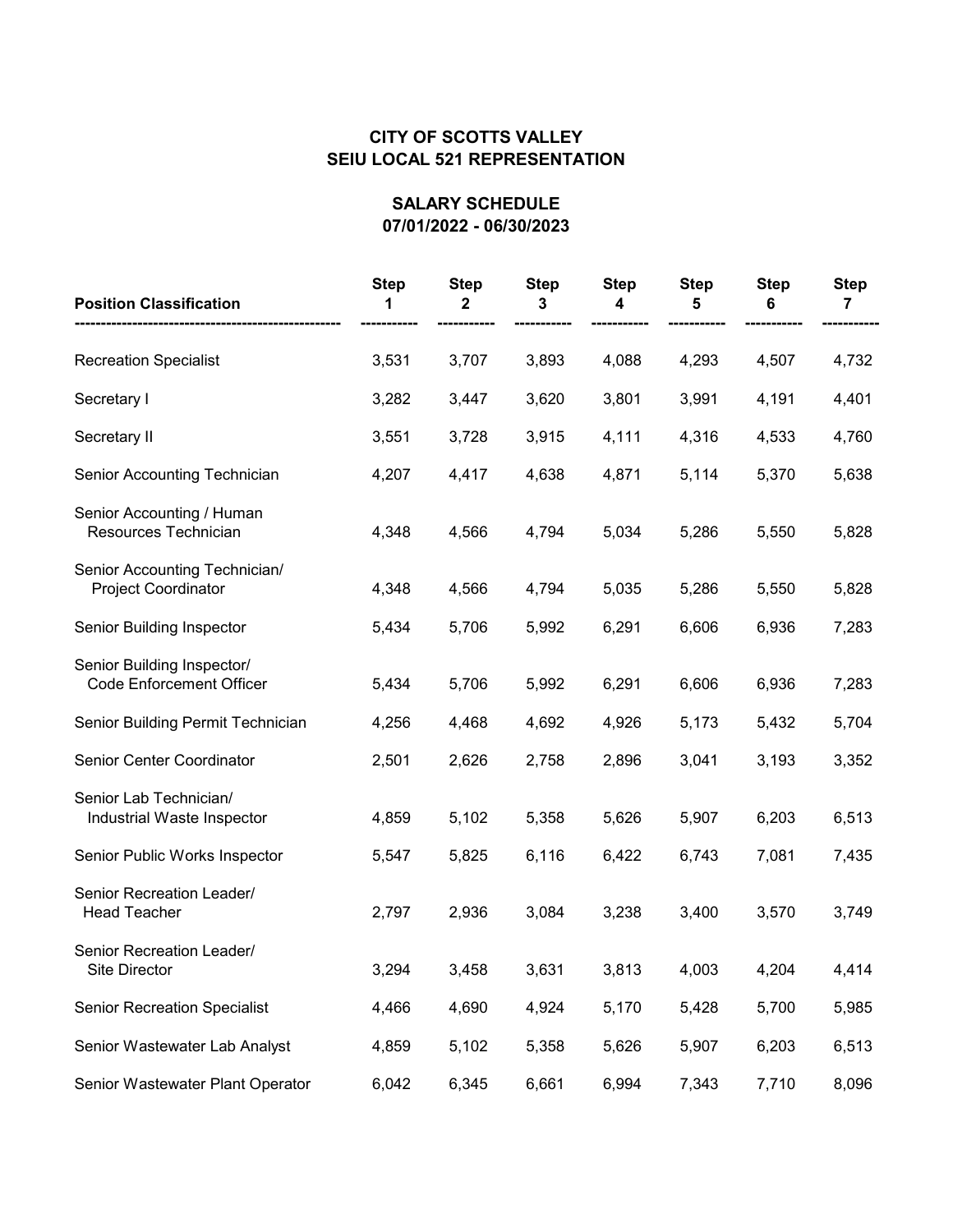| <b>Position Classification</b>                                | <b>Step</b> | <b>Step</b><br>2 | <b>Step</b><br>3 | <b>Step</b><br>4 | <b>Step</b><br>5 | <b>Step</b><br>6 | <b>Step</b><br>7 |
|---------------------------------------------------------------|-------------|------------------|------------------|------------------|------------------|------------------|------------------|
| <b>Recreation Specialist</b>                                  | 3,531       | 3,707            | 3,893            | 4,088            | 4,293            | 4,507            | 4,732            |
| Secretary I                                                   | 3,282       | 3,447            | 3,620            | 3,801            | 3,991            | 4,191            | 4,401            |
| Secretary II                                                  | 3,551       | 3,728            | 3,915            | 4,111            | 4,316            | 4,533            | 4,760            |
| Senior Accounting Technician                                  | 4,207       | 4,417            | 4,638            | 4,871            | 5,114            | 5,370            | 5,638            |
| Senior Accounting / Human<br>Resources Technician             | 4,348       | 4,566            | 4,794            | 5,034            | 5,286            | 5,550            | 5,828            |
| Senior Accounting Technician/<br><b>Project Coordinator</b>   | 4,348       | 4,566            | 4,794            | 5,035            | 5,286            | 5,550            | 5,828            |
| Senior Building Inspector                                     | 5,434       | 5,706            | 5,992            | 6,291            | 6,606            | 6,936            | 7,283            |
| Senior Building Inspector/<br><b>Code Enforcement Officer</b> | 5,434       | 5,706            | 5,992            | 6,291            | 6,606            | 6,936            | 7,283            |
| Senior Building Permit Technician                             | 4,256       | 4,468            | 4,692            | 4,926            | 5,173            | 5,432            | 5,704            |
| Senior Center Coordinator                                     | 2,501       | 2,626            | 2,758            | 2,896            | 3,041            | 3,193            | 3,352            |
| Senior Lab Technician/<br>Industrial Waste Inspector          | 4,859       | 5,102            | 5,358            | 5,626            | 5,907            | 6,203            | 6,513            |
| Senior Public Works Inspector                                 | 5,547       | 5,825            | 6,116            | 6,422            | 6,743            | 7,081            | 7,435            |
| Senior Recreation Leader/<br><b>Head Teacher</b>              | 2,797       | 2,936            | 3,084            | 3,238            | 3,400            | 3,570            | 3,749            |
| Senior Recreation Leader/<br>Site Director                    | 3,294       | 3,458            | 3,631            | 3,813            | 4,003            | 4,204            | 4,414            |
| <b>Senior Recreation Specialist</b>                           | 4,466       | 4,690            | 4,924            | 5,170            | 5,428            | 5,700            | 5,985            |
| Senior Wastewater Lab Analyst                                 | 4,859       | 5,102            | 5,358            | 5,626            | 5,907            | 6,203            | 6,513            |
| Senior Wastewater Plant Operator                              | 6,042       | 6,345            | 6,661            | 6,994            | 7,343            | 7,710            | 8,096            |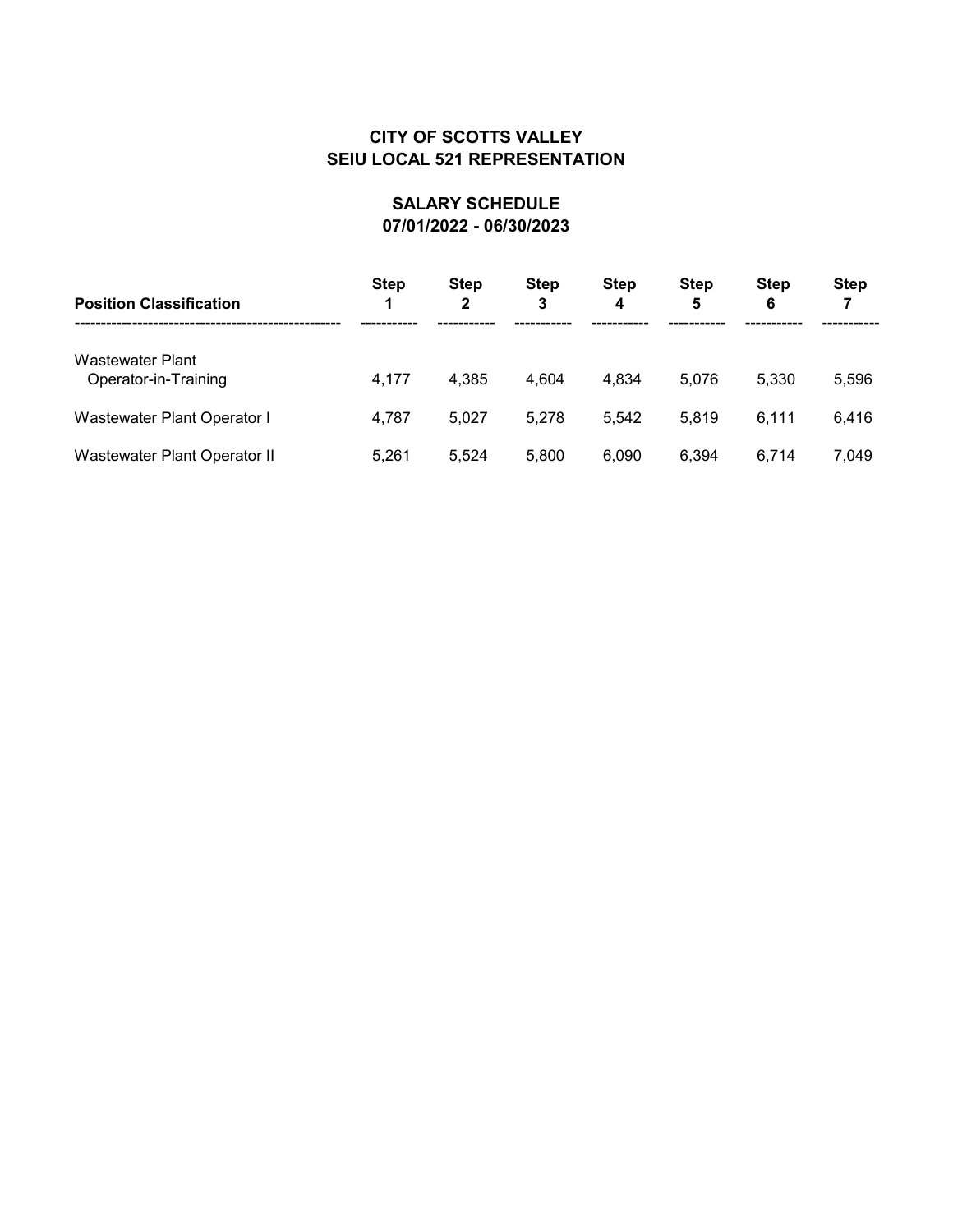| <b>Position Classification</b>           | <b>Step</b> | <b>Step</b><br>2 | <b>Step</b><br>3 | <b>Step</b><br>4 | <b>Step</b><br>5 | <b>Step</b><br>6 | <b>Step</b> |
|------------------------------------------|-------------|------------------|------------------|------------------|------------------|------------------|-------------|
| Wastewater Plant<br>Operator-in-Training | 4,177       | 4,385            | 4,604            | 4,834            | 5,076            | 5,330            | 5,596       |
| Wastewater Plant Operator I              | 4,787       | 5.027            | 5,278            | 5.542            | 5.819            | 6.111            | 6,416       |
| Wastewater Plant Operator II             | 5,261       | 5,524            | 5,800            | 6,090            | 6,394            | 6.714            | 7,049       |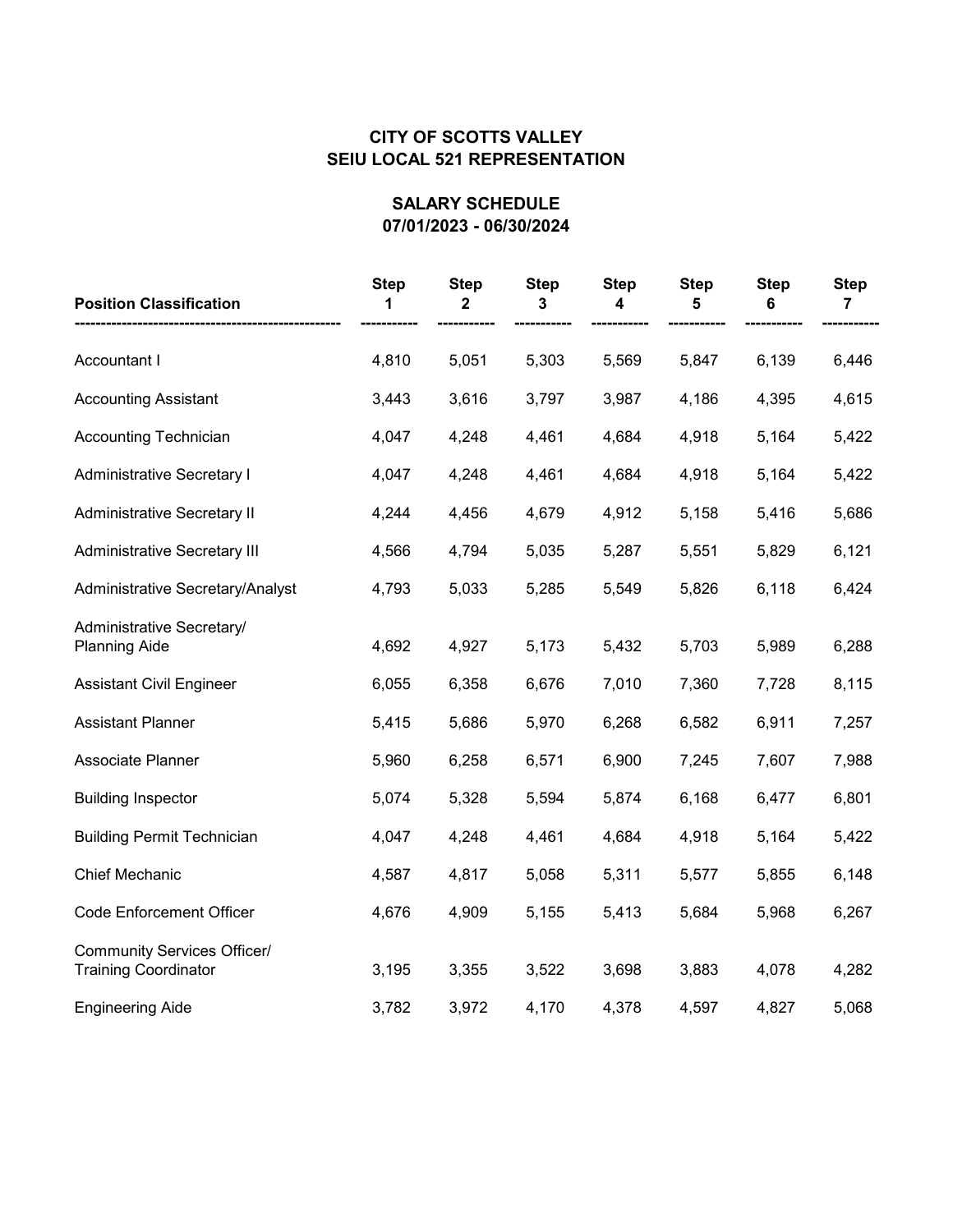| <b>Position Classification</b>                                    | <b>Step</b><br>1 | <b>Step</b><br>2 | <b>Step</b><br>3 | <b>Step</b><br>4 | <b>Step</b><br>5 | <b>Step</b><br>6 | <b>Step</b><br>7 |
|-------------------------------------------------------------------|------------------|------------------|------------------|------------------|------------------|------------------|------------------|
| Accountant I                                                      | 4,810            | 5,051            | 5,303            | 5,569            | 5,847            | 6,139            | 6,446            |
| <b>Accounting Assistant</b>                                       | 3,443            | 3,616            | 3,797            | 3,987            | 4,186            | 4,395            | 4,615            |
| <b>Accounting Technician</b>                                      | 4,047            | 4,248            | 4,461            | 4,684            | 4,918            | 5,164            | 5,422            |
| Administrative Secretary I                                        | 4,047            | 4,248            | 4,461            | 4,684            | 4,918            | 5,164            | 5,422            |
| <b>Administrative Secretary II</b>                                | 4,244            | 4,456            | 4,679            | 4,912            | 5,158            | 5,416            | 5,686            |
| Administrative Secretary III                                      | 4,566            | 4,794            | 5,035            | 5,287            | 5,551            | 5,829            | 6,121            |
| Administrative Secretary/Analyst                                  | 4,793            | 5,033            | 5,285            | 5,549            | 5,826            | 6,118            | 6,424            |
| Administrative Secretary/<br><b>Planning Aide</b>                 | 4,692            | 4,927            | 5,173            | 5,432            | 5,703            | 5,989            | 6,288            |
| <b>Assistant Civil Engineer</b>                                   | 6,055            | 6,358            | 6,676            | 7,010            | 7,360            | 7,728            | 8,115            |
| <b>Assistant Planner</b>                                          | 5,415            | 5,686            | 5,970            | 6,268            | 6,582            | 6,911            | 7,257            |
| Associate Planner                                                 | 5,960            | 6,258            | 6,571            | 6,900            | 7,245            | 7,607            | 7,988            |
| <b>Building Inspector</b>                                         | 5,074            | 5,328            | 5,594            | 5,874            | 6,168            | 6,477            | 6,801            |
| <b>Building Permit Technician</b>                                 | 4,047            | 4,248            | 4,461            | 4,684            | 4,918            | 5,164            | 5,422            |
| Chief Mechanic                                                    | 4,587            | 4,817            | 5,058            | 5,311            | 5,577            | 5,855            | 6,148            |
| <b>Code Enforcement Officer</b>                                   | 4,676            | 4,909            | 5,155            | 5,413            | 5,684            | 5,968            | 6,267            |
| <b>Community Services Officer/</b><br><b>Training Coordinator</b> | 3,195            | 3,355            | 3,522            | 3,698            | 3,883            | 4,078            | 4,282            |
| <b>Engineering Aide</b>                                           | 3,782            | 3,972            | 4,170            | 4,378            | 4,597            | 4,827            | 5,068            |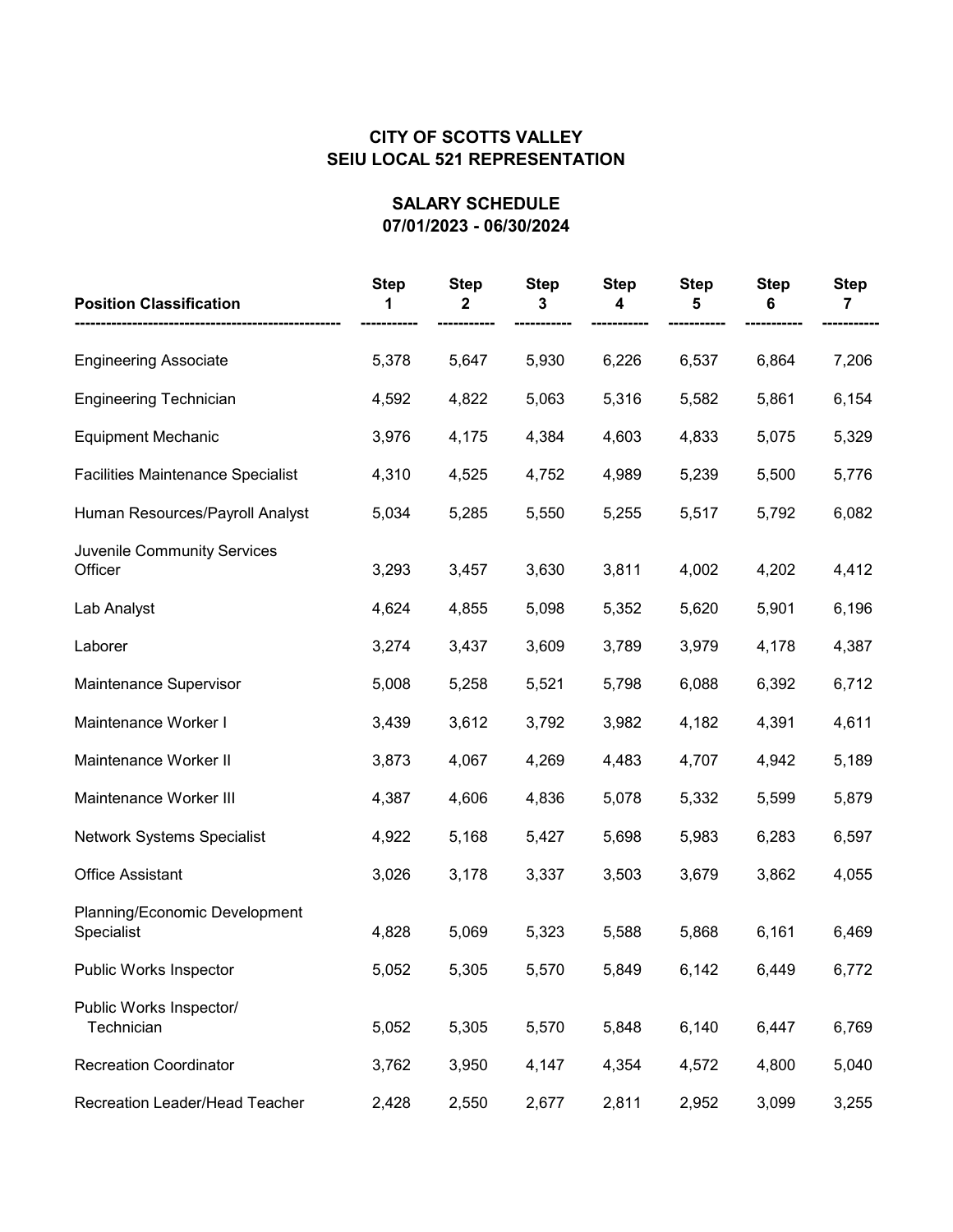| <b>Position Classification</b>              | <b>Step</b> | <b>Step</b><br>2 | <b>Step</b><br>3 | <b>Step</b> | <b>Step</b> | <b>Step</b><br>6 | <b>Step</b> |
|---------------------------------------------|-------------|------------------|------------------|-------------|-------------|------------------|-------------|
| <b>Engineering Associate</b>                | 5,378       | 5,647            | 5,930            | 6,226       | 6,537       | 6,864            | 7,206       |
| <b>Engineering Technician</b>               | 4,592       | 4,822            | 5,063            | 5,316       | 5,582       | 5,861            | 6,154       |
| <b>Equipment Mechanic</b>                   | 3,976       | 4,175            | 4,384            | 4,603       | 4,833       | 5,075            | 5,329       |
| <b>Facilities Maintenance Specialist</b>    | 4,310       | 4,525            | 4,752            | 4,989       | 5,239       | 5,500            | 5,776       |
| Human Resources/Payroll Analyst             | 5,034       | 5,285            | 5,550            | 5,255       | 5,517       | 5,792            | 6,082       |
| Juvenile Community Services<br>Officer      | 3,293       | 3,457            | 3,630            | 3,811       | 4,002       | 4,202            | 4,412       |
| Lab Analyst                                 | 4,624       | 4,855            | 5,098            | 5,352       | 5,620       | 5,901            | 6,196       |
| Laborer                                     | 3,274       | 3,437            | 3,609            | 3,789       | 3,979       | 4,178            | 4,387       |
| Maintenance Supervisor                      | 5,008       | 5,258            | 5,521            | 5,798       | 6,088       | 6,392            | 6,712       |
| Maintenance Worker I                        | 3,439       | 3,612            | 3,792            | 3,982       | 4,182       | 4,391            | 4,611       |
| Maintenance Worker II                       | 3,873       | 4,067            | 4,269            | 4,483       | 4,707       | 4,942            | 5,189       |
| Maintenance Worker III                      | 4,387       | 4,606            | 4,836            | 5,078       | 5,332       | 5,599            | 5,879       |
| Network Systems Specialist                  | 4,922       | 5,168            | 5,427            | 5,698       | 5,983       | 6,283            | 6,597       |
| <b>Office Assistant</b>                     | 3,026       | 3,178            | 3,337            | 3,503       | 3,679       | 3,862            | 4,055       |
| Planning/Economic Development<br>Specialist | 4,828       | 5,069            | 5,323            | 5,588       | 5,868       | 6,161            | 6,469       |
| Public Works Inspector                      | 5,052       | 5,305            | 5,570            | 5,849       | 6,142       | 6,449            | 6,772       |
| Public Works Inspector/<br>Technician       | 5,052       | 5,305            | 5,570            | 5,848       | 6,140       | 6,447            | 6,769       |
| <b>Recreation Coordinator</b>               | 3,762       | 3,950            | 4,147            | 4,354       | 4,572       | 4,800            | 5,040       |
| Recreation Leader/Head Teacher              | 2,428       | 2,550            | 2,677            | 2,811       | 2,952       | 3,099            | 3,255       |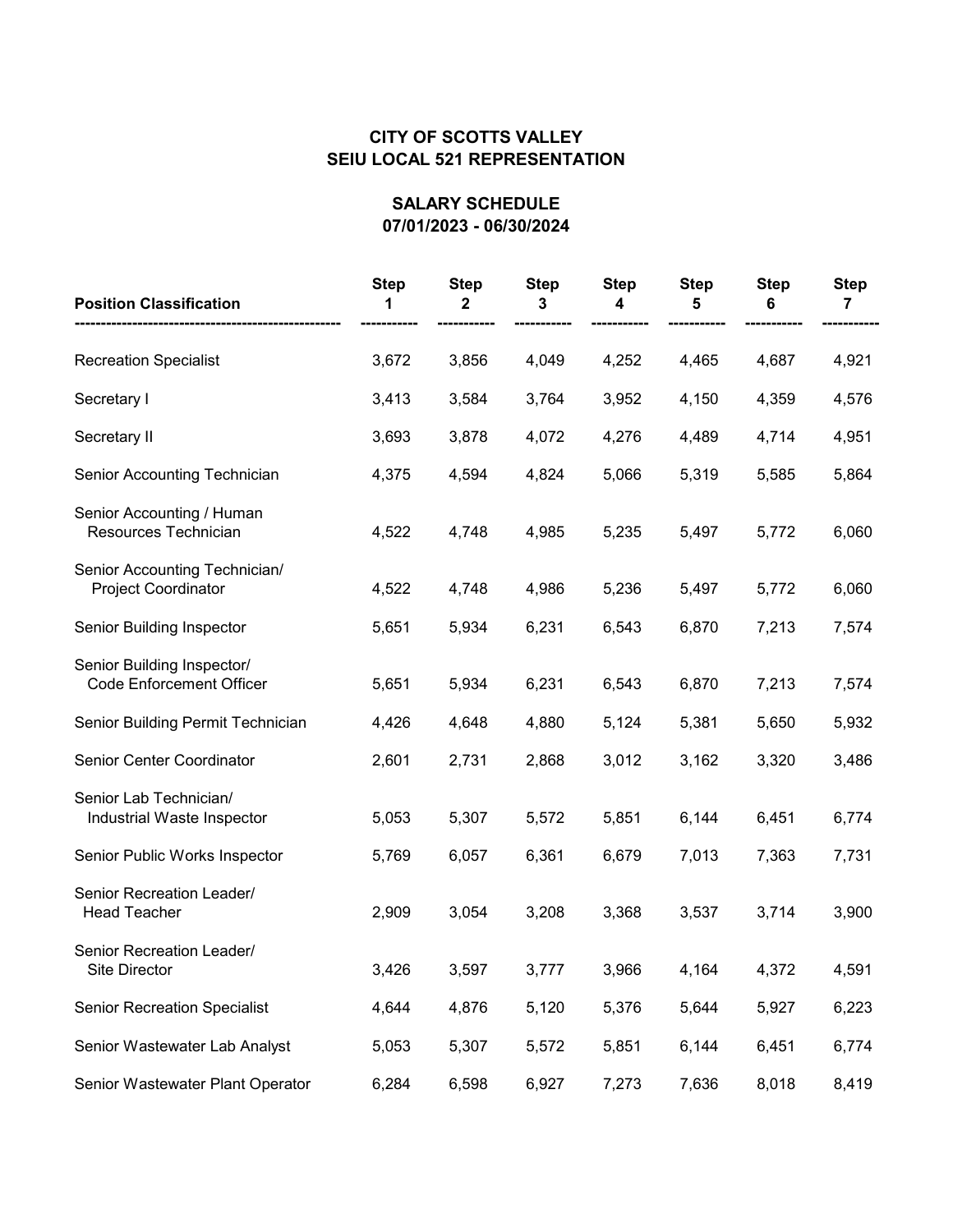| <b>Position Classification</b>                                | <b>Step</b> | <b>Step</b><br>2 | <b>Step</b><br>3 | <b>Step</b> | <b>Step</b> | <b>Step</b><br>6 | <b>Step</b><br>7 |
|---------------------------------------------------------------|-------------|------------------|------------------|-------------|-------------|------------------|------------------|
| <b>Recreation Specialist</b>                                  | 3,672       | 3,856            | 4,049            | 4,252       | 4,465       | 4,687            | 4,921            |
| Secretary I                                                   | 3,413       | 3,584            | 3,764            | 3,952       | 4,150       | 4,359            | 4,576            |
| Secretary II                                                  | 3,693       | 3,878            | 4,072            | 4,276       | 4,489       | 4,714            | 4,951            |
| Senior Accounting Technician                                  | 4,375       | 4,594            | 4,824            | 5,066       | 5,319       | 5,585            | 5,864            |
| Senior Accounting / Human<br>Resources Technician             | 4,522       | 4,748            | 4,985            | 5,235       | 5,497       | 5,772            | 6,060            |
| Senior Accounting Technician/<br><b>Project Coordinator</b>   | 4,522       | 4,748            | 4,986            | 5,236       | 5,497       | 5,772            | 6,060            |
| Senior Building Inspector                                     | 5,651       | 5,934            | 6,231            | 6,543       | 6,870       | 7,213            | 7,574            |
| Senior Building Inspector/<br><b>Code Enforcement Officer</b> | 5,651       | 5,934            | 6,231            | 6,543       | 6,870       | 7,213            | 7,574            |
| Senior Building Permit Technician                             | 4,426       | 4,648            | 4,880            | 5,124       | 5,381       | 5,650            | 5,932            |
| Senior Center Coordinator                                     | 2,601       | 2,731            | 2,868            | 3,012       | 3,162       | 3,320            | 3,486            |
| Senior Lab Technician/<br>Industrial Waste Inspector          | 5,053       | 5,307            | 5,572            | 5,851       | 6,144       | 6,451            | 6,774            |
| Senior Public Works Inspector                                 | 5,769       | 6,057            | 6,361            | 6,679       | 7,013       | 7,363            | 7,731            |
| Senior Recreation Leader/<br><b>Head Teacher</b>              | 2,909       | 3,054            | 3,208            | 3,368       | 3,537       | 3,714            | 3,900            |
| Senior Recreation Leader/<br>Site Director                    | 3,426       | 3,597            | 3,777            | 3,966       | 4,164       | 4,372            | 4,591            |
| <b>Senior Recreation Specialist</b>                           | 4,644       | 4,876            | 5,120            | 5,376       | 5,644       | 5,927            | 6,223            |
| Senior Wastewater Lab Analyst                                 | 5,053       | 5,307            | 5,572            | 5,851       | 6,144       | 6,451            | 6,774            |
| Senior Wastewater Plant Operator                              | 6,284       | 6,598            | 6,927            | 7,273       | 7,636       | 8,018            | 8,419            |